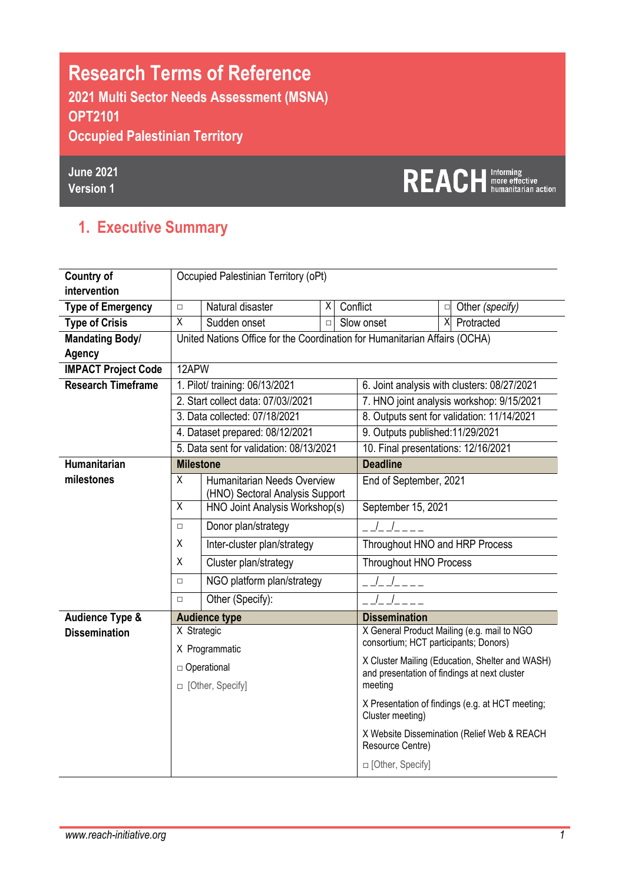# **Research Terms of Reference 2021 Multi Sector Needs Assessment (MSNA) OPT2101 Occupied Palestinian Territory**

**June 2021 Version 1**

# REACH **Informing**

### **1. Executive Summary**

| <b>Country of</b>          | Occupied Palestinian Territory (oPt) |                                                                            |        |                                                                      |                                              |        |                                                 |
|----------------------------|--------------------------------------|----------------------------------------------------------------------------|--------|----------------------------------------------------------------------|----------------------------------------------|--------|-------------------------------------------------|
| intervention               |                                      |                                                                            |        |                                                                      |                                              |        |                                                 |
| <b>Type of Emergency</b>   | $\Box$                               | Natural disaster                                                           | X.     | Conflict                                                             |                                              | $\Box$ | Other (specify)                                 |
| <b>Type of Crisis</b>      | X                                    | Sudden onset                                                               | $\Box$ |                                                                      | Slow onset                                   |        | X Protracted                                    |
| <b>Mandating Body/</b>     |                                      | United Nations Office for the Coordination for Humanitarian Affairs (OCHA) |        |                                                                      |                                              |        |                                                 |
| <b>Agency</b>              |                                      |                                                                            |        |                                                                      |                                              |        |                                                 |
| <b>IMPACT Project Code</b> | 12APW                                |                                                                            |        |                                                                      |                                              |        |                                                 |
| <b>Research Timeframe</b>  |                                      | 1. Pilot/ training: 06/13/2021                                             |        |                                                                      |                                              |        | 6. Joint analysis with clusters: 08/27/2021     |
|                            |                                      | 2. Start collect data: 07/03//2021                                         |        |                                                                      |                                              |        | 7. HNO joint analysis workshop: 9/15/2021       |
|                            |                                      | 3. Data collected: 07/18/2021                                              |        |                                                                      |                                              |        | 8. Outputs sent for validation: 11/14/2021      |
|                            |                                      | 4. Dataset prepared: 08/12/2021                                            |        |                                                                      | 9. Outputs published:11/29/2021              |        |                                                 |
|                            |                                      | 5. Data sent for validation: 08/13/2021                                    |        |                                                                      | 10. Final presentations: 12/16/2021          |        |                                                 |
| <b>Humanitarian</b>        | <b>Milestone</b>                     |                                                                            |        |                                                                      | <b>Deadline</b>                              |        |                                                 |
| milestones                 | X                                    | Humanitarian Needs Overview<br>(HNO) Sectoral Analysis Support             |        |                                                                      | End of September, 2021                       |        |                                                 |
|                            | $\overline{X}$                       | HNO Joint Analysis Workshop(s)                                             |        |                                                                      | September 15, 2021                           |        |                                                 |
|                            | $\Box$                               | Donor plan/strategy                                                        |        |                                                                      |                                              |        |                                                 |
|                            | X                                    | Inter-cluster plan/strategy                                                |        |                                                                      | Throughout HNO and HRP Process               |        |                                                 |
|                            | X                                    | Cluster plan/strategy                                                      |        |                                                                      | <b>Throughout HNO Process</b>                |        |                                                 |
|                            | $\Box$                               | NGO platform plan/strategy                                                 |        |                                                                      |                                              |        |                                                 |
|                            | $\Box$                               | Other (Specify):                                                           |        |                                                                      |                                              |        |                                                 |
| <b>Audience Type &amp;</b> |                                      | <b>Audience type</b>                                                       |        |                                                                      | <b>Dissemination</b>                         |        |                                                 |
| <b>Dissemination</b>       | X Strategic                          |                                                                            |        |                                                                      |                                              |        | X General Product Mailing (e.g. mail to NGO     |
|                            |                                      | X Programmatic                                                             |        |                                                                      | consortium; HCT participants; Donors)        |        |                                                 |
|                            |                                      | □ Operational                                                              |        |                                                                      | and presentation of findings at next cluster |        | X Cluster Mailing (Education, Shelter and WASH) |
|                            |                                      | □ [Other, Specify]                                                         |        |                                                                      | meeting                                      |        |                                                 |
|                            |                                      |                                                                            |        | X Presentation of findings (e.g. at HCT meeting;<br>Cluster meeting) |                                              |        |                                                 |
|                            |                                      |                                                                            |        |                                                                      | Resource Centre)                             |        | X Website Dissemination (Relief Web & REACH     |
|                            |                                      |                                                                            |        |                                                                      | □ [Other, Specify]                           |        |                                                 |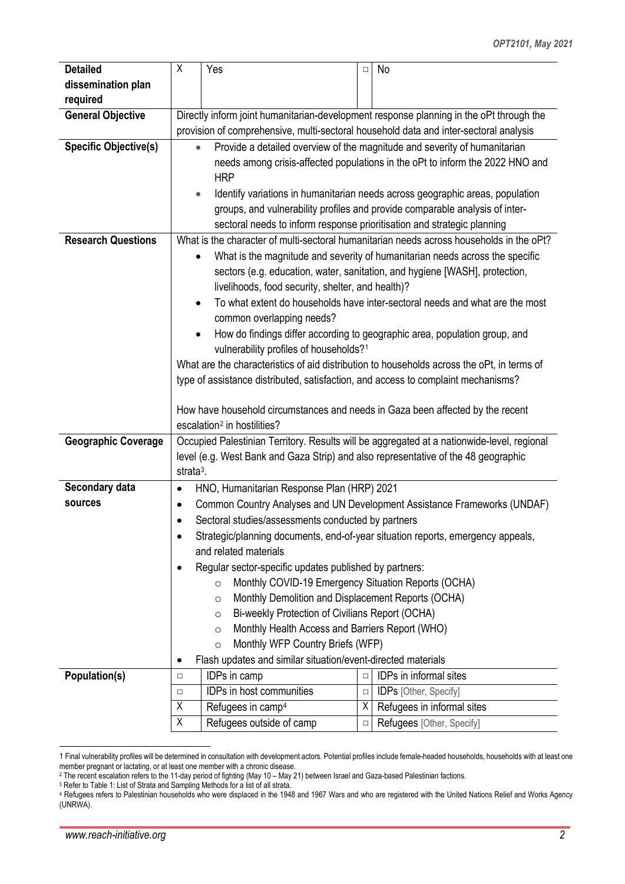| <b>Detailed</b>              | χ                                                                                                                                                                                                                                                         | Yes                                                                     | $\Box$ | No                                                                                                                                                          |  |  |  |  |  |  |
|------------------------------|-----------------------------------------------------------------------------------------------------------------------------------------------------------------------------------------------------------------------------------------------------------|-------------------------------------------------------------------------|--------|-------------------------------------------------------------------------------------------------------------------------------------------------------------|--|--|--|--|--|--|
|                              |                                                                                                                                                                                                                                                           |                                                                         |        |                                                                                                                                                             |  |  |  |  |  |  |
| dissemination plan           |                                                                                                                                                                                                                                                           |                                                                         |        |                                                                                                                                                             |  |  |  |  |  |  |
| required                     |                                                                                                                                                                                                                                                           |                                                                         |        |                                                                                                                                                             |  |  |  |  |  |  |
| <b>General Objective</b>     |                                                                                                                                                                                                                                                           |                                                                         |        | Directly inform joint humanitarian-development response planning in the oPt through the                                                                     |  |  |  |  |  |  |
|                              |                                                                                                                                                                                                                                                           |                                                                         |        | provision of comprehensive, multi-sectoral household data and inter-sectoral analysis                                                                       |  |  |  |  |  |  |
| <b>Specific Objective(s)</b> | Provide a detailed overview of the magnitude and severity of humanitarian<br>needs among crisis-affected populations in the oPt to inform the 2022 HNO and<br><b>HRP</b><br>Identify variations in humanitarian needs across geographic areas, population |                                                                         |        |                                                                                                                                                             |  |  |  |  |  |  |
|                              |                                                                                                                                                                                                                                                           | sectoral needs to inform response prioritisation and strategic planning |        | groups, and vulnerability profiles and provide comparable analysis of inter-                                                                                |  |  |  |  |  |  |
| <b>Research Questions</b>    |                                                                                                                                                                                                                                                           |                                                                         |        | What is the character of multi-sectoral humanitarian needs across households in the oPt?                                                                    |  |  |  |  |  |  |
|                              |                                                                                                                                                                                                                                                           | livelihoods, food security, shelter, and health)?                       |        | What is the magnitude and severity of humanitarian needs across the specific<br>sectors (e.g. education, water, sanitation, and hygiene [WASH], protection, |  |  |  |  |  |  |
|                              | $\bullet$                                                                                                                                                                                                                                                 | common overlapping needs?                                               |        | To what extent do households have inter-sectoral needs and what are the most                                                                                |  |  |  |  |  |  |
|                              |                                                                                                                                                                                                                                                           |                                                                         |        | How do findings differ according to geographic area, population group, and                                                                                  |  |  |  |  |  |  |
|                              |                                                                                                                                                                                                                                                           | vulnerability profiles of households? <sup>1</sup>                      |        |                                                                                                                                                             |  |  |  |  |  |  |
|                              |                                                                                                                                                                                                                                                           |                                                                         |        | What are the characteristics of aid distribution to households across the oPt, in terms of                                                                  |  |  |  |  |  |  |
|                              |                                                                                                                                                                                                                                                           |                                                                         |        |                                                                                                                                                             |  |  |  |  |  |  |
|                              | type of assistance distributed, satisfaction, and access to complaint mechanisms?                                                                                                                                                                         |                                                                         |        |                                                                                                                                                             |  |  |  |  |  |  |
|                              |                                                                                                                                                                                                                                                           |                                                                         |        | How have household circumstances and needs in Gaza been affected by the recent                                                                              |  |  |  |  |  |  |
|                              |                                                                                                                                                                                                                                                           |                                                                         |        |                                                                                                                                                             |  |  |  |  |  |  |
|                              |                                                                                                                                                                                                                                                           |                                                                         |        |                                                                                                                                                             |  |  |  |  |  |  |
|                              |                                                                                                                                                                                                                                                           | escalation <sup>2</sup> in hostilities?                                 |        |                                                                                                                                                             |  |  |  |  |  |  |
| <b>Geographic Coverage</b>   |                                                                                                                                                                                                                                                           |                                                                         |        | Occupied Palestinian Territory. Results will be aggregated at a nationwide-level, regional                                                                  |  |  |  |  |  |  |
|                              |                                                                                                                                                                                                                                                           |                                                                         |        | level (e.g. West Bank and Gaza Strip) and also representative of the 48 geographic                                                                          |  |  |  |  |  |  |
|                              | strata $3$ .                                                                                                                                                                                                                                              |                                                                         |        |                                                                                                                                                             |  |  |  |  |  |  |
| Secondary data               | $\bullet$                                                                                                                                                                                                                                                 | HNO, Humanitarian Response Plan (HRP) 2021                              |        |                                                                                                                                                             |  |  |  |  |  |  |
| sources                      | $\bullet$                                                                                                                                                                                                                                                 |                                                                         |        | Common Country Analyses and UN Development Assistance Frameworks (UNDAF)                                                                                    |  |  |  |  |  |  |
|                              | $\bullet$                                                                                                                                                                                                                                                 | Sectoral studies/assessments conducted by partners                      |        |                                                                                                                                                             |  |  |  |  |  |  |
|                              |                                                                                                                                                                                                                                                           | and related materials                                                   |        | Strategic/planning documents, end-of-year situation reports, emergency appeals,                                                                             |  |  |  |  |  |  |
|                              | $\bullet$                                                                                                                                                                                                                                                 | Regular sector-specific updates published by partners:                  |        |                                                                                                                                                             |  |  |  |  |  |  |
|                              |                                                                                                                                                                                                                                                           | Monthly COVID-19 Emergency Situation Reports (OCHA)<br>$\circ$          |        |                                                                                                                                                             |  |  |  |  |  |  |
|                              |                                                                                                                                                                                                                                                           | Monthly Demolition and Displacement Reports (OCHA)<br>$\circ$           |        |                                                                                                                                                             |  |  |  |  |  |  |
|                              |                                                                                                                                                                                                                                                           | Bi-weekly Protection of Civilians Report (OCHA)<br>O                    |        |                                                                                                                                                             |  |  |  |  |  |  |
|                              |                                                                                                                                                                                                                                                           | Monthly Health Access and Barriers Report (WHO)<br>$\circ$              |        |                                                                                                                                                             |  |  |  |  |  |  |
|                              |                                                                                                                                                                                                                                                           | Monthly WFP Country Briefs (WFP)<br>$\circ$                             |        |                                                                                                                                                             |  |  |  |  |  |  |
|                              | ٠                                                                                                                                                                                                                                                         | Flash updates and similar situation/event-directed materials            |        |                                                                                                                                                             |  |  |  |  |  |  |
| Population(s)                | $\Box$                                                                                                                                                                                                                                                    | IDPs in camp                                                            | $\Box$ | IDPs in informal sites                                                                                                                                      |  |  |  |  |  |  |
|                              | $\Box$                                                                                                                                                                                                                                                    | IDPs in host communities                                                | $\Box$ | <b>IDPs</b> [Other, Specify]                                                                                                                                |  |  |  |  |  |  |
|                              | Χ                                                                                                                                                                                                                                                         | Refugees in camp <sup>4</sup>                                           | X      | Refugees in informal sites                                                                                                                                  |  |  |  |  |  |  |

<span id="page-1-0"></span> <sup>1</sup> Final vulnerability profiles will be determined in consultation with development actors. Potential profiles include female-headed households, households with at least one member pregnant or lactating, or at least one member with a chronic disease.

<span id="page-1-1"></span><sup>2</sup> The recent escalation refers to the 11-day period of fighting (May 10 – May 21) between Israel and Gaza-based Palestinian factions.

<sup>3</sup> Refer to Table 1: List of Strata and Sampling Methods for a list of all strata.

<span id="page-1-3"></span><span id="page-1-2"></span><sup>4</sup> Refugees refers to Palestinian households who were displaced in the 1948 and 1967 Wars and who are registered with the United Nations Relief and Works Agency (UNRWA).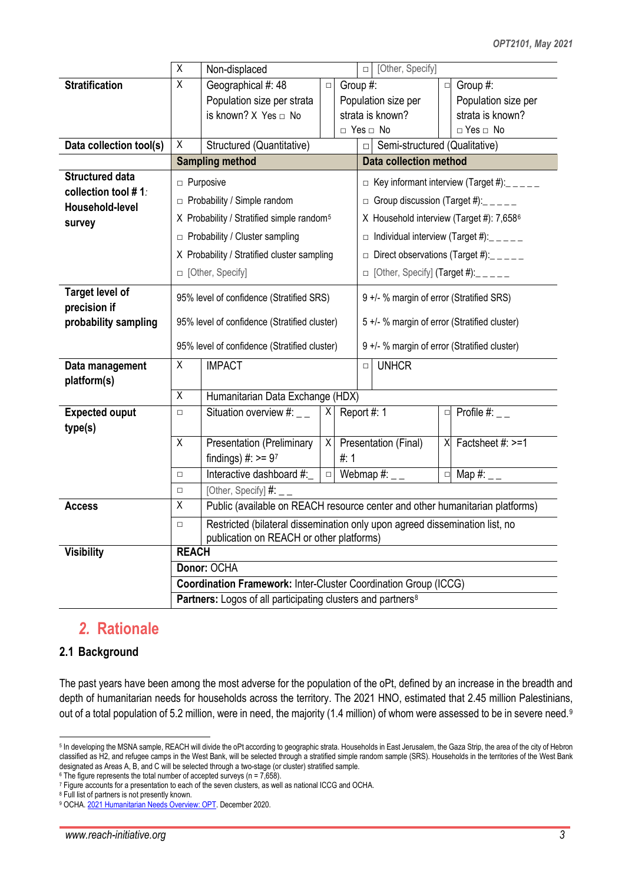|                                  | $\overline{\mathsf{X}}$ | Non-displaced                                                                                                           |        |                 |                                              | □ [Other, Specify]                           |        |                                                    |
|----------------------------------|-------------------------|-------------------------------------------------------------------------------------------------------------------------|--------|-----------------|----------------------------------------------|----------------------------------------------|--------|----------------------------------------------------|
| <b>Stratification</b>            | $\overline{X}$          | Geographical #: 48                                                                                                      | $\Box$ | Group #:        |                                              |                                              |        | $\Box$ Group #:                                    |
|                                  |                         | Population size per strata                                                                                              |        |                 |                                              | Population size per                          |        | Population size per                                |
|                                  |                         | is known? $X$ Yes $\Box$ No                                                                                             |        |                 |                                              | strata is known?                             |        | strata is known?                                   |
|                                  |                         |                                                                                                                         |        |                 |                                              | □ Yes □ No                                   |        | $\Box$ Yes $\Box$ No                               |
| Data collection tool(s)          | X                       | Structured (Quantitative)                                                                                               |        |                 | $\Box$                                       | Semi-structured (Qualitative)                |        |                                                    |
|                                  |                         | <b>Sampling method</b>                                                                                                  |        |                 |                                              | <b>Data collection method</b>                |        |                                                    |
| <b>Structured data</b>           |                         | $\Box$ Purposive                                                                                                        |        |                 |                                              |                                              |        | $\Box$ Key informant interview (Target #): _ _ _ _ |
| collection tool #1:              |                         | $\Box$ Probability / Simple random                                                                                      |        |                 |                                              |                                              |        | $\Box$ Group discussion (Target #): _ _ _ _ _      |
| Household-level<br>survey        |                         | X Probability / Stratified simple random <sup>5</sup>                                                                   |        |                 |                                              |                                              |        | X Household interview (Target #): 7,6586           |
|                                  |                         | $\Box$ Probability / Cluster sampling                                                                                   |        |                 |                                              |                                              |        | $\Box$ Individual interview (Target #): $\Box$     |
|                                  |                         | X Probability / Stratified cluster sampling                                                                             |        |                 |                                              |                                              |        | $\Box$ Direct observations (Target #): _____       |
|                                  |                         | □ [Other, Specify]                                                                                                      |        |                 |                                              | $\Box$ [Other, Specify] (Target #): _____    |        |                                                    |
| <b>Target level of</b>           |                         |                                                                                                                         |        |                 |                                              |                                              |        |                                                    |
| precision if                     |                         | 95% level of confidence (Stratified SRS)                                                                                |        |                 |                                              | 9 +/- % margin of error (Stratified SRS)     |        |                                                    |
| probability sampling             |                         | 95% level of confidence (Stratified cluster)                                                                            |        |                 | 5 +/- % margin of error (Stratified cluster) |                                              |        |                                                    |
|                                  |                         | 95% level of confidence (Stratified cluster)                                                                            |        |                 |                                              | 9 +/- % margin of error (Stratified cluster) |        |                                                    |
| Data management                  | X                       | <b>IMPACT</b>                                                                                                           |        |                 | <b>UNHCR</b><br>$\Box$                       |                                              |        |                                                    |
| platform(s)                      |                         |                                                                                                                         |        |                 |                                              |                                              |        |                                                    |
|                                  | $\overline{X}$          | Humanitarian Data Exchange (HDX)                                                                                        |        |                 |                                              |                                              |        |                                                    |
| <b>Expected ouput</b><br>type(s) | $\Box$                  | Situation overview #: $_{--}$                                                                                           |        | $X$ Report #: 1 |                                              |                                              |        | $\Box$ Profile #:                                  |
|                                  | $\overline{X}$          | <b>Presentation (Preliminary</b>                                                                                        | X      |                 |                                              | Presentation (Final)                         |        | $X$ Factsheet #: $>1$                              |
|                                  |                         | findings) $\#$ : >= 97                                                                                                  |        | #: $1$          |                                              |                                              |        |                                                    |
|                                  | $\Box$                  | Interactive dashboard #:                                                                                                | $\Box$ |                 |                                              | Webmap $\#$ : _ _                            | $\Box$ | Map $#$ :                                          |
|                                  | $\Box$                  | [Other, Specify] $\#$ : __                                                                                              |        |                 |                                              |                                              |        |                                                    |
| <b>Access</b>                    | $\overline{X}$          | Public (available on REACH resource center and other humanitarian platforms)                                            |        |                 |                                              |                                              |        |                                                    |
|                                  | $\Box$                  | Restricted (bilateral dissemination only upon agreed dissemination list, no<br>publication on REACH or other platforms) |        |                 |                                              |                                              |        |                                                    |
| <b>Visibility</b>                | <b>REACH</b>            |                                                                                                                         |        |                 |                                              |                                              |        |                                                    |
|                                  |                         | Donor: OCHA                                                                                                             |        |                 |                                              |                                              |        |                                                    |
|                                  |                         | <b>Coordination Framework: Inter-Cluster Coordination Group (ICCG)</b>                                                  |        |                 |                                              |                                              |        |                                                    |
|                                  |                         | Partners: Logos of all participating clusters and partners <sup>8</sup>                                                 |        |                 |                                              |                                              |        |                                                    |

### *2.* **Rationale**

#### **2.1 Background**

The past years have been among the most adverse for the population of the oPt, defined by an increase in the breadth and depth of humanitarian needs for households across the territory. The 2021 HNO, estimated that 2.45 million Palestinians, out of a total population of 5.2 million, were in need, the majority (1.4 million) of whom were assessed to be in severe need.<sup>[9](#page-2-4)</sup>

<span id="page-2-0"></span><sup>&</sup>lt;sup>5</sup> In developing the MSNA sample, REACH will divide the oPt according to geographic strata. Households in East Jerusalem, the Gaza Strip, the area of the city of Hebron classified as H2, and refugee camps in the West Bank, will be selected through a stratified simple random sample (SRS). Households in the territories of the West Bank designated as Areas A, B, and C will be selected through a two-stage (or cluster) stratified sample. <sup>6</sup> The figure represents the total number of accepted surveys (n = 7,658).

<span id="page-2-2"></span><span id="page-2-1"></span><sup>7</sup> Figure accounts for a presentation to each of the seven clusters, as well as national ICCG and OCHA.

<span id="page-2-3"></span><sup>8</sup> Full list of partners is not presently known.

<span id="page-2-4"></span><sup>9</sup> OCHA[. 2021 Humanitarian Needs Overview: OPT.](https://reliefweb.int/sites/reliefweb.int/files/resources/hno_2021.pdf) December 2020.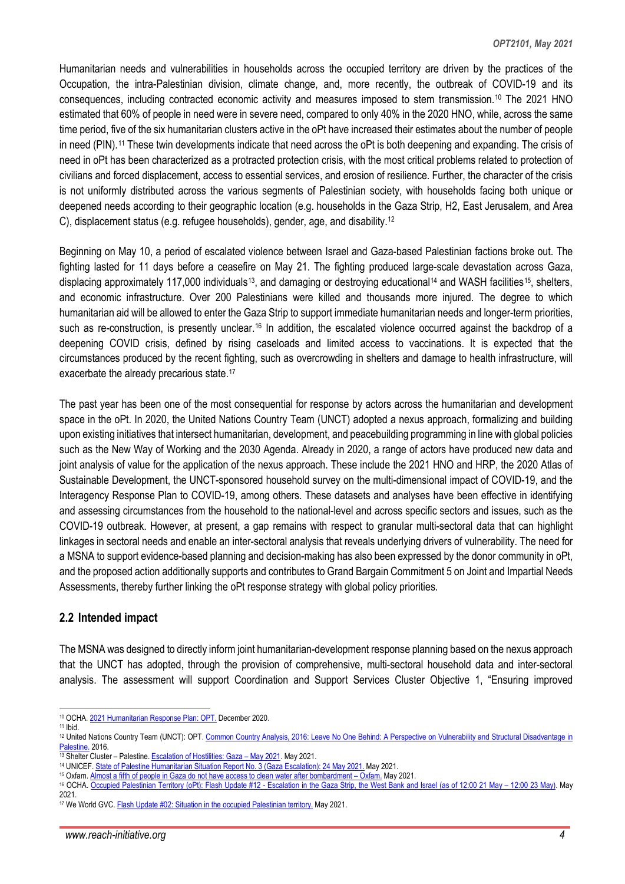Humanitarian needs and vulnerabilities in households across the occupied territory are driven by the practices of the Occupation, the intra-Palestinian division, climate change, and, more recently, the outbreak of COVID-19 and its consequences, including contracted economic activity and measures imposed to stem transmission[.10](#page-3-0) The 2021 HNO estimated that 60% of people in need were in severe need, compared to only 40% in the 2020 HNO, while, across the same time period, five of the six humanitarian clusters active in the oPt have increased their estimates about the number of people in need (PIN).<sup>[11](#page-3-1)</sup> These twin developments indicate that need across the oPt is both deepening and expanding. The crisis of need in oPt has been characterized as a protracted protection crisis, with the most critical problems related to protection of civilians and forced displacement, access to essential services, and erosion of resilience. Further, the character of the crisis is not uniformly distributed across the various segments of Palestinian society, with households facing both unique or deepened needs according to their geographic location (e.g. households in the Gaza Strip, H2, East Jerusalem, and Area C), displacement status (e.g. refugee households), gender, age, and disability.[12](#page-3-2)

Beginning on May 10, a period of escalated violence between Israel and Gaza-based Palestinian factions broke out. The fighting lasted for 11 days before a ceasefire on May 21. The fighting produced large-scale devastation across Gaza, displacing approximately 117,000 individuals<sup>13</sup>, and damaging or destroying educational<sup>[14](#page-3-4)</sup> and WASH facilities<sup>15</sup>, shelters, and economic infrastructure. Over 200 Palestinians were killed and thousands more injured. The degree to which humanitarian aid will be allowed to enter the Gaza Strip to support immediate humanitarian needs and longer-term priorities, such as re-construction, is presently unclear.<sup>[16](#page-3-6)</sup> In addition, the escalated violence occurred against the backdrop of a deepening COVID crisis, defined by rising caseloads and limited access to vaccinations. It is expected that the circumstances produced by the recent fighting, such as overcrowding in shelters and damage to health infrastructure, will exacerbate the already precarious state.[17](#page-3-7)

The past year has been one of the most consequential for response by actors across the humanitarian and development space in the oPt. In 2020, the United Nations Country Team (UNCT) adopted a nexus approach, formalizing and building upon existing initiatives that intersect humanitarian, development, and peacebuilding programming in line with global policies such as the New Way of Working and the 2030 Agenda. Already in 2020, a range of actors have produced new data and joint analysis of value for the application of the nexus approach. These include the 2021 HNO and HRP, the 2020 Atlas of Sustainable Development, the UNCT-sponsored household survey on the multi-dimensional impact of COVID-19, and the Interagency Response Plan to COVID-19, among others. These datasets and analyses have been effective in identifying and assessing circumstances from the household to the national-level and across specific sectors and issues, such as the COVID-19 outbreak. However, at present, a gap remains with respect to granular multi-sectoral data that can highlight linkages in sectoral needs and enable an inter-sectoral analysis that reveals underlying drivers of vulnerability. The need for a MSNA to support evidence-based planning and decision-making has also been expressed by the donor community in oPt, and the proposed action additionally supports and contributes to Grand Bargain Commitment 5 on Joint and Impartial Needs Assessments, thereby further linking the oPt response strategy with global policy priorities.

#### **2.2 Intended impact**

The MSNA was designed to directly inform joint humanitarian-development response planning based on the nexus approach that the UNCT has adopted, through the provision of comprehensive, multi-sectoral household data and inter-sectoral analysis. The assessment will support Coordination and Support Services Cluster Objective 1, "Ensuring improved

 <sup>10</sup> OCHA[. 2021 Humanitarian Response Plan: OPT.](https://www.ochaopt.org/sites/default/files/hrp_2021.pdf) December 2020.

<span id="page-3-1"></span><span id="page-3-0"></span><sup>11</sup> Ibid.

<span id="page-3-2"></span><sup>12</sup> United Nations Country Team (UNCT): OPT. Common Country Analysis, [2016: Leave No One Behind: A Perspective on Vulnerability and Structural Disadvantage in](https://reliefweb.int/sites/reliefweb.int/files/resources/CCA_Report_En.pdf)  [Palestine.](https://reliefweb.int/sites/reliefweb.int/files/resources/CCA_Report_En.pdf) 2016.

<span id="page-3-3"></span><sup>&</sup>lt;sup>13</sup> Shelter Cluster – Palestine[. Escalation of Hostilities: Gaza –](https://reliefweb.int/sites/reliefweb.int/files/resources/escalation_of_hostilities_-_gaza_may_2021.pdf) May 2021. May 2021.

<span id="page-3-4"></span><sup>14</sup> UNICEF[. State of Palestine Humanitarian Situation Report No. 3 \(Gaza Escalation\): 24 May 2021.](https://reliefweb.int/sites/reliefweb.int/files/resources/UNICEF%20State%20of%20Palestine%20Humanitarian%20Situation%20Report%20No.%203%20%28Gaza%20Escalation%29%20-%2024%20May%202021.pdf) May 2021. <sup>15</sup> Oxfam[. Almost a fifth of people in Gaza do not have access to clean water after bombardment –](https://reliefweb.int/report/occupied-palestinian-territory/almost-fifth-people-gaza-do-not-have-access-clean-water-after) Oxfam. May 2021.

<span id="page-3-5"></span><sup>16</sup> OCHA. Occupied Palestinian Territory (oPt): Flash Update #12 - [Escalation in the Gaza Strip, the West Bank and Israel \(as of 12:00 21 May –](https://reliefweb.int/sites/reliefweb.int/files/resources/flash_update_12_escalations_of_hostilities.pdf) 12:00 23 May). May

<span id="page-3-6"></span><sup>2021.</sup>

<span id="page-3-7"></span><sup>17</sup> We World GVC[. Flash Update #02: Situation in the occupied Palestinian territory.](https://reliefweb.int/report/occupied-palestinian-territory/flash-update-02-situation-occupied-palestinian-territory) May 2021.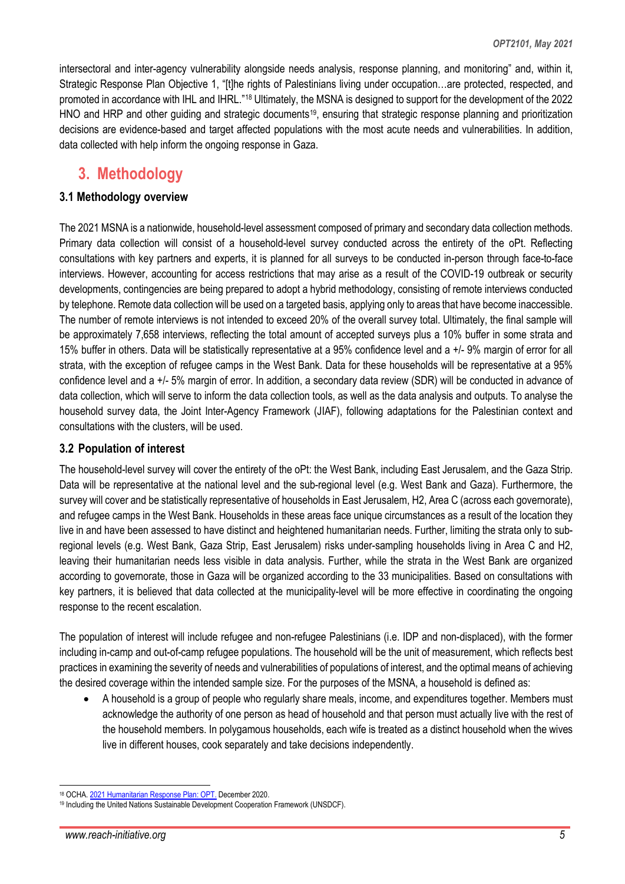intersectoral and inter-agency vulnerability alongside needs analysis, response planning, and monitoring" and, within it, Strategic Response Plan Objective 1, "[t]he rights of Palestinians living under occupation...are protected, respected, and promoted in accordance with IHL and IHRL."[18](#page-4-0) Ultimately, the MSNA is designed to support for the development of the 2022 HNO and HRP and other guiding and strategic documents<sup>19</sup>, ensuring that strategic response planning and prioritization decisions are evidence-based and target affected populations with the most acute needs and vulnerabilities. In addition, data collected with help inform the ongoing response in Gaza.

### **3. Methodology**

#### **3.1 Methodology overview**

The 2021 MSNA is a nationwide, household-level assessment composed of primary and secondary data collection methods. Primary data collection will consist of a household-level survey conducted across the entirety of the oPt. Reflecting consultations with key partners and experts, it is planned for all surveys to be conducted in-person through face-to-face interviews. However, accounting for access restrictions that may arise as a result of the COVID-19 outbreak or security developments, contingencies are being prepared to adopt a hybrid methodology, consisting of remote interviews conducted by telephone. Remote data collection will be used on a targeted basis, applying only to areas that have become inaccessible. The number of remote interviews is not intended to exceed 20% of the overall survey total. Ultimately, the final sample will be approximately 7,658 interviews, reflecting the total amount of accepted surveys plus a 10% buffer in some strata and 15% buffer in others. Data will be statistically representative at a 95% confidence level and a +/- 9% margin of error for all strata, with the exception of refugee camps in the West Bank. Data for these households will be representative at a 95% confidence level and a +/- 5% margin of error. In addition, a secondary data review (SDR) will be conducted in advance of data collection, which will serve to inform the data collection tools, as well as the data analysis and outputs. To analyse the household survey data, the Joint Inter-Agency Framework (JIAF), following adaptations for the Palestinian context and consultations with the clusters, will be used.

#### **3.2 Population of interest**

The household-level survey will cover the entirety of the oPt: the West Bank, including East Jerusalem, and the Gaza Strip. Data will be representative at the national level and the sub-regional level (e.g. West Bank and Gaza). Furthermore, the survey will cover and be statistically representative of households in East Jerusalem, H2, Area C (across each governorate), and refugee camps in the West Bank. Households in these areas face unique circumstances as a result of the location they live in and have been assessed to have distinct and heightened humanitarian needs. Further, limiting the strata only to subregional levels (e.g. West Bank, Gaza Strip, East Jerusalem) risks under-sampling households living in Area C and H2, leaving their humanitarian needs less visible in data analysis. Further, while the strata in the West Bank are organized according to governorate, those in Gaza will be organized according to the 33 municipalities. Based on consultations with key partners, it is believed that data collected at the municipality-level will be more effective in coordinating the ongoing response to the recent escalation.

The population of interest will include refugee and non-refugee Palestinians (i.e. IDP and non-displaced), with the former including in-camp and out-of-camp refugee populations. The household will be the unit of measurement, which reflects best practices in examining the severity of needs and vulnerabilities of populations of interest, and the optimal means of achieving the desired coverage within the intended sample size. For the purposes of the MSNA, a household is defined as:

• A household is a group of people who regularly share meals, income, and expenditures together. Members must acknowledge the authority of one person as head of household and that person must actually live with the rest of the household members. In polygamous households, each wife is treated as a distinct household when the wives live in different houses, cook separately and take decisions independently.

<span id="page-4-0"></span><sup>18</sup> OCHA[. 2021 Humanitarian Response Plan: OPT.](https://www.ochaopt.org/sites/default/files/hrp_2021.pdf) December 2020.

<span id="page-4-1"></span><sup>19</sup> Including the United Nations Sustainable Development Cooperation Framework (UNSDCF).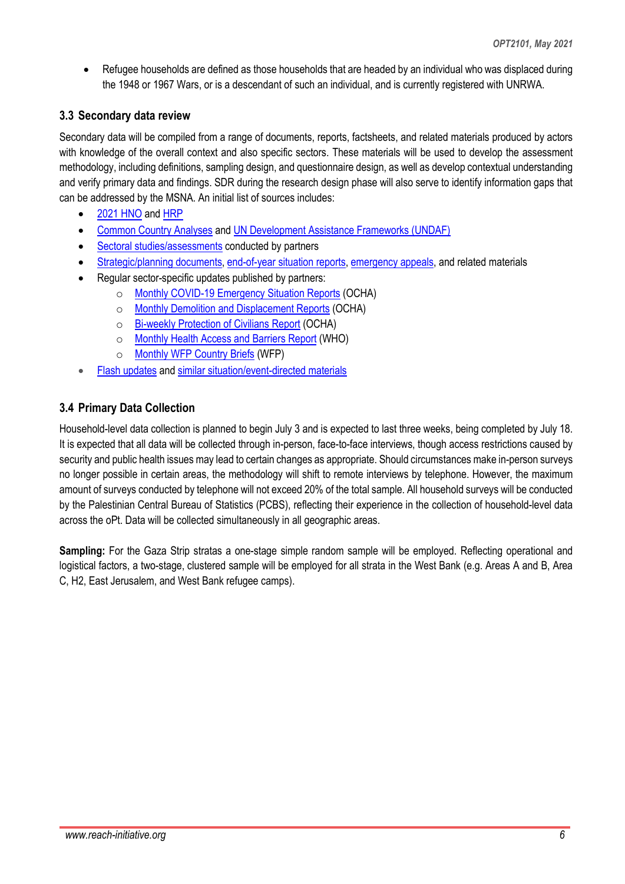• Refugee households are defined as those households that are headed by an individual who was displaced during the 1948 or 1967 Wars, or is a descendant of such an individual, and is currently registered with UNRWA.

### **3.3 Secondary data review**

Secondary data will be compiled from a range of documents, reports, factsheets, and related materials produced by actors with knowledge of the overall context and also specific sectors. These materials will be used to develop the assessment methodology, including definitions, sampling design, and questionnaire design, as well as develop contextual understanding and verify primary data and findings. SDR during the research design phase will also serve to identify information gaps that can be addressed by the MSNA. An initial list of sources includes:

- [2021 HNO](https://www.ochaopt.org/sites/default/files/hno_2021.pdf) and [HRP](https://www.ochaopt.org/sites/default/files/hrp_2021.pdf)
- [Common Country Analyses](https://reliefweb.int/sites/reliefweb.int/files/resources/CCA_Report_En.pdf) an[d UN Development Assistance Frameworks \(UNDAF\)](https://www.undp.org/content/dam/papp/docs/Publications/UNDP-papp-research-undaf_2018-2022.pdf)
- Sectoral [studies/assessments](https://reliefweb.int/sites/reliefweb.int/files/resources/Area%20C%20Complete%20Report%20web_FINAL.pdf) conducted by partners
- [Strategic/planning documents,](https://reliefweb.int/report/occupied-palestinian-territory/unct-covid-19-development-system-response-plan-occupied) [end-of-year situation reports,](https://reliefweb.int/sites/reliefweb.int/files/resources/UNICEF%20State%20of%20Palestine%20Humanitarian%20Situation%20Report%20-%20End%20of%20Year%202020.pdf) [emergency appeals,](https://reliefweb.int/sites/reliefweb.int/files/resources/flash_appeal_27_05_2021.pdf) and related materials
- Regular sector-specific updates published by partners:
	- o [Monthly COVID-19 Emergency Situation Reports](https://www.ochaopt.org/covid-19) (OCHA)
	- o [Monthly Demolition and Displacement Reports](https://www.ochaopt.org/reports/west-bank-demolitions-and-displacement) (OCHA)
	- o [Bi-weekly Protection of Civilians Report](https://www.ochaopt.org/reports/protection-of-civilians) (OCHA)
	- o [Monthly Health Access and](https://www.un.org/unispal/document/health-access-barriers-for-patients-in-the-opt-who-monthly-report-march-2021/) Barriers Report (WHO)
	- o [Monthly WFP Country Briefs](https://reliefweb.int/report/occupied-palestinian-territory/wfp-palestine-country-brief-december-2020) (WFP)
- [Flash updates](https://www.ochaopt.org/content/humsa-al-bqaia-flash-update-4) an[d similar situation/event-directed materials](https://www.ochaopt.org/crisis)

### **3.4 Primary Data Collection**

Household-level data collection is planned to begin July 3 and is expected to last three weeks, being completed by July 18. It is expected that all data will be collected through in-person, face-to-face interviews, though access restrictions caused by security and public health issues may lead to certain changes as appropriate. Should circumstances make in-person surveys no longer possible in certain areas, the methodology will shift to remote interviews by telephone. However, the maximum amount of surveys conducted by telephone will not exceed 20% of the total sample. All household surveys will be conducted by the Palestinian Central Bureau of Statistics (PCBS), reflecting their experience in the collection of household-level data across the oPt. Data will be collected simultaneously in all geographic areas.

**Sampling:** For the Gaza Strip stratas a one-stage simple random sample will be employed. Reflecting operational and logistical factors, a two-stage, clustered sample will be employed for all strata in the West Bank (e.g. Areas A and B, Area C, H2, East Jerusalem, and West Bank refugee camps).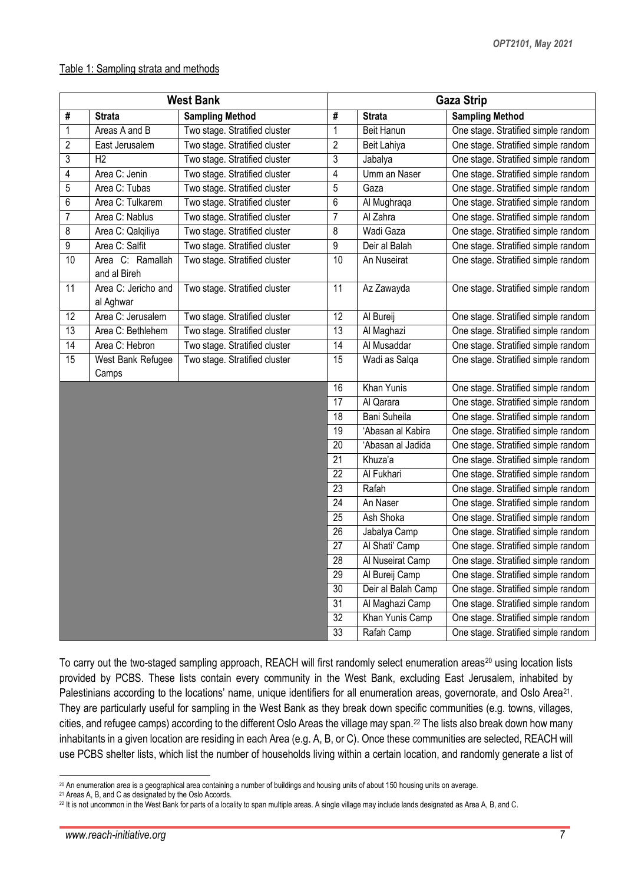#### Table 1: Sampling strata and methods

| <b>West Bank</b> |                                  |                               | <b>Gaza Strip</b> |                    |                                     |  |  |
|------------------|----------------------------------|-------------------------------|-------------------|--------------------|-------------------------------------|--|--|
| #                | <b>Strata</b>                    | <b>Sampling Method</b>        | #                 | <b>Strata</b>      | <b>Sampling Method</b>              |  |  |
| 1                | Areas A and B                    | Two stage. Stratified cluster | $\mathbf 1$       | Beit Hanun         | One stage. Stratified simple random |  |  |
| 2                | East Jerusalem                   | Two stage. Stratified cluster | $\overline{2}$    | Beit Lahiya        | One stage. Stratified simple random |  |  |
| 3                | H <sub>2</sub>                   | Two stage. Stratified cluster | 3                 | Jabalya            | One stage. Stratified simple random |  |  |
| 4                | Area C: Jenin                    | Two stage. Stratified cluster | 4                 | Umm an Naser       | One stage. Stratified simple random |  |  |
| 5                | Area C: Tubas                    | Two stage. Stratified cluster | 5                 | Gaza               | One stage. Stratified simple random |  |  |
| 6                | Area C: Tulkarem                 | Two stage. Stratified cluster | 6                 | Al Mughraqa        | One stage. Stratified simple random |  |  |
| 7                | Area C: Nablus                   | Two stage. Stratified cluster | $\overline{7}$    | Al Zahra           | One stage. Stratified simple random |  |  |
| 8                | Area C: Qalqiliya                | Two stage. Stratified cluster | 8                 | Wadi Gaza          | One stage. Stratified simple random |  |  |
| 9                | Area C: Salfit                   | Two stage. Stratified cluster | 9                 | Deir al Balah      | One stage. Stratified simple random |  |  |
| 10               | Area C: Ramallah<br>and al Bireh | Two stage. Stratified cluster | 10                | An Nuseirat        | One stage. Stratified simple random |  |  |
| 11               | Area C: Jericho and<br>al Aghwar | Two stage. Stratified cluster | 11                | Az Zawayda         | One stage. Stratified simple random |  |  |
| 12               | Area C: Jerusalem                | Two stage. Stratified cluster | 12                | Al Bureij          | One stage. Stratified simple random |  |  |
| 13               | Area C: Bethlehem                | Two stage. Stratified cluster | 13                | Al Maghazi         | One stage. Stratified simple random |  |  |
| 14               | Area C: Hebron                   | Two stage. Stratified cluster | 14                | Al Musaddar        | One stage. Stratified simple random |  |  |
| 15               | West Bank Refugee                | Two stage. Stratified cluster | 15                | Wadi as Salqa      | One stage. Stratified simple random |  |  |
|                  | Camps                            |                               |                   |                    |                                     |  |  |
|                  |                                  |                               | 16                | Khan Yunis         | One stage. Stratified simple random |  |  |
|                  |                                  |                               | 17                | Al Qarara          | One stage. Stratified simple random |  |  |
|                  |                                  |                               | 18                | Bani Suheila       | One stage. Stratified simple random |  |  |
|                  |                                  |                               | 19                | 'Abasan al Kabira  | One stage. Stratified simple random |  |  |
|                  |                                  |                               | 20                | 'Abasan al Jadida  | One stage. Stratified simple random |  |  |
|                  |                                  |                               | 21                | Khuza'a            | One stage. Stratified simple random |  |  |
|                  |                                  |                               | 22                | Al Fukhari         | One stage. Stratified simple random |  |  |
|                  |                                  |                               | 23                | Rafah              | One stage. Stratified simple random |  |  |
|                  |                                  |                               | 24                | An Naser           | One stage. Stratified simple random |  |  |
|                  |                                  |                               | 25                | Ash Shoka          | One stage. Stratified simple random |  |  |
|                  |                                  |                               | 26                | Jabalya Camp       | One stage. Stratified simple random |  |  |
|                  |                                  |                               | 27                | Al Shati' Camp     | One stage. Stratified simple random |  |  |
|                  |                                  |                               | $\overline{28}$   | Al Nuseirat Camp   | One stage. Stratified simple random |  |  |
|                  |                                  |                               | 29                | Al Bureij Camp     | One stage. Stratified simple random |  |  |
|                  |                                  |                               | 30                | Deir al Balah Camp | One stage. Stratified simple random |  |  |
|                  |                                  |                               | 31                | Al Maghazi Camp    | One stage. Stratified simple random |  |  |
|                  |                                  |                               | 32                | Khan Yunis Camp    | One stage. Stratified simple random |  |  |
|                  |                                  |                               | 33                | Rafah Camp         | One stage. Stratified simple random |  |  |

To carry out the two-staged sampling approach, REACH will first randomly select enumeration areas<sup>20</sup> using location lists provided by PCBS. These lists contain every community in the West Bank, excluding East Jerusalem, inhabited by Palestinians according to the locations' name, unique identifiers for all enumeration areas, governorate, and Oslo Area<sup>[21](#page-6-1)</sup>. They are particularly useful for sampling in the West Bank as they break down specific communities (e.g. towns, villages, cities, and refugee camps) according to the different Oslo Areas the village may span.[22](#page-6-2) The lists also break down how many inhabitants in a given location are residing in each Area (e.g. A, B, or C). Once these communities are selected, REACH will use PCBS shelter lists, which list the number of households living within a certain location, and randomly generate a list of

<span id="page-6-0"></span><sup>&</sup>lt;sup>20</sup> An enumeration area is a geographical area containing a number of buildings and housing units of about 150 housing units on average.

<span id="page-6-1"></span>Areas A, B, and C as designated by the Oslo Accords.

<span id="page-6-2"></span><sup>&</sup>lt;sup>22</sup> It is not uncommon in the West Bank for parts of a locality to span multiple areas. A single village may include lands designated as Area A, B, and C.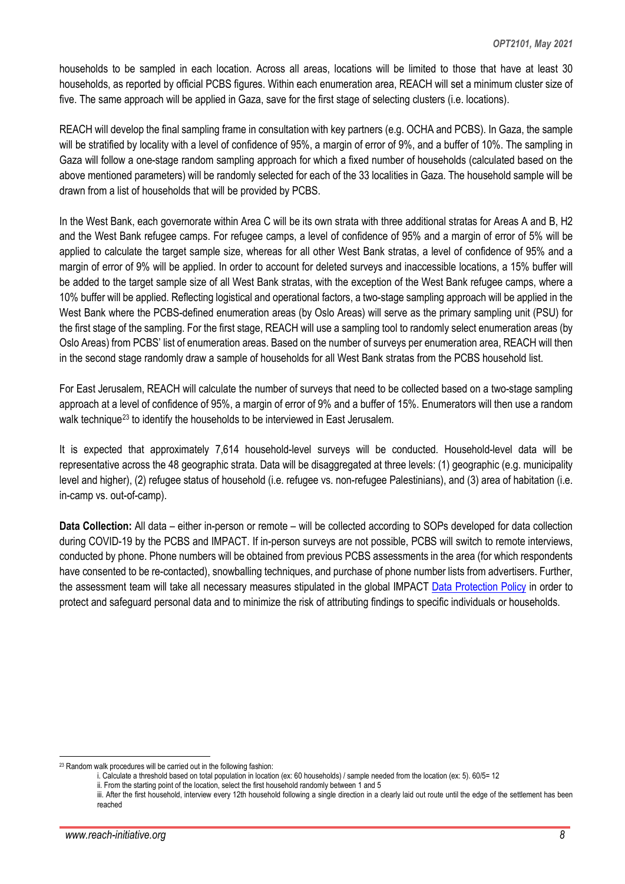households to be sampled in each location. Across all areas, locations will be limited to those that have at least 30 households, as reported by official PCBS figures. Within each enumeration area, REACH will set a minimum cluster size of five. The same approach will be applied in Gaza, save for the first stage of selecting clusters (i.e. locations).

REACH will develop the final sampling frame in consultation with key partners (e.g. OCHA and PCBS). In Gaza, the sample will be stratified by locality with a level of confidence of 95%, a margin of error of 9%, and a buffer of 10%. The sampling in Gaza will follow a one-stage random sampling approach for which a fixed number of households (calculated based on the above mentioned parameters) will be randomly selected for each of the 33 localities in Gaza. The household sample will be drawn from a list of households that will be provided by PCBS.

In the West Bank, each governorate within Area C will be its own strata with three additional stratas for Areas A and B, H2 and the West Bank refugee camps. For refugee camps, a level of confidence of 95% and a margin of error of 5% will be applied to calculate the target sample size, whereas for all other West Bank stratas, a level of confidence of 95% and a margin of error of 9% will be applied. In order to account for deleted surveys and inaccessible locations, a 15% buffer will be added to the target sample size of all West Bank stratas, with the exception of the West Bank refugee camps, where a 10% buffer will be applied. Reflecting logistical and operational factors, a two-stage sampling approach will be applied in the West Bank where the PCBS-defined enumeration areas (by Oslo Areas) will serve as the primary sampling unit (PSU) for the first stage of the sampling. For the first stage, REACH will use a sampling tool to randomly select enumeration areas (by Oslo Areas) from PCBS' list of enumeration areas. Based on the number of surveys per enumeration area, REACH will then in the second stage randomly draw a sample of households for all West Bank stratas from the PCBS household list.

For East Jerusalem, REACH will calculate the number of surveys that need to be collected based on a two-stage sampling approach at a level of confidence of 95%, a margin of error of 9% and a buffer of 15%. Enumerators will then use a random walk technique<sup>[23](#page-7-0)</sup> to identify the households to be interviewed in East Jerusalem.

It is expected that approximately 7,614 household-level surveys will be conducted. Household-level data will be representative across the 48 geographic strata. Data will be disaggregated at three levels: (1) geographic (e.g. municipality level and higher), (2) refugee status of household (i.e. refugee vs. non-refugee Palestinians), and (3) area of habitation (i.e. in-camp vs. out-of-camp).

**Data Collection:** All data – either in-person or remote – will be collected according to SOPs developed for data collection during COVID-19 by the PCBS and IMPACT. If in-person surveys are not possible, PCBS will switch to remote interviews, conducted by phone. Phone numbers will be obtained from previous PCBS assessments in the area (for which respondents have consented to be re-contacted), snowballing techniques, and purchase of phone number lists from advertisers. Further, the assessment team will take all necessary measures stipulated in the global IMPACT [Data Protection Policy](https://www.impact-initiatives.org/wp-content/uploads/2019/07/IMPACT-data-protection-policy_EN_2019_EN_v1.1.pdf) in order to protect and safeguard personal data and to minimize the risk of attributing findings to specific individuals or households.

<span id="page-7-0"></span> <sup>23</sup> Random walk procedures will be carried out in the following fashion:

i. Calculate a threshold based on total population in location (ex: 60 households) / sample needed from the location (ex: 5). 60/5= 12

ii. From the starting point of the location, select the first household randomly between 1 and 5

iii. After the first household, interview every 12th household following a single direction in a clearly laid out route until the edge of the settlement has been reached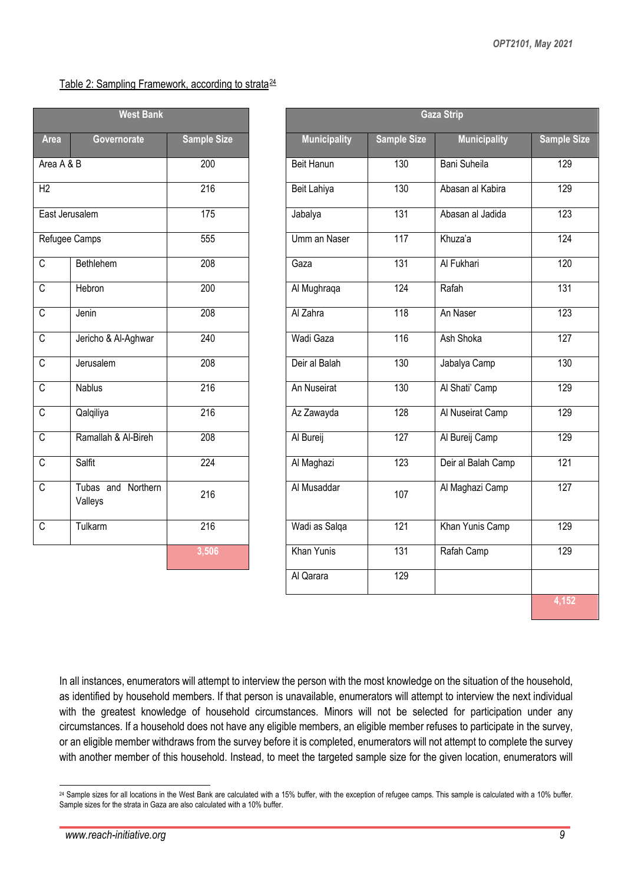#### Table 2: Sampling Framework, according to strata<sup>[24](#page-8-0)</sup>

|                | <b>West Bank</b>                 |                    |
|----------------|----------------------------------|--------------------|
| <b>Area</b>    | Governorate                      | <b>Sample Size</b> |
| Area A & B     |                                  | 200                |
| H2             |                                  | $\overline{216}$   |
| East Jerusalem |                                  | 175                |
| Refugee Camps  |                                  | 555                |
| C              | Bethlehem                        | 208                |
| C              | Hebron                           | 200                |
| C              | Jenin                            | 208                |
| C              | Jericho & Al-Aghwar              | 240                |
| C              | Jerusalem                        | 208                |
| C              | <b>Nablus</b>                    | $\overline{216}$   |
| C              | Qalqiliya                        | $\overline{216}$   |
| C              | Ramallah & Al-Bireh              | 208                |
| C              | Salfit                           | $\overline{224}$   |
| C              | and Northern<br>Tubas<br>Valleys | 216                |
| C              | Tulkarm                          | 216                |
|                |                                  | 3,506              |

| <b>West Bank</b>                 |                               |                    |  |
|----------------------------------|-------------------------------|--------------------|--|
| Area                             | Governorate                   | <b>Sample Size</b> |  |
| Area A & B                       |                               | 200                |  |
| $\overline{H2}$                  |                               | 216                |  |
|                                  | East Jerusalem                | 175                |  |
|                                  | Refugee Camps                 | 555                |  |
| $\overline{\mathsf{C}}$          | Bethlehem                     | 208                |  |
| $\overline{\mathrm{c}}$          | Hebron                        | 200                |  |
| $\overline{\mathsf{C}}$          | Jenin                         | 208                |  |
| $\overline{\overline{\text{C}}}$ | Jericho & Al-Aghwar           | 240                |  |
| $\overline{\mathsf{C}}$          | Jerusalem                     | 208                |  |
| $\overline{\mathsf{C}}$          | <b>Nablus</b>                 | 216                |  |
| $\overline{\mathsf{C}}$          | Qalqiliya                     | 216                |  |
| $\overline{\overline{\text{c}}}$ | Ramallah & Al-Bireh           | 208                |  |
| $\overline{\text{c}}$            | <b>Salfit</b>                 | 224                |  |
| $\overline{\mathsf{C}}$          | Tubas and Northern<br>Valleys | 216                |  |
| $\overline{\mathsf{C}}$          | Tulkarm                       | 216                |  |
|                                  |                               | 3,506              |  |
|                                  |                               |                    |  |
|                                  |                               |                    |  |

In all instances, enumerators will attempt to interview the person with the most knowledge on the situation of the household, as identified by household members. If that person is unavailable, enumerators will attempt to interview the next individual with the greatest knowledge of household circumstances. Minors will not be selected for participation under any circumstances. If a household does not have any eligible members, an eligible member refuses to participate in the survey, or an eligible member withdraws from the survey before it is completed, enumerators will not attempt to complete the survey with another member of this household. Instead, to meet the targeted sample size for the given location, enumerators will

<span id="page-8-0"></span><sup>&</sup>lt;sup>24</sup> Sample sizes for all locations in the West Bank are calculated with a 15% buffer, with the exception of refugee camps. This sample is calculated with a 10% buffer. Sample sizes for the strata in Gaza are also calculated with a 10% buffer.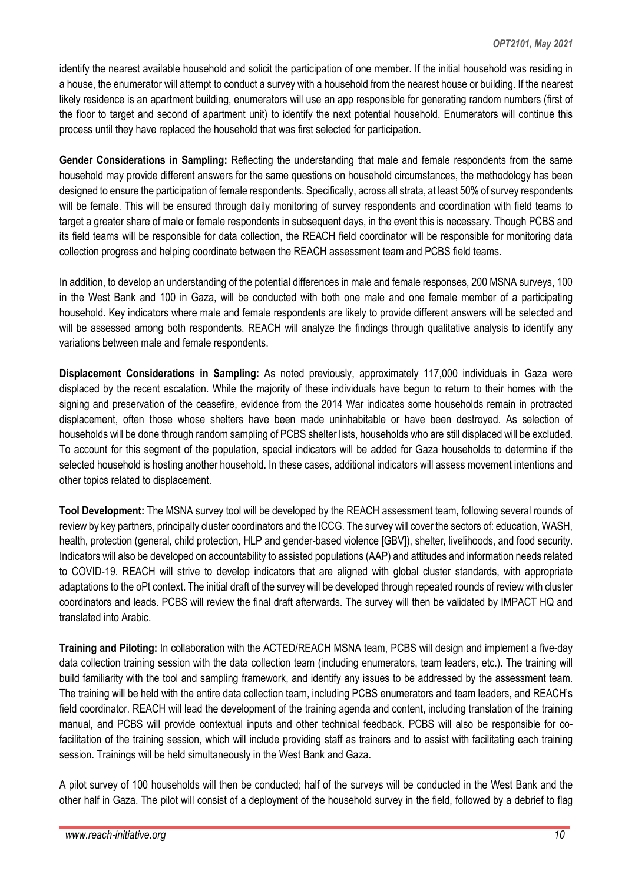identify the nearest available household and solicit the participation of one member. If the initial household was residing in a house, the enumerator will attempt to conduct a survey with a household from the nearest house or building. If the nearest likely residence is an apartment building, enumerators will use an app responsible for generating random numbers (first of the floor to target and second of apartment unit) to identify the next potential household. Enumerators will continue this process until they have replaced the household that was first selected for participation.

**Gender Considerations in Sampling:** Reflecting the understanding that male and female respondents from the same household may provide different answers for the same questions on household circumstances, the methodology has been designed to ensure the participation of female respondents. Specifically, across all strata, at least 50% of survey respondents will be female. This will be ensured through daily monitoring of survey respondents and coordination with field teams to target a greater share of male or female respondents in subsequent days, in the event this is necessary. Though PCBS and its field teams will be responsible for data collection, the REACH field coordinator will be responsible for monitoring data collection progress and helping coordinate between the REACH assessment team and PCBS field teams.

In addition, to develop an understanding of the potential differences in male and female responses, 200 MSNA surveys, 100 in the West Bank and 100 in Gaza, will be conducted with both one male and one female member of a participating household. Key indicators where male and female respondents are likely to provide different answers will be selected and will be assessed among both respondents. REACH will analyze the findings through qualitative analysis to identify any variations between male and female respondents.

**Displacement Considerations in Sampling:** As noted previously, approximately 117,000 individuals in Gaza were displaced by the recent escalation. While the majority of these individuals have begun to return to their homes with the signing and preservation of the ceasefire, evidence from the 2014 War indicates some households remain in protracted displacement, often those whose shelters have been made uninhabitable or have been destroyed. As selection of households will be done through random sampling of PCBS shelter lists, households who are still displaced will be excluded. To account for this segment of the population, special indicators will be added for Gaza households to determine if the selected household is hosting another household. In these cases, additional indicators will assess movement intentions and other topics related to displacement.

**Tool Development:** The MSNA survey tool will be developed by the REACH assessment team, following several rounds of review by key partners, principally cluster coordinators and the ICCG. The survey will cover the sectors of: education, WASH, health, protection (general, child protection, HLP and gender-based violence [GBV]), shelter, livelihoods, and food security. Indicators will also be developed on accountability to assisted populations (AAP) and attitudes and information needs related to COVID-19. REACH will strive to develop indicators that are aligned with global cluster standards, with appropriate adaptations to the oPt context. The initial draft of the survey will be developed through repeated rounds of review with cluster coordinators and leads. PCBS will review the final draft afterwards. The survey will then be validated by IMPACT HQ and translated into Arabic.

**Training and Piloting:** In collaboration with the ACTED/REACH MSNA team, PCBS will design and implement a five-day data collection training session with the data collection team (including enumerators, team leaders, etc.). The training will build familiarity with the tool and sampling framework, and identify any issues to be addressed by the assessment team. The training will be held with the entire data collection team, including PCBS enumerators and team leaders, and REACH's field coordinator. REACH will lead the development of the training agenda and content, including translation of the training manual, and PCBS will provide contextual inputs and other technical feedback. PCBS will also be responsible for cofacilitation of the training session, which will include providing staff as trainers and to assist with facilitating each training session. Trainings will be held simultaneously in the West Bank and Gaza.

A pilot survey of 100 households will then be conducted; half of the surveys will be conducted in the West Bank and the other half in Gaza. The pilot will consist of a deployment of the household survey in the field, followed by a debrief to flag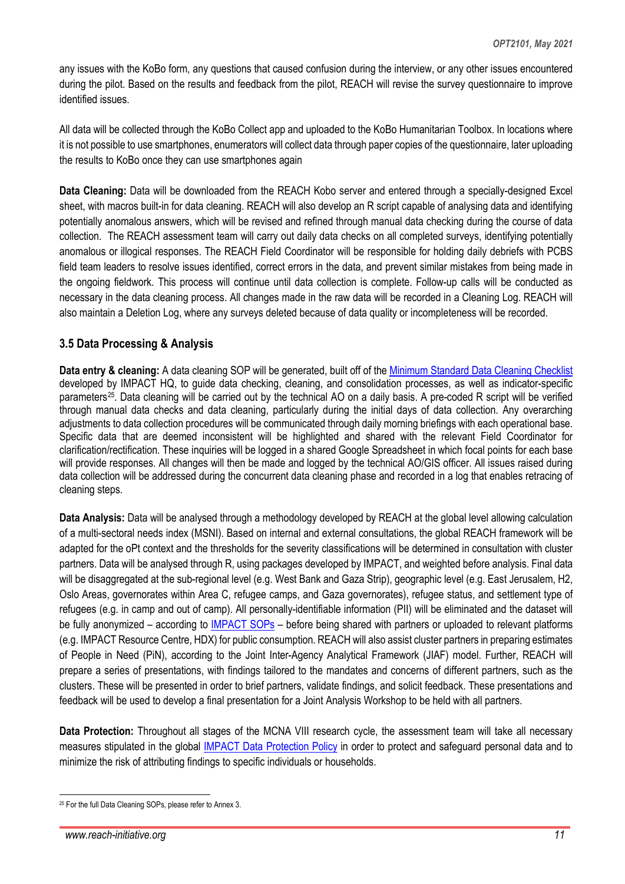any issues with the KoBo form, any questions that caused confusion during the interview, or any other issues encountered during the pilot. Based on the results and feedback from the pilot, REACH will revise the survey questionnaire to improve identified issues.

All data will be collected through the KoBo Collect app and uploaded to the KoBo Humanitarian Toolbox. In locations where it is not possible to use smartphones, enumerators will collect data through paper copies of the questionnaire, later uploading the results to KoBo once they can use smartphones again

**Data Cleaning:** Data will be downloaded from the REACH Kobo server and entered through a specially-designed Excel sheet, with macros built-in for data cleaning. REACH will also develop an R script capable of analysing data and identifying potentially anomalous answers, which will be revised and refined through manual data checking during the course of data collection. The REACH assessment team will carry out daily data checks on all completed surveys, identifying potentially anomalous or illogical responses. The REACH Field Coordinator will be responsible for holding daily debriefs with PCBS field team leaders to resolve issues identified, correct errors in the data, and prevent similar mistakes from being made in the ongoing fieldwork. This process will continue until data collection is complete. Follow-up calls will be conducted as necessary in the data cleaning process. All changes made in the raw data will be recorded in a Cleaning Log. REACH will also maintain a Deletion Log, where any surveys deleted because of data quality or incompleteness will be recorded.

#### **3.5 Data Processing & Analysis**

**Data entry & cleaning:** A data cleaning SOP will be generated, built off of the [Minimum Standard Data Cleaning Checklist](https://www.reachresourcecentre.info/wp-content/uploads/2020/03/IMPACT_Memo_Data-Cleaning-Min-Standards-Checklist_28012020-1.pdf) developed by IMPACT HQ, to guide data checking, cleaning, and consolidation processes, as well as indicator-specific parameters<sup>25</sup>. Data cleaning will be carried out by the technical AO on a daily basis. A pre-coded R script will be verified through manual data checks and data cleaning, particularly during the initial days of data collection. Any overarching adjustments to data collection procedures will be communicated through daily morning briefings with each operational base. Specific data that are deemed inconsistent will be highlighted and shared with the relevant Field Coordinator for clarification/rectification. These inquiries will be logged in a shared Google Spreadsheet in which focal points for each base will provide responses. All changes will then be made and logged by the technical AO/GIS officer. All issues raised during data collection will be addressed during the concurrent data cleaning phase and recorded in a log that enables retracing of cleaning steps.

**Data Analysis:** Data will be analysed through a methodology developed by REACH at the global level allowing calculation of a multi-sectoral needs index (MSNI). Based on internal and external consultations, the global REACH framework will be adapted for the oPt context and the thresholds for the severity classifications will be determined in consultation with cluster partners. Data will be analysed through R, using packages developed by IMPACT, and weighted before analysis. Final data will be disaggregated at the sub-regional level (e.g. West Bank and Gaza Strip), geographic level (e.g. East Jerusalem, H2, Oslo Areas, governorates within Area C, refugee camps, and Gaza governorates), refugee status, and settlement type of refugees (e.g. in camp and out of camp). All personally-identifiable information (PII) will be eliminated and the dataset will be fully anonymized – according to [IMPACT SOPs](https://www.impact-repository.org/wp-content/uploads/2019/08/SOP_data_protection_PII.pdf) – before being shared with partners or uploaded to relevant platforms (e.g. IMPACT Resource Centre, HDX) for public consumption. REACH will also assist cluster partners in preparing estimates of People in Need (PiN), according to the Joint Inter-Agency Analytical Framework (JIAF) model. Further, REACH will prepare a series of presentations, with findings tailored to the mandates and concerns of different partners, such as the clusters. These will be presented in order to brief partners, validate findings, and solicit feedback. These presentations and feedback will be used to develop a final presentation for a Joint Analysis Workshop to be held with all partners.

**Data Protection:** Throughout all stages of the MCNA VIII research cycle, the assessment team will take all necessary measures stipulated in the global [IMPACT Data Protection Policy](https://www.impact-initiatives.org/wp-content/uploads/2019/07/IMPACT-data-protection-policy_EN_2019_EN_v1.1.pdf) in order to protect and safeguard personal data and to minimize the risk of attributing findings to specific individuals or households.

<span id="page-10-0"></span> <sup>25</sup> For the full Data Cleaning SOPs, please refer to Annex 3.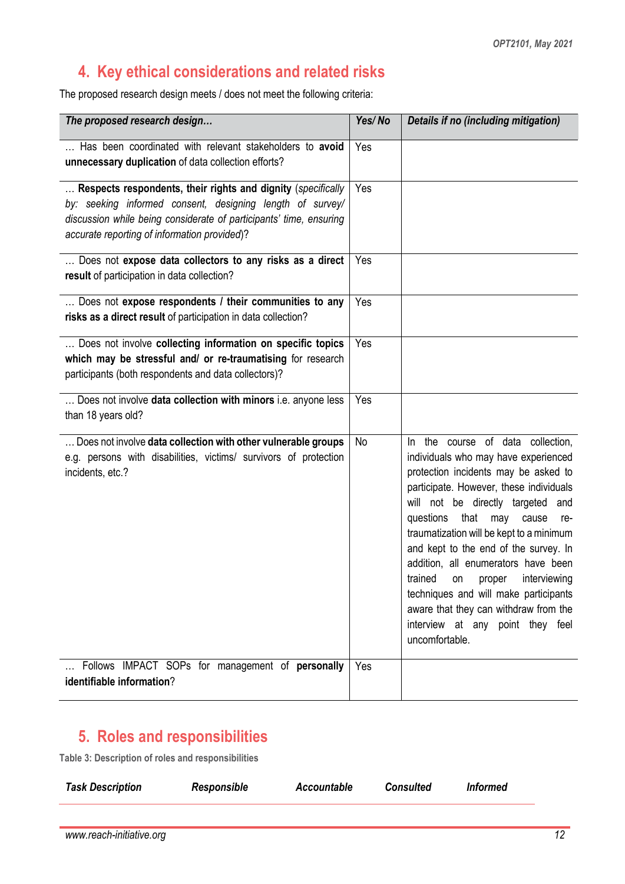### **4. Key ethical considerations and related risks**

The proposed research design meets / does not meet the following criteria:

| The proposed research design                                                                                                                                                                                                                    | Yes/No | Details if no (including mitigation)                                                                                                                                                                                                                                                                                                                                                                                                                                                                                                                |
|-------------------------------------------------------------------------------------------------------------------------------------------------------------------------------------------------------------------------------------------------|--------|-----------------------------------------------------------------------------------------------------------------------------------------------------------------------------------------------------------------------------------------------------------------------------------------------------------------------------------------------------------------------------------------------------------------------------------------------------------------------------------------------------------------------------------------------------|
| Has been coordinated with relevant stakeholders to avoid<br>unnecessary duplication of data collection efforts?                                                                                                                                 | Yes    |                                                                                                                                                                                                                                                                                                                                                                                                                                                                                                                                                     |
| Respects respondents, their rights and dignity (specifically<br>by: seeking informed consent, designing length of survey/<br>discussion while being considerate of participants' time, ensuring<br>accurate reporting of information provided)? | Yes    |                                                                                                                                                                                                                                                                                                                                                                                                                                                                                                                                                     |
| Does not expose data collectors to any risks as a direct<br>result of participation in data collection?                                                                                                                                         | Yes    |                                                                                                                                                                                                                                                                                                                                                                                                                                                                                                                                                     |
| Does not expose respondents / their communities to any<br>risks as a direct result of participation in data collection?                                                                                                                         | Yes    |                                                                                                                                                                                                                                                                                                                                                                                                                                                                                                                                                     |
| Does not involve collecting information on specific topics<br>which may be stressful and/ or re-traumatising for research<br>participants (both respondents and data collectors)?                                                               | Yes    |                                                                                                                                                                                                                                                                                                                                                                                                                                                                                                                                                     |
| Does not involve data collection with minors i.e. anyone less<br>than 18 years old?                                                                                                                                                             | Yes    |                                                                                                                                                                                                                                                                                                                                                                                                                                                                                                                                                     |
| Does not involve data collection with other vulnerable groups<br>e.g. persons with disabilities, victims/ survivors of protection<br>incidents, etc.?                                                                                           | No     | In the course of data collection,<br>individuals who may have experienced<br>protection incidents may be asked to<br>participate. However, these individuals<br>will not be directly targeted and<br>that<br>questions<br>may<br>cause<br>re-<br>traumatization will be kept to a minimum<br>and kept to the end of the survey. In<br>addition, all enumerators have been<br>trained on proper interviewing<br>techniques and will make participants<br>aware that they can withdraw from the<br>interview at any point they feel<br>uncomfortable. |
| Follows IMPACT SOPs for management of personally<br>identifiable information?                                                                                                                                                                   | Yes    |                                                                                                                                                                                                                                                                                                                                                                                                                                                                                                                                                     |

### **5. Roles and responsibilities**

**Table 3: Description of roles and responsibilities**

| <b>Task Description</b> | Responsible | Accountable | Consulted | <i>Informed</i> |
|-------------------------|-------------|-------------|-----------|-----------------|
|                         |             |             |           |                 |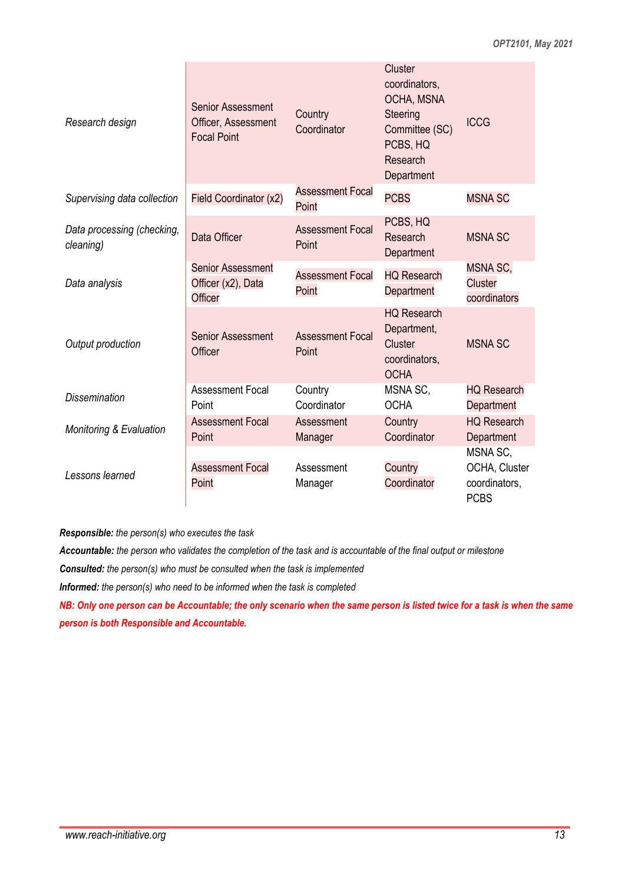| Research design                         | <b>Senior Assessment</b><br>Officer, Assessment<br><b>Focal Point</b> | Country<br>Coordinator           | Cluster<br>coordinators,<br>OCHA, MSNA<br>Steering<br>Committee (SC)<br>PCBS, HQ<br>Research<br>Department | <b>ICCG</b>                                               |
|-----------------------------------------|-----------------------------------------------------------------------|----------------------------------|------------------------------------------------------------------------------------------------------------|-----------------------------------------------------------|
| Supervising data collection             | Field Coordinator (x2)                                                | <b>Assessment Focal</b><br>Point | <b>PCBS</b>                                                                                                | <b>MSNA SC</b>                                            |
| Data processing (checking,<br>cleaning) | Data Officer                                                          | <b>Assessment Focal</b><br>Point | PCBS, HQ<br>Research<br>Department                                                                         | <b>MSNA SC</b>                                            |
| Data analysis                           | <b>Senior Assessment</b><br>Officer (x2), Data<br>Officer             | <b>Assessment Focal</b><br>Point | <b>HQ Research</b><br>Department                                                                           | MSNA SC,<br><b>Cluster</b><br>coordinators                |
| Output production                       | <b>Senior Assessment</b><br>Officer                                   | <b>Assessment Focal</b><br>Point | <b>HQ Research</b><br>Department,<br>Cluster<br>coordinators,<br><b>OCHA</b>                               | <b>MSNA SC</b>                                            |
| <b>Dissemination</b>                    | <b>Assessment Focal</b><br>Point                                      | Country<br>Coordinator           | MSNA SC,<br><b>OCHA</b>                                                                                    | <b>HQ Research</b><br>Department                          |
| <b>Monitoring &amp; Evaluation</b>      | <b>Assessment Focal</b><br>Point                                      | Assessment<br>Manager            | Country<br>Coordinator                                                                                     | <b>HQ Research</b><br>Department                          |
| Lessons learned                         | <b>Assessment Focal</b><br>Point                                      | Assessment<br>Manager            | Country<br>Coordinator                                                                                     | MSNA SC,<br>OCHA, Cluster<br>coordinators,<br><b>PCBS</b> |

*Responsible: the person(s) who executes the task*

*Accountable: the person who validates the completion of the task and is accountable of the final output or milestone*

*Consulted: the person(s) who must be consulted when the task is implemented*

*Informed: the person(s) who need to be informed when the task is completed*

*NB: Only one person can be Accountable; the only scenario when the same person is listed twice for a task is when the same person is both Responsible and Accountable.*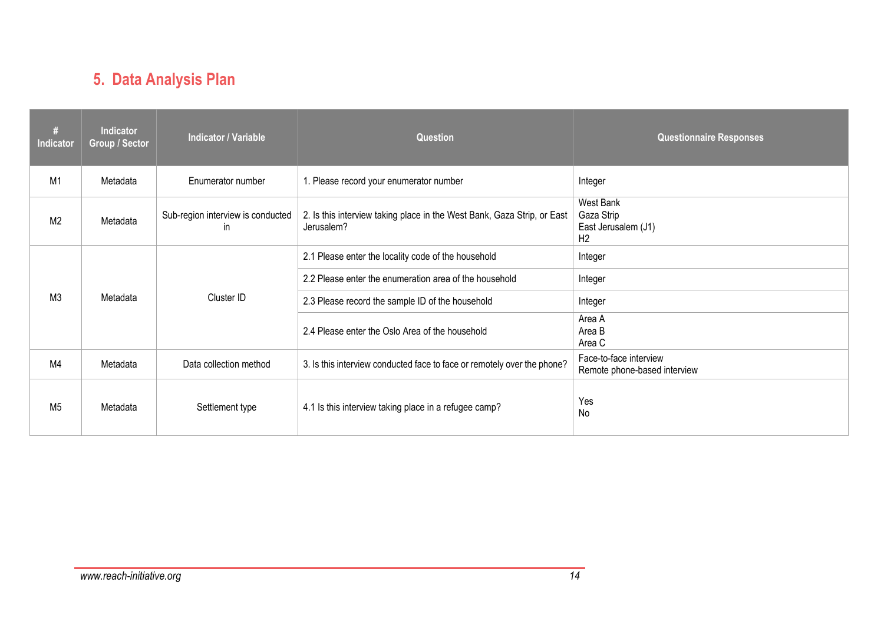# **5. Data Analysis Plan**

| #<br>Indicator | <b>Indicator</b><br><b>Group / Sector</b> | <b>Indicator / Variable</b>              | <b>Question</b>                                                                       | <b>Questionnaire Responses</b>                                   |
|----------------|-------------------------------------------|------------------------------------------|---------------------------------------------------------------------------------------|------------------------------------------------------------------|
| M1             | Metadata                                  | Enumerator number                        | 1. Please record your enumerator number                                               | Integer                                                          |
| M <sub>2</sub> | Metadata                                  | Sub-region interview is conducted<br>in. | 2. Is this interview taking place in the West Bank, Gaza Strip, or East<br>Jerusalem? | West Bank<br>Gaza Strip<br>East Jerusalem (J1)<br>H <sub>2</sub> |
|                |                                           |                                          | 2.1 Please enter the locality code of the household                                   | Integer                                                          |
|                |                                           | Cluster ID                               | 2.2 Please enter the enumeration area of the household                                | Integer                                                          |
| M <sub>3</sub> | Metadata                                  |                                          | 2.3 Please record the sample ID of the household                                      | Integer                                                          |
|                |                                           |                                          | 2.4 Please enter the Oslo Area of the household                                       | Area A<br>Area B<br>Area C                                       |
| M4             | Metadata                                  | Data collection method                   | 3. Is this interview conducted face to face or remotely over the phone?               | Face-to-face interview<br>Remote phone-based interview           |
| M <sub>5</sub> | Metadata                                  | Settlement type                          | 4.1 Is this interview taking place in a refugee camp?                                 | Yes<br>No                                                        |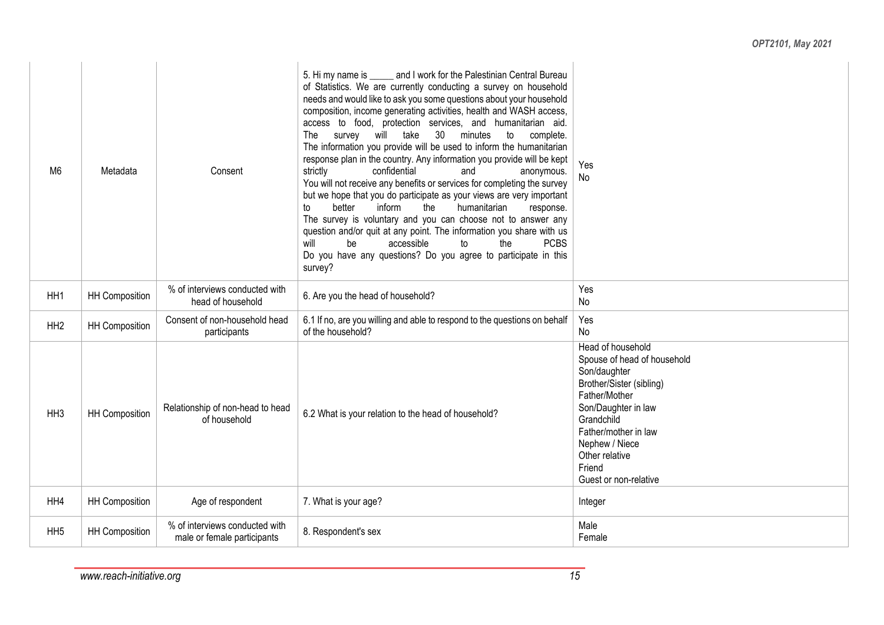| M <sub>6</sub>  | Metadata              | Consent                                                       | 5. Hi my name is ______ and I work for the Palestinian Central Bureau<br>of Statistics. We are currently conducting a survey on household<br>needs and would like to ask you some questions about your household<br>composition, income generating activities, health and WASH access,<br>access to food, protection services, and humanitarian aid.<br>survey will take<br>30 <sup>2</sup><br>The<br>minutes<br>to<br>complete.<br>The information you provide will be used to inform the humanitarian<br>response plan in the country. Any information you provide will be kept<br>strictly<br>confidential<br>and<br>anonymous.<br>You will not receive any benefits or services for completing the survey<br>but we hope that you do participate as your views are very important<br>better<br>inform<br>humanitarian<br>to<br>the<br>response.<br>The survey is voluntary and you can choose not to answer any<br>question and/or quit at any point. The information you share with us<br>will<br>accessible<br>the<br><b>PCBS</b><br>be<br>to<br>Do you have any questions? Do you agree to participate in this<br>survey? | Yes<br>No                                                                                                                                                                                                                                         |
|-----------------|-----------------------|---------------------------------------------------------------|----------------------------------------------------------------------------------------------------------------------------------------------------------------------------------------------------------------------------------------------------------------------------------------------------------------------------------------------------------------------------------------------------------------------------------------------------------------------------------------------------------------------------------------------------------------------------------------------------------------------------------------------------------------------------------------------------------------------------------------------------------------------------------------------------------------------------------------------------------------------------------------------------------------------------------------------------------------------------------------------------------------------------------------------------------------------------------------------------------------------------------|---------------------------------------------------------------------------------------------------------------------------------------------------------------------------------------------------------------------------------------------------|
| HH1             | <b>HH Composition</b> | % of interviews conducted with<br>head of household           | 6. Are you the head of household?                                                                                                                                                                                                                                                                                                                                                                                                                                                                                                                                                                                                                                                                                                                                                                                                                                                                                                                                                                                                                                                                                                | Yes<br>No                                                                                                                                                                                                                                         |
| HH <sub>2</sub> | <b>HH Composition</b> | Consent of non-household head<br>participants                 | 6.1 If no, are you willing and able to respond to the questions on behalf<br>of the household?                                                                                                                                                                                                                                                                                                                                                                                                                                                                                                                                                                                                                                                                                                                                                                                                                                                                                                                                                                                                                                   | Yes<br>No                                                                                                                                                                                                                                         |
| HH <sub>3</sub> | <b>HH Composition</b> | Relationship of non-head to head<br>of household              | 6.2 What is your relation to the head of household?                                                                                                                                                                                                                                                                                                                                                                                                                                                                                                                                                                                                                                                                                                                                                                                                                                                                                                                                                                                                                                                                              | Head of household<br>Spouse of head of household<br>Son/daughter<br>Brother/Sister (sibling)<br>Father/Mother<br>Son/Daughter in law<br>Grandchild<br>Father/mother in law<br>Nephew / Niece<br>Other relative<br>Friend<br>Guest or non-relative |
| HH4             | <b>HH Composition</b> | Age of respondent                                             | 7. What is your age?                                                                                                                                                                                                                                                                                                                                                                                                                                                                                                                                                                                                                                                                                                                                                                                                                                                                                                                                                                                                                                                                                                             | Integer                                                                                                                                                                                                                                           |
| HH <sub>5</sub> | <b>HH Composition</b> | % of interviews conducted with<br>male or female participants | 8. Respondent's sex                                                                                                                                                                                                                                                                                                                                                                                                                                                                                                                                                                                                                                                                                                                                                                                                                                                                                                                                                                                                                                                                                                              | Male<br>Female                                                                                                                                                                                                                                    |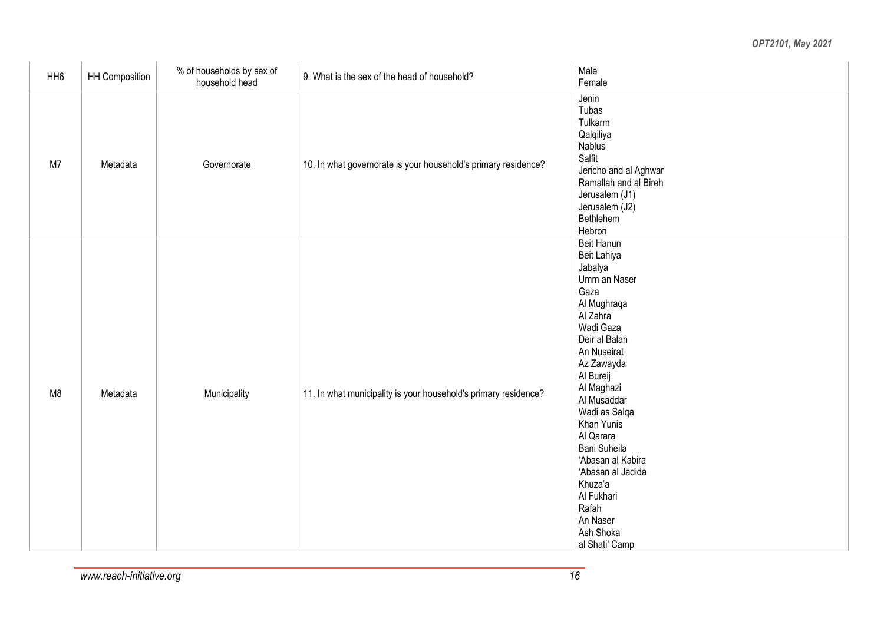| HH <sub>6</sub> | HH Composition | % of households by sex of<br>household head | 9. What is the sex of the head of household?                    | Male<br>Female                                                                                                                                                                                                                                                                                                                                                                         |
|-----------------|----------------|---------------------------------------------|-----------------------------------------------------------------|----------------------------------------------------------------------------------------------------------------------------------------------------------------------------------------------------------------------------------------------------------------------------------------------------------------------------------------------------------------------------------------|
| M7              | Metadata       | Governorate                                 | 10. In what governorate is your household's primary residence?  | Jenin<br>Tubas<br>Tulkarm<br>Qalqiliya<br><b>Nablus</b><br>Salfit<br>Jericho and al Aghwar<br>Ramallah and al Bireh<br>Jerusalem (J1)<br>Jerusalem (J2)<br>Bethlehem<br>Hebron                                                                                                                                                                                                         |
| M <sub>8</sub>  | Metadata       | Municipality                                | 11. In what municipality is your household's primary residence? | <b>Beit Hanun</b><br>Beit Lahiya<br>Jabalya<br>Umm an Naser<br>Gaza<br>Al Mughraqa<br>Al Zahra<br>Wadi Gaza<br>Deir al Balah<br>An Nuseirat<br>Az Zawayda<br>Al Bureij<br>Al Maghazi<br>Al Musaddar<br>Wadi as Salqa<br>Khan Yunis<br>Al Qarara<br>Bani Suheila<br>'Abasan al Kabira<br>'Abasan al Jadida<br>Khuza'a<br>Al Fukhari<br>Rafah<br>An Naser<br>Ash Shoka<br>al Shati' Camp |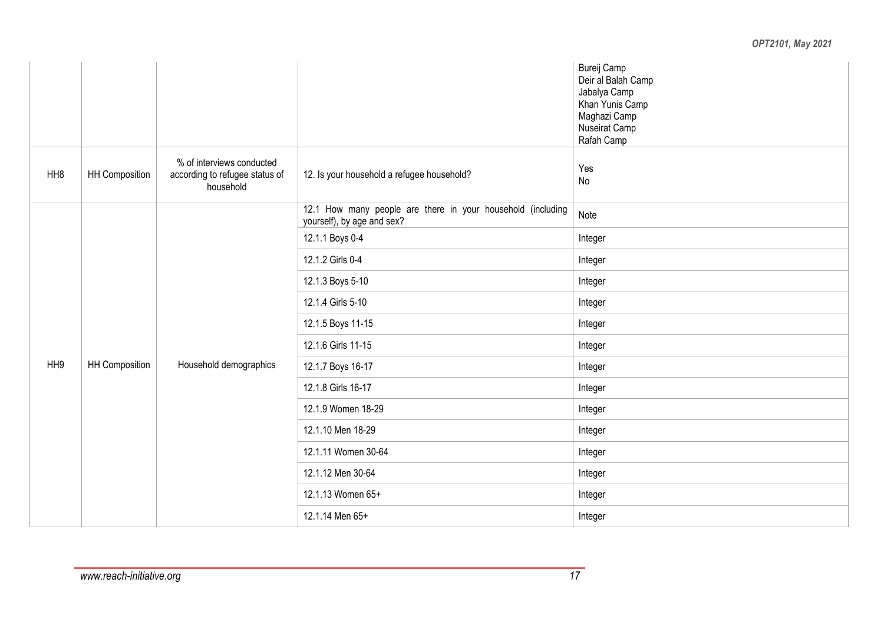|                 |                       |                                                                          |                                                                                           | Bureij Camp<br>Deir al Balah Camp<br>Jabalya Camp<br>Khan Yunis Camp<br>Maghazi Camp<br>Nuseirat Camp<br>Rafah Camp |
|-----------------|-----------------------|--------------------------------------------------------------------------|-------------------------------------------------------------------------------------------|---------------------------------------------------------------------------------------------------------------------|
| HH <sub>8</sub> | HH Composition        | % of interviews conducted<br>according to refugee status of<br>household | 12. Is your household a refugee household?                                                | Yes<br>No                                                                                                           |
|                 |                       |                                                                          | 12.1 How many people are there in your household (including<br>yourself), by age and sex? | Note                                                                                                                |
|                 |                       |                                                                          | 12.1.1 Boys 0-4                                                                           | Integer<br>Integer<br>Integer<br>Integer                                                                            |
|                 |                       |                                                                          | 12.1.2 Girls 0-4                                                                          |                                                                                                                     |
|                 |                       |                                                                          | 12.1.3 Boys 5-10                                                                          |                                                                                                                     |
|                 |                       |                                                                          | 12.1.4 Girls 5-10                                                                         |                                                                                                                     |
|                 |                       |                                                                          | 12.1.5 Boys 11-15                                                                         | Integer                                                                                                             |
|                 |                       |                                                                          | 12.1.6 Girls 11-15                                                                        | Integer                                                                                                             |
| HH <sub>9</sub> | <b>HH Composition</b> | Household demographics                                                   | 12.1.7 Boys 16-17                                                                         | Integer                                                                                                             |
|                 | 12.1.8 Girls 16-17    | Integer                                                                  |                                                                                           |                                                                                                                     |
|                 |                       |                                                                          | 12.1.9 Women 18-29                                                                        | Integer                                                                                                             |
|                 |                       |                                                                          | 12.1.10 Men 18-29                                                                         | Integer                                                                                                             |
|                 |                       |                                                                          | 12.1.11 Women 30-64                                                                       | Integer                                                                                                             |
|                 |                       |                                                                          | 12.1.12 Men 30-64                                                                         | Integer                                                                                                             |
|                 |                       |                                                                          | 12.1.13 Women 65+                                                                         | Integer                                                                                                             |
|                 |                       |                                                                          | 12.1.14 Men 65+                                                                           | Integer                                                                                                             |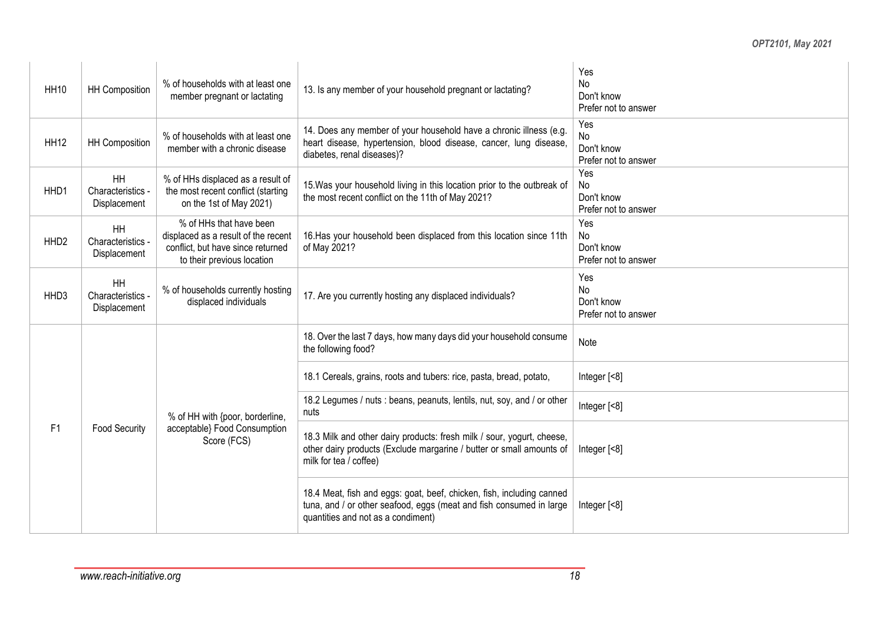| <b>HH10</b>      | <b>HH Composition</b>                   | % of households with at least one<br>member pregnant or lactating                                                                 | 13. Is any member of your household pregnant or lactating?                                                                                                                         | Yes<br>No<br>Don't know<br>Prefer not to answer        |
|------------------|-----------------------------------------|-----------------------------------------------------------------------------------------------------------------------------------|------------------------------------------------------------------------------------------------------------------------------------------------------------------------------------|--------------------------------------------------------|
| <b>HH12</b>      | <b>HH Composition</b>                   | % of households with at least one<br>member with a chronic disease                                                                | 14. Does any member of your household have a chronic illness (e.g.<br>heart disease, hypertension, blood disease, cancer, lung disease,<br>diabetes, renal diseases)?              | Yes<br><b>No</b><br>Don't know<br>Prefer not to answer |
| HHD1             | HH<br>Characteristics<br>Displacement   | % of HHs displaced as a result of<br>the most recent conflict (starting<br>on the 1st of May 2021)                                | 15. Was your household living in this location prior to the outbreak of<br>the most recent conflict on the 11th of May 2021?                                                       | Yes<br>No<br>Don't know<br>Prefer not to answer        |
| HHD <sub>2</sub> | HH<br>Characteristics<br>Displacement   | % of HHs that have been<br>displaced as a result of the recent<br>conflict, but have since returned<br>to their previous location | 16. Has your household been displaced from this location since 11th<br>of May 2021?                                                                                                | Yes<br>No<br>Don't know<br>Prefer not to answer        |
| HHD3             | HH<br>Characteristics -<br>Displacement | % of households currently hosting<br>displaced individuals                                                                        | 17. Are you currently hosting any displaced individuals?                                                                                                                           | Yes<br>No<br>Don't know<br>Prefer not to answer        |
|                  |                                         |                                                                                                                                   | 18. Over the last 7 days, how many days did your household consume<br>the following food?                                                                                          | Note                                                   |
|                  |                                         |                                                                                                                                   | 18.1 Cereals, grains, roots and tubers: rice, pasta, bread, potato,                                                                                                                | Integer [<8]                                           |
|                  |                                         | % of HH with {poor, borderline,                                                                                                   | 18.2 Legumes / nuts : beans, peanuts, lentils, nut, soy, and / or other<br>nuts                                                                                                    | Integer [<8]                                           |
| F1               | <b>Food Security</b>                    | acceptable} Food Consumption<br>Score (FCS)                                                                                       | 18.3 Milk and other dairy products: fresh milk / sour, yogurt, cheese,<br>other dairy products (Exclude margarine / butter or small amounts of<br>milk for tea / coffee)           | Integer [<8]                                           |
|                  |                                         |                                                                                                                                   | 18.4 Meat, fish and eggs: goat, beef, chicken, fish, including canned<br>tuna, and / or other seafood, eggs (meat and fish consumed in large<br>quantities and not as a condiment) | Integer $[<8]$                                         |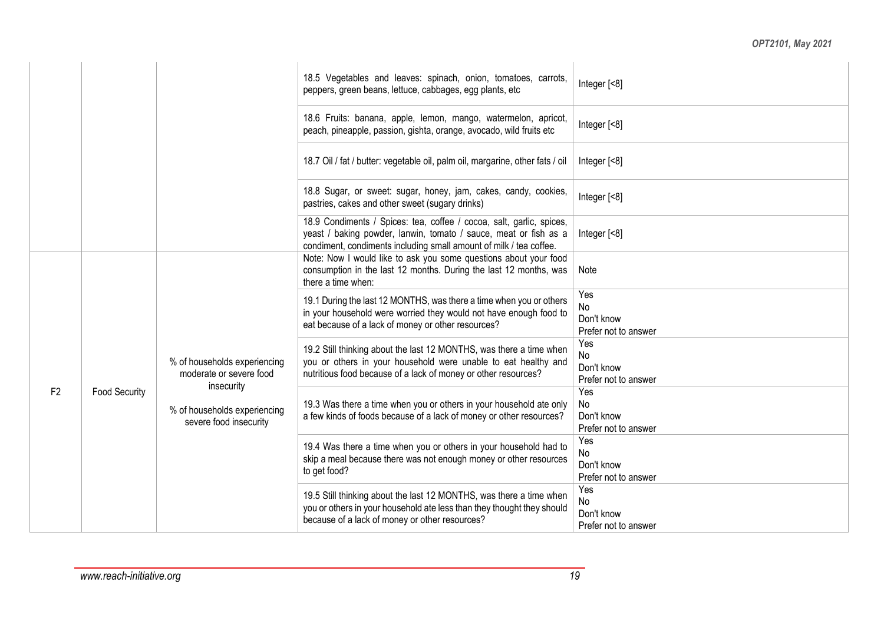|                |                      |                                                                      | 18.5 Vegetables and leaves: spinach, onion, tomatoes, carrots,<br>peppers, green beans, lettuce, cabbages, egg plants, etc                                                                                     | Integer [<8]                                           |  |
|----------------|----------------------|----------------------------------------------------------------------|----------------------------------------------------------------------------------------------------------------------------------------------------------------------------------------------------------------|--------------------------------------------------------|--|
|                |                      |                                                                      | 18.6 Fruits: banana, apple, lemon, mango, watermelon, apricot,<br>peach, pineapple, passion, gishta, orange, avocado, wild fruits etc                                                                          | Integer [<8]                                           |  |
|                |                      |                                                                      | 18.7 Oil / fat / butter: vegetable oil, palm oil, margarine, other fats / oil                                                                                                                                  | Integer $[<8]$                                         |  |
|                |                      |                                                                      | 18.8 Sugar, or sweet: sugar, honey, jam, cakes, candy, cookies,<br>pastries, cakes and other sweet (sugary drinks)                                                                                             | Integer [<8]                                           |  |
|                |                      |                                                                      | 18.9 Condiments / Spices: tea, coffee / cocoa, salt, garlic, spices,<br>yeast / baking powder, lanwin, tomato / sauce, meat or fish as a<br>condiment, condiments including small amount of milk / tea coffee. | Integer [<8]                                           |  |
| F <sub>2</sub> |                      |                                                                      | Note: Now I would like to ask you some questions about your food<br>consumption in the last 12 months. During the last 12 months, was<br>there a time when:                                                    | Note                                                   |  |
|                |                      |                                                                      | 19.1 During the last 12 MONTHS, was there a time when you or others<br>in your household were worried they would not have enough food to<br>eat because of a lack of money or other resources?                 | Yes<br>No<br>Don't know<br>Prefer not to answer        |  |
|                |                      | % of households experiencing<br>moderate or severe food              | 19.2 Still thinking about the last 12 MONTHS, was there a time when<br>you or others in your household were unable to eat healthy and<br>nutritious food because of a lack of money or other resources?        | Yes<br><b>No</b><br>Don't know<br>Prefer not to answer |  |
|                | <b>Food Security</b> | insecurity<br>% of households experiencing<br>severe food insecurity | 19.3 Was there a time when you or others in your household ate only<br>a few kinds of foods because of a lack of money or other resources?                                                                     | Yes<br>No<br>Don't know<br>Prefer not to answer        |  |
|                |                      |                                                                      | 19.4 Was there a time when you or others in your household had to<br>skip a meal because there was not enough money or other resources<br>to get food?                                                         | Yes<br>No<br>Don't know<br>Prefer not to answer        |  |
|                |                      |                                                                      | 19.5 Still thinking about the last 12 MONTHS, was there a time when<br>you or others in your household ate less than they thought they should<br>because of a lack of money or other resources?                | Yes<br>No<br>Don't know<br>Prefer not to answer        |  |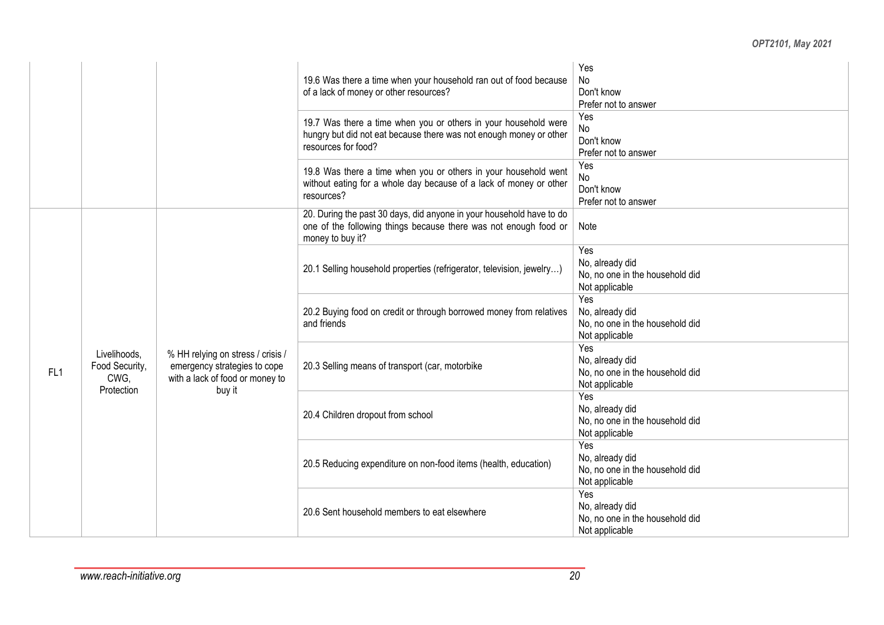|                 |                                                                       |                                                                                                                                                                                                                                                                                                                                                                                                                                                                                                                                                                                                                                                                                                                                                                                                                            | 19.6 Was there a time when your household ran out of food because<br>of a lack of money or other resources?                                                  | Yes<br>No<br>Don't know<br>Prefer not to answer        |
|-----------------|-----------------------------------------------------------------------|----------------------------------------------------------------------------------------------------------------------------------------------------------------------------------------------------------------------------------------------------------------------------------------------------------------------------------------------------------------------------------------------------------------------------------------------------------------------------------------------------------------------------------------------------------------------------------------------------------------------------------------------------------------------------------------------------------------------------------------------------------------------------------------------------------------------------|--------------------------------------------------------------------------------------------------------------------------------------------------------------|--------------------------------------------------------|
|                 |                                                                       |                                                                                                                                                                                                                                                                                                                                                                                                                                                                                                                                                                                                                                                                                                                                                                                                                            | 19.7 Was there a time when you or others in your household were<br>hungry but did not eat because there was not enough money or other<br>resources for food? | Yes<br>No<br>Don't know<br>Prefer not to answer        |
|                 |                                                                       |                                                                                                                                                                                                                                                                                                                                                                                                                                                                                                                                                                                                                                                                                                                                                                                                                            | 19.8 Was there a time when you or others in your household went<br>without eating for a whole day because of a lack of money or other<br>resources?          | Yes<br><b>No</b><br>Don't know<br>Prefer not to answer |
|                 |                                                                       |                                                                                                                                                                                                                                                                                                                                                                                                                                                                                                                                                                                                                                                                                                                                                                                                                            | 20. During the past 30 days, did anyone in your household have to do<br>one of the following things because there was not enough food or<br>money to buy it? | Note                                                   |
|                 | 20.1 Selling household properties (refrigerator, television, jewelry) | Yes<br>No, already did<br>No, no one in the household did<br>Not applicable                                                                                                                                                                                                                                                                                                                                                                                                                                                                                                                                                                                                                                                                                                                                                |                                                                                                                                                              |                                                        |
|                 |                                                                       | Yes<br>20.2 Buying food on credit or through borrowed money from relatives<br>No, already did<br>and friends<br>No, no one in the household did<br>Not applicable<br>Yes<br>% HH relying on stress / crisis /<br>No, already did<br>emergency strategies to cope<br>20.3 Selling means of transport (car, motorbike<br>No, no one in the household did<br>with a lack of food or money to<br>Not applicable<br>buy it<br>Yes<br>No, already did<br>20.4 Children dropout from school<br>No, no one in the household did<br>Not applicable<br>Yes<br>No, already did<br>20.5 Reducing expenditure on non-food items (health, education)<br>No, no one in the household did<br>Not applicable<br>Yes<br>No, already did<br>20.6 Sent household members to eat elsewhere<br>No, no one in the household did<br>Not applicable |                                                                                                                                                              |                                                        |
| FL <sub>1</sub> | Livelihoods,<br>Food Security,<br>CWG,<br>Protection                  |                                                                                                                                                                                                                                                                                                                                                                                                                                                                                                                                                                                                                                                                                                                                                                                                                            |                                                                                                                                                              |                                                        |
|                 |                                                                       |                                                                                                                                                                                                                                                                                                                                                                                                                                                                                                                                                                                                                                                                                                                                                                                                                            |                                                                                                                                                              |                                                        |
|                 |                                                                       |                                                                                                                                                                                                                                                                                                                                                                                                                                                                                                                                                                                                                                                                                                                                                                                                                            |                                                                                                                                                              |                                                        |
|                 |                                                                       |                                                                                                                                                                                                                                                                                                                                                                                                                                                                                                                                                                                                                                                                                                                                                                                                                            |                                                                                                                                                              |                                                        |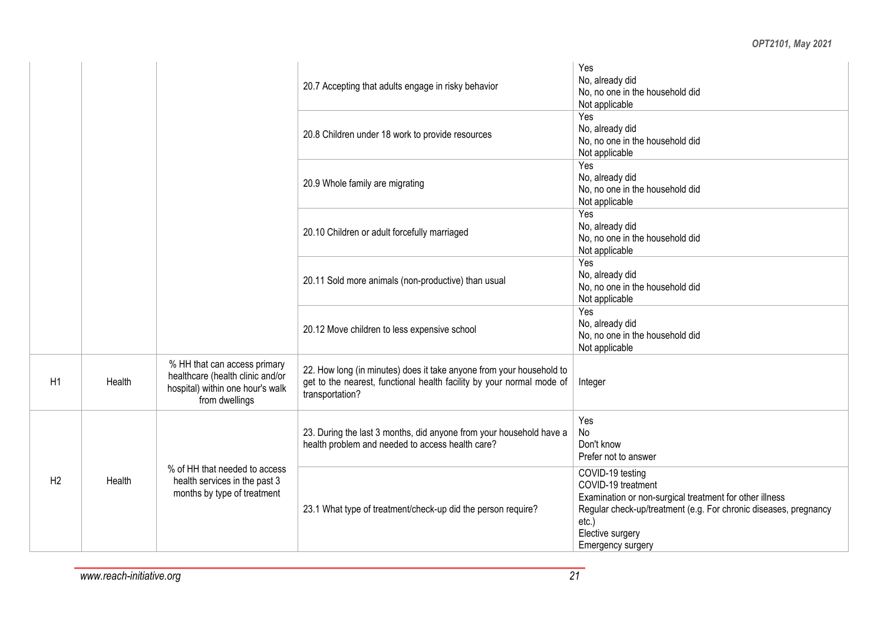|    |        |                                                                                                                        | 20.7 Accepting that adults engage in risky behavior                                                                                                              | Yes<br>No, already did<br>No, no one in the household did<br>Not applicable                                                                                                                                                |
|----|--------|------------------------------------------------------------------------------------------------------------------------|------------------------------------------------------------------------------------------------------------------------------------------------------------------|----------------------------------------------------------------------------------------------------------------------------------------------------------------------------------------------------------------------------|
|    |        |                                                                                                                        | 20.8 Children under 18 work to provide resources                                                                                                                 | Yes<br>No, already did<br>No, no one in the household did<br>Not applicable                                                                                                                                                |
|    |        |                                                                                                                        | 20.9 Whole family are migrating                                                                                                                                  | Yes<br>No, already did<br>No, no one in the household did<br>Not applicable                                                                                                                                                |
|    |        |                                                                                                                        | 20.10 Children or adult forcefully marriaged                                                                                                                     | Yes<br>No, already did<br>No, no one in the household did<br>Not applicable                                                                                                                                                |
|    |        |                                                                                                                        | 20.11 Sold more animals (non-productive) than usual                                                                                                              | Yes<br>No, already did<br>No, no one in the household did<br>Not applicable                                                                                                                                                |
|    |        |                                                                                                                        | 20.12 Move children to less expensive school                                                                                                                     | Yes<br>No, already did<br>No, no one in the household did<br>Not applicable                                                                                                                                                |
| H1 | Health | % HH that can access primary<br>healthcare (health clinic and/or<br>hospital) within one hour's walk<br>from dwellings | 22. How long (in minutes) does it take anyone from your household to<br>get to the nearest, functional health facility by your normal mode of<br>transportation? | Integer                                                                                                                                                                                                                    |
|    |        |                                                                                                                        | 23. During the last 3 months, did anyone from your household have a<br>health problem and needed to access health care?                                          | Yes<br>No<br>Don't know<br>Prefer not to answer                                                                                                                                                                            |
| H2 | Health | % of HH that needed to access<br>health services in the past 3<br>months by type of treatment                          | 23.1 What type of treatment/check-up did the person require?                                                                                                     | COVID-19 testing<br>COVID-19 treatment<br>Examination or non-surgical treatment for other illness<br>Regular check-up/treatment (e.g. For chronic diseases, pregnancy<br>$etc.$ )<br>Elective surgery<br>Emergency surgery |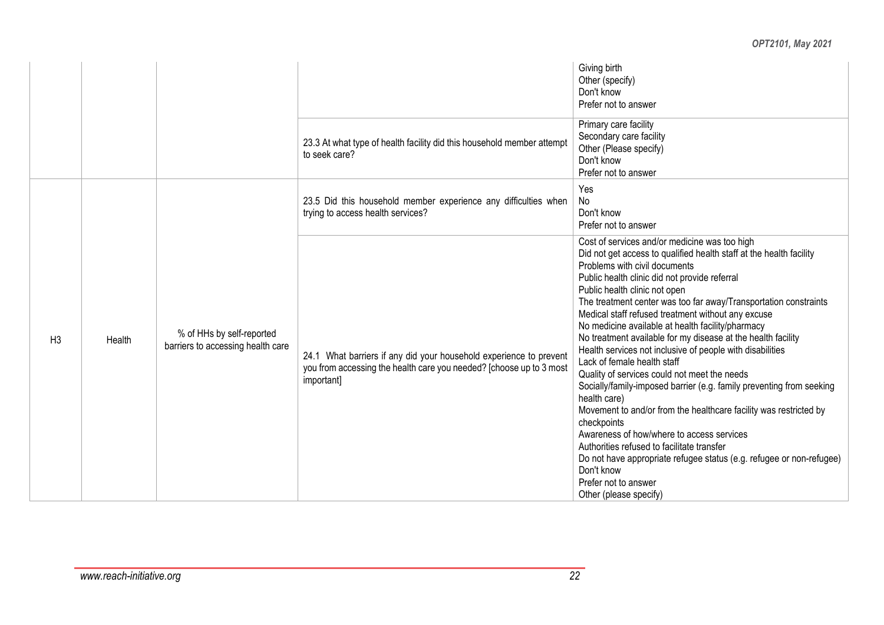|                |        |                                                                |                                                                                                                                                         | Giving birth<br>Other (specify)<br>Don't know<br>Prefer not to answer                                                                                                                                                                                                                                                                                                                                                                                                                                                                                                                                                                                                                                                                                                                                                                                                                                                                                                                                                                             |
|----------------|--------|----------------------------------------------------------------|---------------------------------------------------------------------------------------------------------------------------------------------------------|---------------------------------------------------------------------------------------------------------------------------------------------------------------------------------------------------------------------------------------------------------------------------------------------------------------------------------------------------------------------------------------------------------------------------------------------------------------------------------------------------------------------------------------------------------------------------------------------------------------------------------------------------------------------------------------------------------------------------------------------------------------------------------------------------------------------------------------------------------------------------------------------------------------------------------------------------------------------------------------------------------------------------------------------------|
|                |        |                                                                | 23.3 At what type of health facility did this household member attempt<br>to seek care?                                                                 | Primary care facility<br>Secondary care facility<br>Other (Please specify)<br>Don't know<br>Prefer not to answer                                                                                                                                                                                                                                                                                                                                                                                                                                                                                                                                                                                                                                                                                                                                                                                                                                                                                                                                  |
|                |        |                                                                | 23.5 Did this household member experience any difficulties when<br>trying to access health services?                                                    | Yes<br>No<br>Don't know<br>Prefer not to answer                                                                                                                                                                                                                                                                                                                                                                                                                                                                                                                                                                                                                                                                                                                                                                                                                                                                                                                                                                                                   |
| H <sub>3</sub> | Health | % of HHs by self-reported<br>barriers to accessing health care | 24.1 What barriers if any did your household experience to prevent<br>you from accessing the health care you needed? [choose up to 3 most<br>important] | Cost of services and/or medicine was too high<br>Did not get access to qualified health staff at the health facility<br>Problems with civil documents<br>Public health clinic did not provide referral<br>Public health clinic not open<br>The treatment center was too far away/Transportation constraints<br>Medical staff refused treatment without any excuse<br>No medicine available at health facility/pharmacy<br>No treatment available for my disease at the health facility<br>Health services not inclusive of people with disabilities<br>Lack of female health staff<br>Quality of services could not meet the needs<br>Socially/family-imposed barrier (e.g. family preventing from seeking<br>health care)<br>Movement to and/or from the healthcare facility was restricted by<br>checkpoints<br>Awareness of how/where to access services<br>Authorities refused to facilitate transfer<br>Do not have appropriate refugee status (e.g. refugee or non-refugee)<br>Don't know<br>Prefer not to answer<br>Other (please specify) |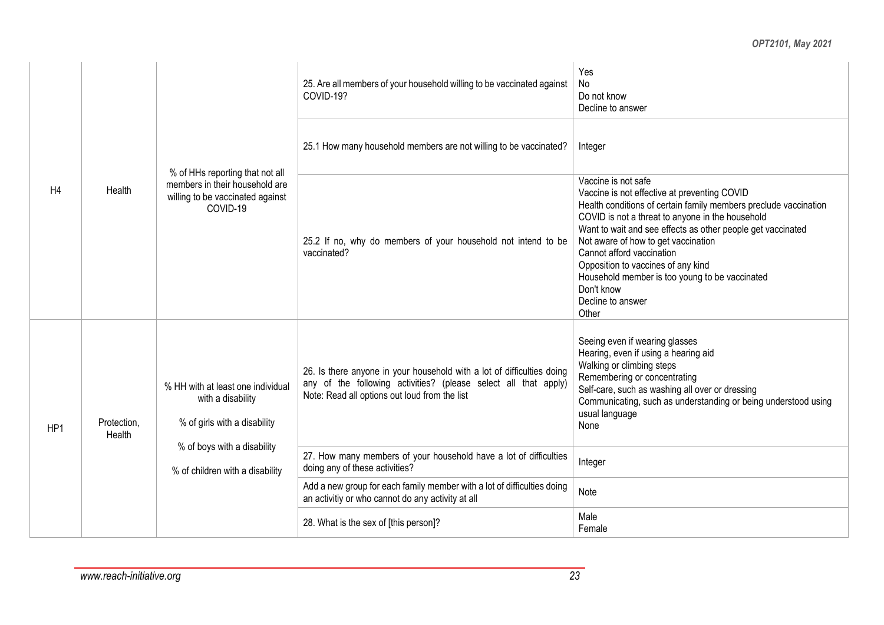| H4  |                       |                                                                                                                                                          | 25. Are all members of your household willing to be vaccinated against<br>COVID-19?                                                                                                        | Yes<br>No<br>Do not know<br>Decline to answer                                                                                                                                                                                                                                                                                                                                                                                                                      |  |  |
|-----|-----------------------|----------------------------------------------------------------------------------------------------------------------------------------------------------|--------------------------------------------------------------------------------------------------------------------------------------------------------------------------------------------|--------------------------------------------------------------------------------------------------------------------------------------------------------------------------------------------------------------------------------------------------------------------------------------------------------------------------------------------------------------------------------------------------------------------------------------------------------------------|--|--|
|     |                       |                                                                                                                                                          | 25.1 How many household members are not willing to be vaccinated?                                                                                                                          | Integer                                                                                                                                                                                                                                                                                                                                                                                                                                                            |  |  |
|     | Health                | % of HHs reporting that not all<br>members in their household are<br>willing to be vaccinated against<br>COVID-19                                        | 25.2 If no, why do members of your household not intend to be<br>vaccinated?                                                                                                               | Vaccine is not safe<br>Vaccine is not effective at preventing COVID<br>Health conditions of certain family members preclude vaccination<br>COVID is not a threat to anyone in the household<br>Want to wait and see effects as other people get vaccinated<br>Not aware of how to get vaccination<br>Cannot afford vaccination<br>Opposition to vaccines of any kind<br>Household member is too young to be vaccinated<br>Don't know<br>Decline to answer<br>Other |  |  |
| HP1 | Protection,<br>Health | % HH with at least one individual<br>with a disability<br>% of girls with a disability<br>% of boys with a disability<br>% of children with a disability | 26. Is there anyone in your household with a lot of difficulties doing<br>any of the following activities? (please select all that apply)<br>Note: Read all options out loud from the list | Seeing even if wearing glasses<br>Hearing, even if using a hearing aid<br>Walking or climbing steps<br>Remembering or concentrating<br>Self-care, such as washing all over or dressing<br>Communicating, such as understanding or being understood using<br>usual language<br>None                                                                                                                                                                                 |  |  |
|     |                       |                                                                                                                                                          | 27. How many members of your household have a lot of difficulties<br>doing any of these activities?                                                                                        | Integer                                                                                                                                                                                                                                                                                                                                                                                                                                                            |  |  |
|     |                       |                                                                                                                                                          | Add a new group for each family member with a lot of difficulties doing<br>an activitiy or who cannot do any activity at all                                                               | Note                                                                                                                                                                                                                                                                                                                                                                                                                                                               |  |  |
|     |                       |                                                                                                                                                          | 28. What is the sex of [this person]?                                                                                                                                                      | Male<br>Female                                                                                                                                                                                                                                                                                                                                                                                                                                                     |  |  |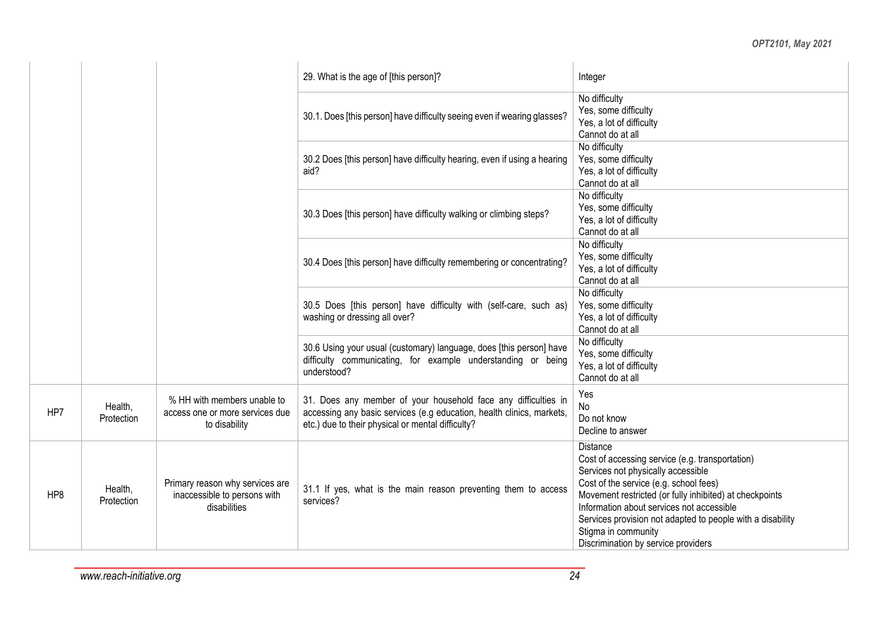|     |                       |                                                                                 | 29. What is the age of [this person]?                                                                                                                                                        | Integer                                                                                                                                                                                                                                                                                                                                                                                |
|-----|-----------------------|---------------------------------------------------------------------------------|----------------------------------------------------------------------------------------------------------------------------------------------------------------------------------------------|----------------------------------------------------------------------------------------------------------------------------------------------------------------------------------------------------------------------------------------------------------------------------------------------------------------------------------------------------------------------------------------|
|     |                       |                                                                                 | 30.1. Does [this person] have difficulty seeing even if wearing glasses?                                                                                                                     | No difficulty<br>Yes, some difficulty<br>Yes, a lot of difficulty<br>Cannot do at all                                                                                                                                                                                                                                                                                                  |
|     |                       |                                                                                 | 30.2 Does [this person] have difficulty hearing, even if using a hearing<br>aid?                                                                                                             | No difficulty<br>Yes, some difficulty<br>Yes, a lot of difficulty<br>Cannot do at all                                                                                                                                                                                                                                                                                                  |
|     |                       |                                                                                 | 30.3 Does [this person] have difficulty walking or climbing steps?                                                                                                                           | No difficulty<br>Yes, some difficulty<br>Yes, a lot of difficulty<br>Cannot do at all                                                                                                                                                                                                                                                                                                  |
|     |                       |                                                                                 | 30.4 Does [this person] have difficulty remembering or concentrating?                                                                                                                        | No difficulty<br>Yes, some difficulty<br>Yes, a lot of difficulty<br>Cannot do at all                                                                                                                                                                                                                                                                                                  |
|     |                       |                                                                                 | 30.5 Does [this person] have difficulty with (self-care, such as)<br>washing or dressing all over?                                                                                           | No difficulty<br>Yes, some difficulty<br>Yes, a lot of difficulty<br>Cannot do at all                                                                                                                                                                                                                                                                                                  |
|     |                       |                                                                                 | 30.6 Using your usual (customary) language, does [this person] have<br>difficulty communicating, for example understanding or being<br>understood?                                           | No difficulty<br>Yes, some difficulty<br>Yes, a lot of difficulty<br>Cannot do at all                                                                                                                                                                                                                                                                                                  |
| HP7 | Health,<br>Protection | % HH with members unable to<br>access one or more services due<br>to disability | 31. Does any member of your household face any difficulties in<br>accessing any basic services (e.g education, health clinics, markets,<br>etc.) due to their physical or mental difficulty? | Yes<br><b>No</b><br>Do not know<br>Decline to answer                                                                                                                                                                                                                                                                                                                                   |
| HP8 | Health,<br>Protection | Primary reason why services are<br>inaccessible to persons with<br>disabilities | 31.1 If yes, what is the main reason preventing them to access<br>services?                                                                                                                  | <b>Distance</b><br>Cost of accessing service (e.g. transportation)<br>Services not physically accessible<br>Cost of the service (e.g. school fees)<br>Movement restricted (or fully inhibited) at checkpoints<br>Information about services not accessible<br>Services provision not adapted to people with a disability<br>Stigma in community<br>Discrimination by service providers |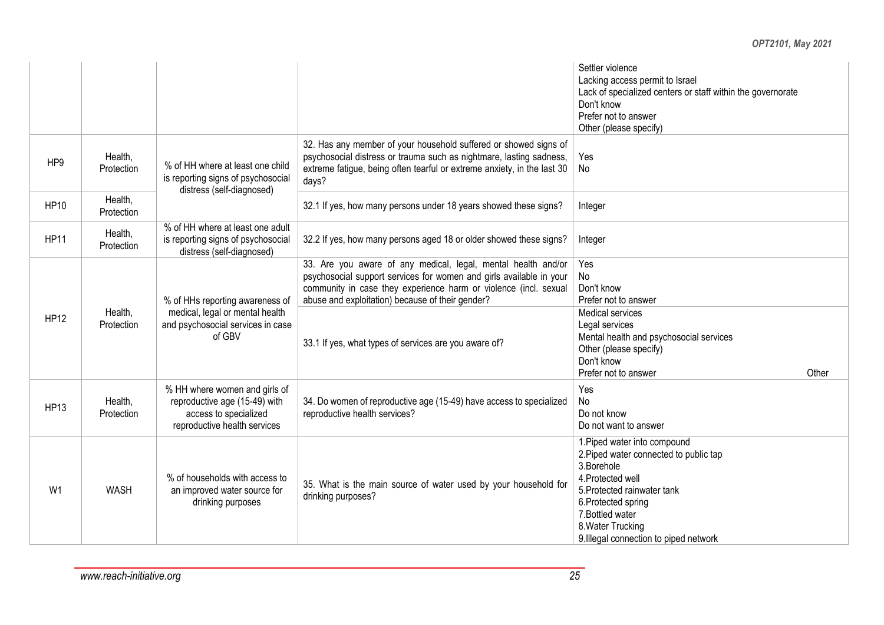|                 |                       |                                                                                                                         |                                                                                                                                                                                                                                                                                                                       | Settler violence<br>Lacking access permit to Israel<br>Lack of specialized centers or staff within the governorate<br>Don't know<br>Prefer not to answer<br>Other (please specify)                                                                 |
|-----------------|-----------------------|-------------------------------------------------------------------------------------------------------------------------|-----------------------------------------------------------------------------------------------------------------------------------------------------------------------------------------------------------------------------------------------------------------------------------------------------------------------|----------------------------------------------------------------------------------------------------------------------------------------------------------------------------------------------------------------------------------------------------|
| HP <sub>9</sub> | Health,<br>Protection | % of HH where at least one child<br>is reporting signs of psychosocial<br>distress (self-diagnosed)                     | 32. Has any member of your household suffered or showed signs of<br>psychosocial distress or trauma such as nightmare, lasting sadness,<br>extreme fatigue, being often tearful or extreme anxiety, in the last 30<br>days?                                                                                           | Yes<br>No                                                                                                                                                                                                                                          |
| <b>HP10</b>     | Health,<br>Protection |                                                                                                                         | 32.1 If yes, how many persons under 18 years showed these signs?                                                                                                                                                                                                                                                      | Integer                                                                                                                                                                                                                                            |
| <b>HP11</b>     | Health,<br>Protection | % of HH where at least one adult<br>is reporting signs of psychosocial<br>distress (self-diagnosed)                     | 32.2 If yes, how many persons aged 18 or older showed these signs?                                                                                                                                                                                                                                                    | Integer                                                                                                                                                                                                                                            |
| <b>HP12</b>     | Health,<br>Protection | % of HHs reporting awareness of<br>medical, legal or mental health<br>and psychosocial services in case<br>of GBV       | 33. Are you aware of any medical, legal, mental health and/or<br>psychosocial support services for women and girls available in your<br>community in case they experience harm or violence (incl. sexual<br>abuse and exploitation) because of their gender?<br>33.1 If yes, what types of services are you aware of? | Yes<br>No<br>Don't know<br>Prefer not to answer<br>Medical services<br>Legal services<br>Mental health and psychosocial services<br>Other (please specify)                                                                                         |
|                 |                       |                                                                                                                         |                                                                                                                                                                                                                                                                                                                       | Don't know<br>Prefer not to answer<br>Other                                                                                                                                                                                                        |
| <b>HP13</b>     | Health,<br>Protection | % HH where women and girls of<br>reproductive age (15-49) with<br>access to specialized<br>reproductive health services | 34. Do women of reproductive age (15-49) have access to specialized<br>reproductive health services?                                                                                                                                                                                                                  | Yes<br><b>No</b><br>Do not know<br>Do not want to answer                                                                                                                                                                                           |
| W <sub>1</sub>  | <b>WASH</b>           | % of households with access to<br>an improved water source for<br>drinking purposes                                     | 35. What is the main source of water used by your household for<br>drinking purposes?                                                                                                                                                                                                                                 | 1. Piped water into compound<br>2. Piped water connected to public tap<br>3.Borehole<br>4. Protected well<br>5. Protected rainwater tank<br>6. Protected spring<br>7. Bottled water<br>8. Water Trucking<br>9. Illegal connection to piped network |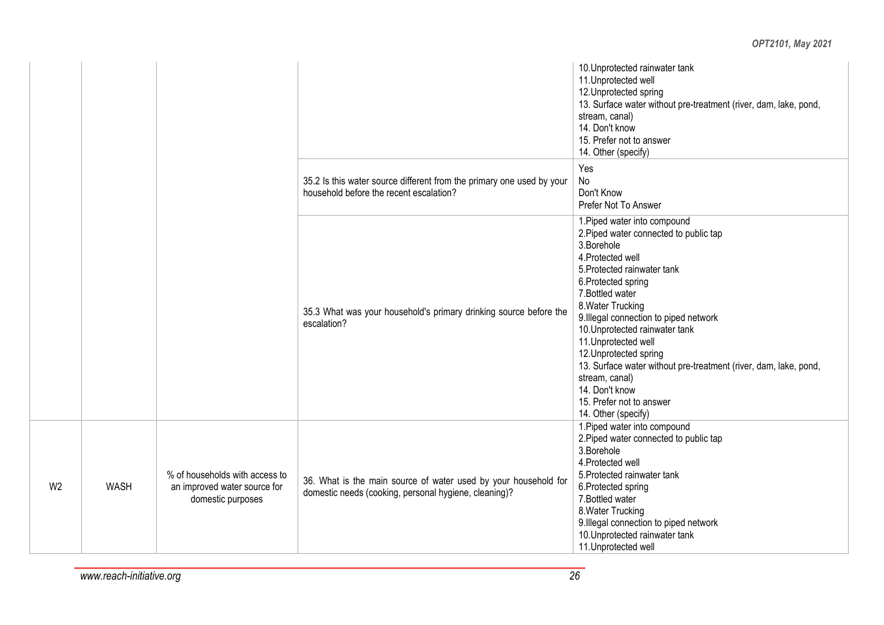|                |             |                                                                                     |                                                                                                                          | 10. Unprotected rainwater tank<br>11. Unprotected well<br>12. Unprotected spring<br>13. Surface water without pre-treatment (river, dam, lake, pond,<br>stream, canal)<br>14. Don't know<br>15. Prefer not to answer<br>14. Other (specify)                                                                                                                                                                                                                                                       |
|----------------|-------------|-------------------------------------------------------------------------------------|--------------------------------------------------------------------------------------------------------------------------|---------------------------------------------------------------------------------------------------------------------------------------------------------------------------------------------------------------------------------------------------------------------------------------------------------------------------------------------------------------------------------------------------------------------------------------------------------------------------------------------------|
|                |             |                                                                                     | 35.2 Is this water source different from the primary one used by your<br>household before the recent escalation?         | Yes<br>No<br>Don't Know<br>Prefer Not To Answer                                                                                                                                                                                                                                                                                                                                                                                                                                                   |
|                |             |                                                                                     | 35.3 What was your household's primary drinking source before the<br>escalation?                                         | 1. Piped water into compound<br>2. Piped water connected to public tap<br>3.Borehole<br>4. Protected well<br>5. Protected rainwater tank<br>6. Protected spring<br>7. Bottled water<br>8. Water Trucking<br>9. Illegal connection to piped network<br>10. Unprotected rainwater tank<br>11. Unprotected well<br>12. Unprotected spring<br>13. Surface water without pre-treatment (river, dam, lake, pond,<br>stream, canal)<br>14. Don't know<br>15. Prefer not to answer<br>14. Other (specify) |
| W <sub>2</sub> | <b>WASH</b> | % of households with access to<br>an improved water source for<br>domestic purposes | 36. What is the main source of water used by your household for<br>domestic needs (cooking, personal hygiene, cleaning)? | 1. Piped water into compound<br>2. Piped water connected to public tap<br>3.Borehole<br>4. Protected well<br>5. Protected rainwater tank<br>6. Protected spring<br>7. Bottled water<br>8. Water Trucking<br>9. Illegal connection to piped network<br>10. Unprotected rainwater tank<br>11. Unprotected well                                                                                                                                                                                      |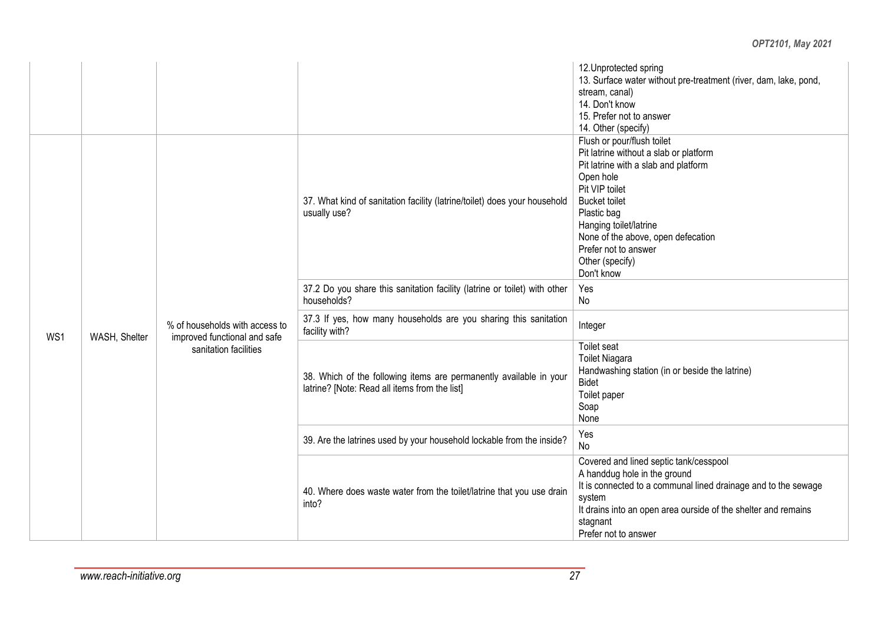|     |                                                                                                                                                                                                                                                                                                                                                                                                                  |                                                                                           | 12. Unprotected spring<br>13. Surface water without pre-treatment (river, dam, lake, pond,<br>stream, canal)<br>14. Don't know<br>15. Prefer not to answer<br>14. Other (specify)                                                                                                                           |
|-----|------------------------------------------------------------------------------------------------------------------------------------------------------------------------------------------------------------------------------------------------------------------------------------------------------------------------------------------------------------------------------------------------------------------|-------------------------------------------------------------------------------------------|-------------------------------------------------------------------------------------------------------------------------------------------------------------------------------------------------------------------------------------------------------------------------------------------------------------|
|     |                                                                                                                                                                                                                                                                                                                                                                                                                  | 37. What kind of sanitation facility (latrine/toilet) does your household<br>usually use? | Flush or pour/flush toilet<br>Pit latrine without a slab or platform<br>Pit latrine with a slab and platform<br>Open hole<br>Pit VIP toilet<br><b>Bucket toilet</b><br>Plastic bag<br>Hanging toilet/latrine<br>None of the above, open defecation<br>Prefer not to answer<br>Other (specify)<br>Don't know |
|     |                                                                                                                                                                                                                                                                                                                                                                                                                  | 37.2 Do you share this sanitation facility (latrine or toilet) with other<br>households?  | Yes<br>No                                                                                                                                                                                                                                                                                                   |
| WS1 | 37.3 If yes, how many households are you sharing this sanitation<br>% of households with access to<br>Integer<br>facility with?<br>WASH, Shelter<br>improved functional and safe<br>Toilet seat<br>sanitation facilities<br><b>Toilet Niagara</b><br>38. Which of the following items are permanently available in your<br><b>Bidet</b><br>latrine? [Note: Read all items from the list]<br>Toilet paper<br>Soap |                                                                                           |                                                                                                                                                                                                                                                                                                             |
|     |                                                                                                                                                                                                                                                                                                                                                                                                                  | Handwashing station (in or beside the latrine)<br>None                                    |                                                                                                                                                                                                                                                                                                             |
|     |                                                                                                                                                                                                                                                                                                                                                                                                                  | 39. Are the latrines used by your household lockable from the inside?                     | Yes<br>No                                                                                                                                                                                                                                                                                                   |
|     |                                                                                                                                                                                                                                                                                                                                                                                                                  | 40. Where does waste water from the toilet/latrine that you use drain<br>into?            | Covered and lined septic tank/cesspool<br>A handdug hole in the ground<br>It is connected to a communal lined drainage and to the sewage<br>system<br>It drains into an open area ourside of the shelter and remains<br>stagnant<br>Prefer not to answer                                                    |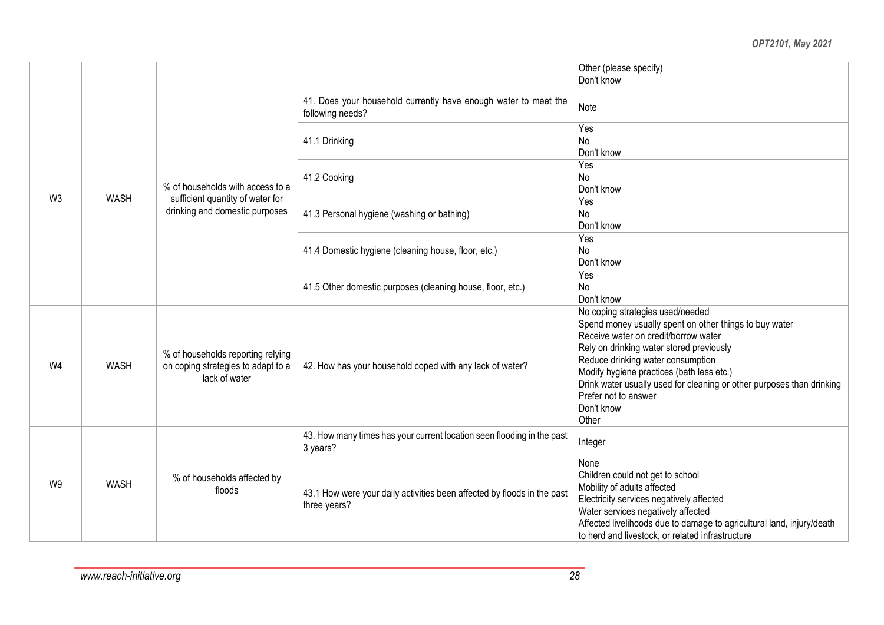|                |             |                                                                                          |                                                                                         | Other (please specify)<br>Don't know                                                                                                                                                                                                                                                                                                                                                                                                                                                                                                                                                                                                                                 |  |
|----------------|-------------|------------------------------------------------------------------------------------------|-----------------------------------------------------------------------------------------|----------------------------------------------------------------------------------------------------------------------------------------------------------------------------------------------------------------------------------------------------------------------------------------------------------------------------------------------------------------------------------------------------------------------------------------------------------------------------------------------------------------------------------------------------------------------------------------------------------------------------------------------------------------------|--|
|                |             |                                                                                          | 41. Does your household currently have enough water to meet the<br>following needs?     | Note                                                                                                                                                                                                                                                                                                                                                                                                                                                                                                                                                                                                                                                                 |  |
|                |             |                                                                                          | 41.1 Drinking                                                                           | Yes<br>No<br>Don't know                                                                                                                                                                                                                                                                                                                                                                                                                                                                                                                                                                                                                                              |  |
|                |             | % of households with access to a                                                         | 41.2 Cooking                                                                            | Yes<br>No<br>Don't know                                                                                                                                                                                                                                                                                                                                                                                                                                                                                                                                                                                                                                              |  |
| W <sub>3</sub> | <b>WASH</b> | sufficient quantity of water for<br>drinking and domestic purposes                       | 41.3 Personal hygiene (washing or bathing)                                              | Yes<br>No<br>Don't know<br>Yes<br>No<br>Don't know                                                                                                                                                                                                                                                                                                                                                                                                                                                                                                                                                                                                                   |  |
|                |             |                                                                                          | 41.4 Domestic hygiene (cleaning house, floor, etc.)                                     | Yes<br>No<br>Don't know<br>No coping strategies used/needed<br>Spend money usually spent on other things to buy water<br>Receive water on credit/borrow water<br>Rely on drinking water stored previously<br>Reduce drinking water consumption<br>Modify hygiene practices (bath less etc.)<br>Drink water usually used for cleaning or other purposes than drinking<br>Prefer not to answer<br>Don't know<br>Other<br>Integer<br>None<br>Children could not get to school<br>Mobility of adults affected<br>Electricity services negatively affected<br>Water services negatively affected<br>Affected livelihoods due to damage to agricultural land, injury/death |  |
|                |             |                                                                                          | 41.5 Other domestic purposes (cleaning house, floor, etc.)                              |                                                                                                                                                                                                                                                                                                                                                                                                                                                                                                                                                                                                                                                                      |  |
| W4             | <b>WASH</b> | % of households reporting relying<br>on coping strategies to adapt to a<br>lack of water | 42. How has your household coped with any lack of water?                                |                                                                                                                                                                                                                                                                                                                                                                                                                                                                                                                                                                                                                                                                      |  |
|                |             |                                                                                          | 43. How many times has your current location seen flooding in the past<br>3 years?      |                                                                                                                                                                                                                                                                                                                                                                                                                                                                                                                                                                                                                                                                      |  |
| W9             | <b>WASH</b> | % of households affected by<br>floods                                                    | 43.1 How were your daily activities been affected by floods in the past<br>three years? | to herd and livestock, or related infrastructure                                                                                                                                                                                                                                                                                                                                                                                                                                                                                                                                                                                                                     |  |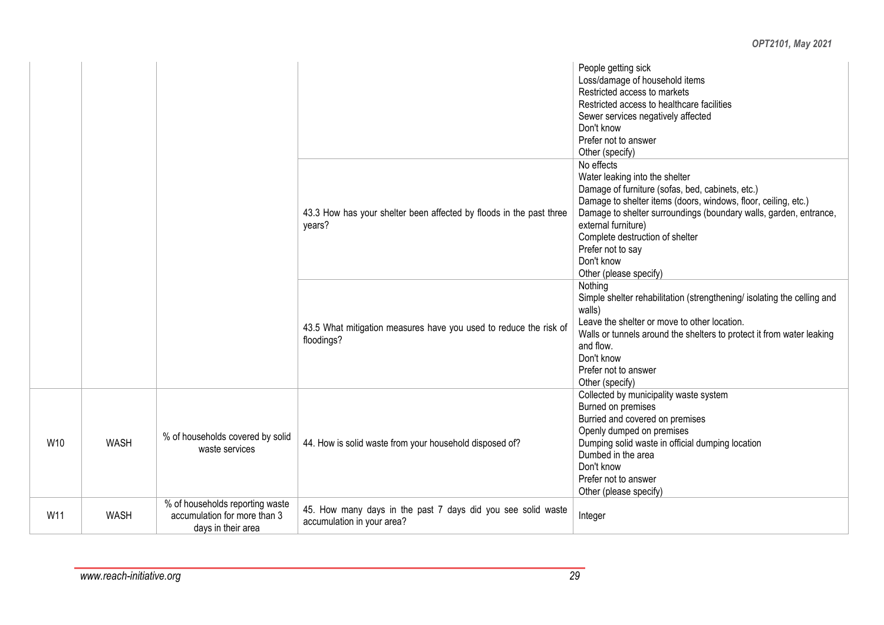|     |             |                                                                                       |                                                                                            | People getting sick<br>Loss/damage of household items<br>Restricted access to markets<br>Restricted access to healthcare facilities<br>Sewer services negatively affected<br>Don't know<br>Prefer not to answer<br>Other (specify)                                                                                                                             |
|-----|-------------|---------------------------------------------------------------------------------------|--------------------------------------------------------------------------------------------|----------------------------------------------------------------------------------------------------------------------------------------------------------------------------------------------------------------------------------------------------------------------------------------------------------------------------------------------------------------|
|     |             |                                                                                       | 43.3 How has your shelter been affected by floods in the past three<br>years?              | No effects<br>Water leaking into the shelter<br>Damage of furniture (sofas, bed, cabinets, etc.)<br>Damage to shelter items (doors, windows, floor, ceiling, etc.)<br>Damage to shelter surroundings (boundary walls, garden, entrance,<br>external furniture)<br>Complete destruction of shelter<br>Prefer not to say<br>Don't know<br>Other (please specify) |
|     |             |                                                                                       | 43.5 What mitigation measures have you used to reduce the risk of<br>floodings?            | Nothing<br>Simple shelter rehabilitation (strengthening/ isolating the celling and<br>walls)<br>Leave the shelter or move to other location.<br>Walls or tunnels around the shelters to protect it from water leaking<br>and flow.<br>Don't know<br>Prefer not to answer<br>Other (specify)                                                                    |
| W10 | <b>WASH</b> | % of households covered by solid<br>waste services                                    | 44. How is solid waste from your household disposed of?                                    | Collected by municipality waste system<br>Burned on premises<br>Burried and covered on premises<br>Openly dumped on premises<br>Dumping solid waste in official dumping location<br>Dumbed in the area<br>Don't know<br>Prefer not to answer<br>Other (please specify)                                                                                         |
| W11 | <b>WASH</b> | % of households reporting waste<br>accumulation for more than 3<br>dove in their eres | 45. How many days in the past 7 days did you see solid waste<br>accumulation in your area? | Integer                                                                                                                                                                                                                                                                                                                                                        |

days in their area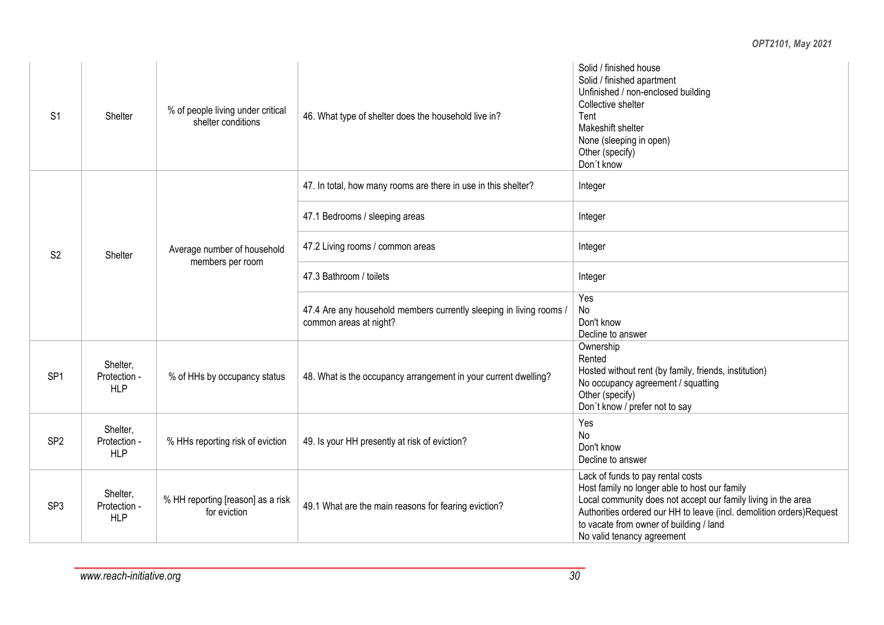| S <sub>1</sub>  | Shelter                                | % of people living under critical<br>shelter conditions | 46. What type of shelter does the household live in?                                          | Solid / finished house<br>Solid / finished apartment<br>Unfinished / non-enclosed building<br>Collective shelter<br>Tent<br>Makeshift shelter<br>None (sleeping in open)<br>Other (specify)<br>Don't know                                                                                            |
|-----------------|----------------------------------------|---------------------------------------------------------|-----------------------------------------------------------------------------------------------|------------------------------------------------------------------------------------------------------------------------------------------------------------------------------------------------------------------------------------------------------------------------------------------------------|
|                 |                                        |                                                         | 47. In total, how many rooms are there in use in this shelter?                                | Integer                                                                                                                                                                                                                                                                                              |
|                 |                                        |                                                         | 47.1 Bedrooms / sleeping areas                                                                | Integer<br>Integer<br>Integer<br>Yes<br>No<br>Don't know<br>Decline to answer<br>Ownership<br>Rented<br>Hosted without rent (by family, friends, institution)<br>No occupancy agreement / squatting<br>Other (specify)<br>Don't know / prefer not to say<br>Yes<br><b>No</b>                         |
| S <sub>2</sub>  | Shelter                                | Average number of household<br>members per room         | 47.2 Living rooms / common areas                                                              |                                                                                                                                                                                                                                                                                                      |
|                 |                                        |                                                         | 47.3 Bathroom / toilets                                                                       |                                                                                                                                                                                                                                                                                                      |
|                 |                                        |                                                         | 47.4 Are any household members currently sleeping in living rooms /<br>common areas at night? |                                                                                                                                                                                                                                                                                                      |
| SP <sub>1</sub> | Shelter,<br>Protection -<br><b>HLP</b> | % of HHs by occupancy status                            | 48. What is the occupancy arrangement in your current dwelling?                               |                                                                                                                                                                                                                                                                                                      |
| SP <sub>2</sub> | Shelter,<br>Protection -<br><b>HLP</b> | % HHs reporting risk of eviction                        | 49. Is your HH presently at risk of eviction?                                                 | Don't know<br>Decline to answer                                                                                                                                                                                                                                                                      |
| SP <sub>3</sub> | Shelter,<br>Protection -<br><b>HLP</b> | % HH reporting [reason] as a risk<br>for eviction       | 49.1 What are the main reasons for fearing eviction?                                          | Lack of funds to pay rental costs<br>Host family no longer able to host our family<br>Local community does not accept our family living in the area<br>Authorities ordered our HH to leave (incl. demolition orders)Request<br>to vacate from owner of building / land<br>No valid tenancy agreement |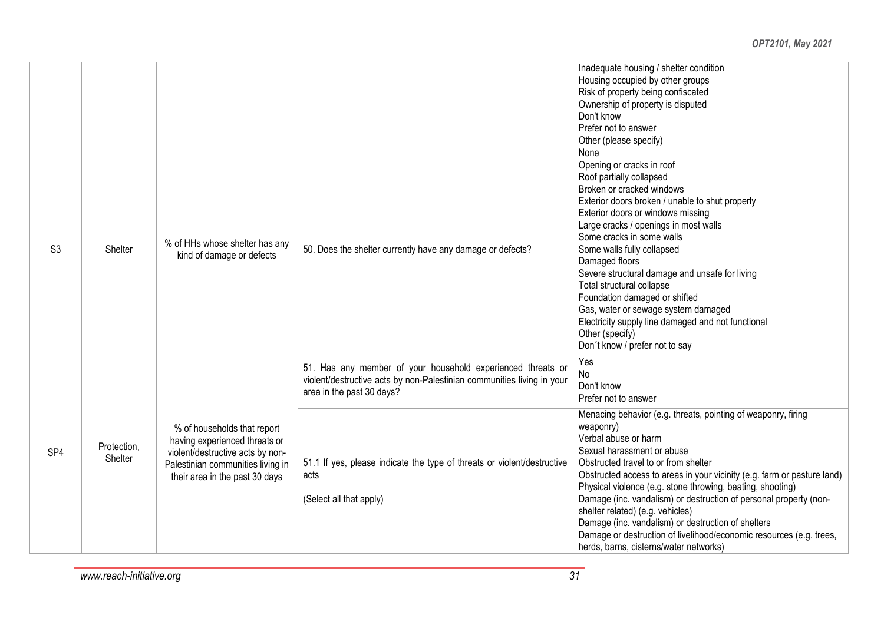#### Inadequate housing / shelter condition Housing occupied by other groups Risk of property being confiscated Ownership of property is disputed Don't know Prefer not to answer Other (please specify) S3 Shelter % of HHs whose shelter has any<br>kind of damage or defects 50. Does the shelter currently have any damage or defects? None Opening or cracks in roof Roof partially collapsed Broken or cracked windows Exterior doors broken / unable to shut properly Exterior doors or windows missing Large cracks / openings in most walls Some cracks in some walls Some walls fully collapsed Damaged floors Severe structural damage and unsafe for living Total structural collapse Foundation damaged or shifted Gas, water or sewage system damaged Electricity supply line damaged and not functional Other (specify) Don´t know / prefer not to say SP4 Protection, **Shelter** % of households that report having experienced threats or violent/destructive acts by non-Palestinian communities living in their area in the past 30 days 51. Has any member of your household experienced threats or violent/destructive acts by non-Palestinian communities living in your area in the past 30 days? Yes No Don't know Prefer not to answer 51.1 If yes, please indicate the type of threats or violent/destructive acts (Select all that apply) Menacing behavior (e.g. threats, pointing of weaponry, firing weaponry) Verbal abuse or harm Sexual harassment or abuse Obstructed travel to or from shelter Obstructed access to areas in your vicinity (e.g. farm or pasture land) Physical violence (e.g. stone throwing, beating, shooting) Damage (inc. vandalism) or destruction of personal property (nonshelter related) (e.g. vehicles) Damage (inc. vandalism) or destruction of shelters Damage or destruction of livelihood/economic resources (e.g. trees, herds, barns, cisterns/water networks)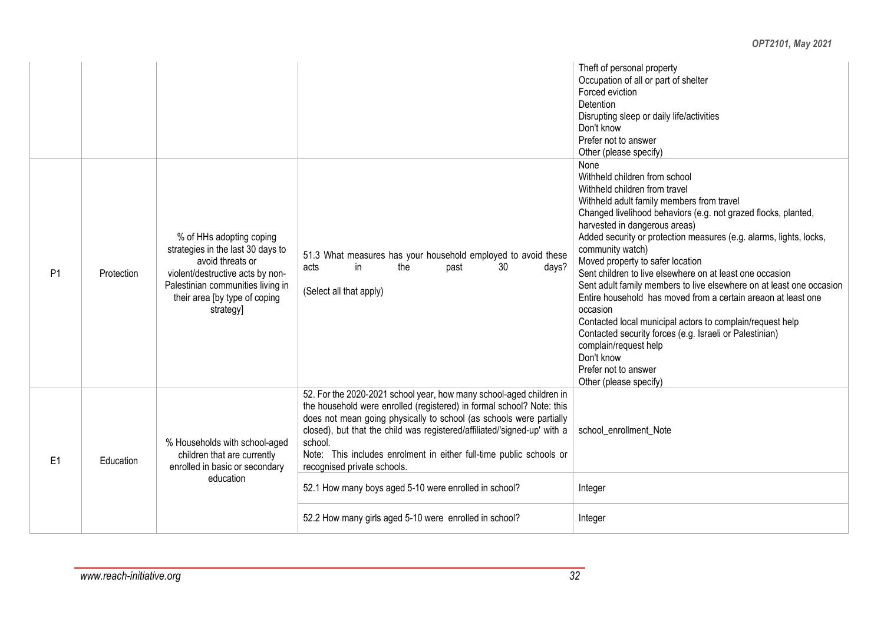#### Theft of personal property Occupation of all or part of shelter Forced eviction **Detention** Disrupting sleep or daily life/activities Don't know Prefer not to answer Other (please specify) P1 Protection % of HHs adopting coping strategies in the last 30 days to avoid threats or violent/destructive acts by non-Palestinian communities living in their area [by type of coping strategyl 51.3 What measures has your household employed to avoid these<br>acts in the nast 30 days? acts in the past 30 days? (Select all that apply) None Withheld children from school Withheld children from travel Withheld adult family members from travel Changed livelihood behaviors (e.g. not grazed flocks, planted, harvested in dangerous areas) Added security or protection measures (e.g. alarms, lights, locks, community watch) Moved property to safer location Sent children to live elsewhere on at least one occasion Sent adult family members to live elsewhere on at least one occasion Entire household has moved from a certain areaon at least one occasion Contacted local municipal actors to complain/request help Contacted security forces (e.g. Israeli or Palestinian) complain/request help Don't know Prefer not to answer Other (please specify) E1 Education % Households with school-aged children that are currently enrolled in basic or secondary education 52. For the 2020-2021 school year, how many school-aged children in the household were enrolled (registered) in formal school? Note: this does not mean going physically to school (as schools were partially closed), but that the child was registered/affiliated/'signed-up' with a school. Note: This includes enrolment in either full-time public schools or recognised private schools. school\_enrollment\_Note 52.1 How many boys aged 5-10 were enrolled in school? | Integer 52.2 How many girls aged 5-10 were enrolled in school? Integer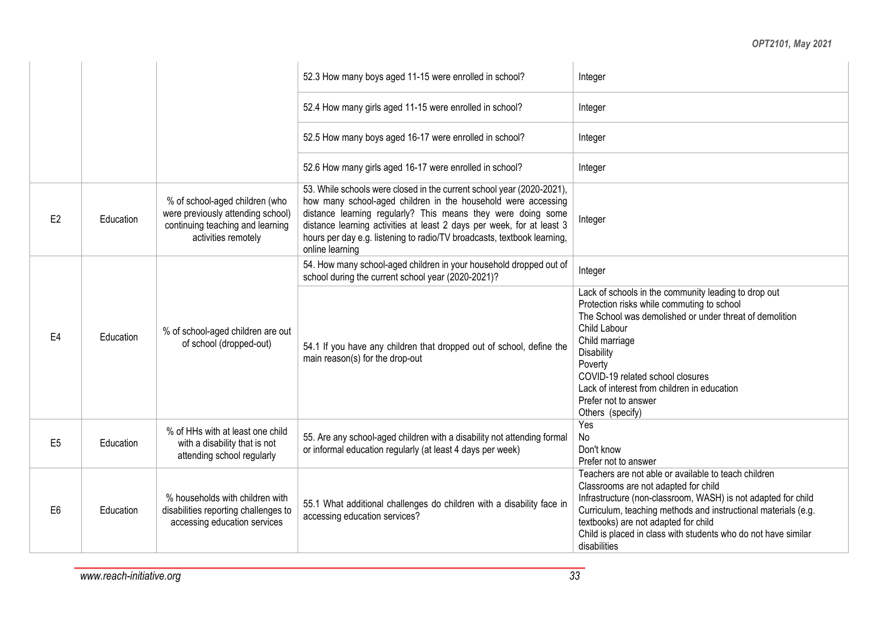|                |           |                                                                                                                                | 52.3 How many boys aged 11-15 were enrolled in school?                                                                                                                                                                                                                                                                                                                        | Integer                                                                                                                                                                                                                                                                                                                                                        |
|----------------|-----------|--------------------------------------------------------------------------------------------------------------------------------|-------------------------------------------------------------------------------------------------------------------------------------------------------------------------------------------------------------------------------------------------------------------------------------------------------------------------------------------------------------------------------|----------------------------------------------------------------------------------------------------------------------------------------------------------------------------------------------------------------------------------------------------------------------------------------------------------------------------------------------------------------|
|                |           |                                                                                                                                | 52.4 How many girls aged 11-15 were enrolled in school?                                                                                                                                                                                                                                                                                                                       | Integer                                                                                                                                                                                                                                                                                                                                                        |
|                |           |                                                                                                                                | 52.5 How many boys aged 16-17 were enrolled in school?                                                                                                                                                                                                                                                                                                                        | Integer                                                                                                                                                                                                                                                                                                                                                        |
|                |           |                                                                                                                                | 52.6 How many girls aged 16-17 were enrolled in school?                                                                                                                                                                                                                                                                                                                       | Integer                                                                                                                                                                                                                                                                                                                                                        |
| E <sub>2</sub> | Education | % of school-aged children (who<br>were previously attending school)<br>continuing teaching and learning<br>activities remotely | 53. While schools were closed in the current school year (2020-2021),<br>how many school-aged children in the household were accessing<br>distance learning regularly? This means they were doing some<br>distance learning activities at least 2 days per week, for at least 3<br>hours per day e.g. listening to radio/TV broadcasts, textbook learning,<br>online learning | Integer                                                                                                                                                                                                                                                                                                                                                        |
|                |           |                                                                                                                                | 54. How many school-aged children in your household dropped out of<br>school during the current school year (2020-2021)?                                                                                                                                                                                                                                                      | Integer                                                                                                                                                                                                                                                                                                                                                        |
| E <sub>4</sub> | Education | % of school-aged children are out<br>of school (dropped-out)                                                                   | 54.1 If you have any children that dropped out of school, define the<br>main reason(s) for the drop-out                                                                                                                                                                                                                                                                       | Lack of schools in the community leading to drop out<br>Protection risks while commuting to school<br>The School was demolished or under threat of demolition<br>Child Labour<br>Child marriage<br><b>Disability</b><br>Poverty<br>COVID-19 related school closures<br>Lack of interest from children in education<br>Prefer not to answer<br>Others (specify) |
| E <sub>5</sub> | Education | % of HHs with at least one child<br>with a disability that is not<br>attending school regularly                                | 55. Are any school-aged children with a disability not attending formal<br>or informal education regularly (at least 4 days per week)                                                                                                                                                                                                                                         | Yes<br>No<br>Don't know<br>Prefer not to answer                                                                                                                                                                                                                                                                                                                |
| E <sub>6</sub> | Education | % households with children with<br>disabilities reporting challenges to<br>accessing education services                        | 55.1 What additional challenges do children with a disability face in<br>accessing education services?                                                                                                                                                                                                                                                                        | Teachers are not able or available to teach children<br>Classrooms are not adapted for child<br>Infrastructure (non-classroom, WASH) is not adapted for child<br>Curriculum, teaching methods and instructional materials (e.g.<br>textbooks) are not adapted for child<br>Child is placed in class with students who do not have similar<br>disabilities      |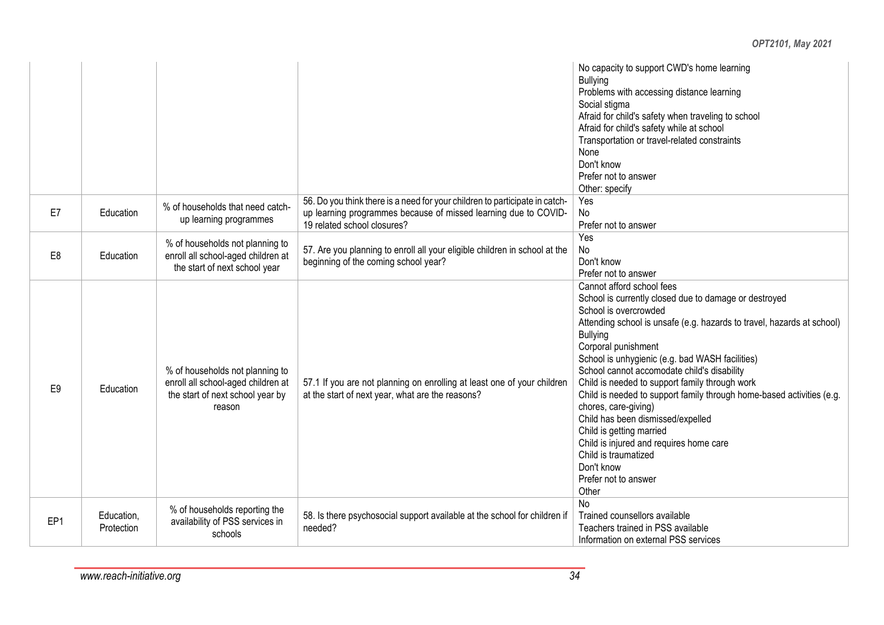#### No capacity to support CWD's home learning Bullying Problems with accessing distance learning Social stigma Afraid for child's safety when traveling to school Afraid for child's safety while at school Transportation or travel-related constraints None Don't know Prefer not to answer Other: specify  $E7$  Education  $\frac{1}{2}$  % of households that need catchup learning programmes 56. Do you think there is a need for your children to participate in catchup learning programmes because of missed learning due to COVID-19 related school closures? Yes No Prefer not to answer E8 | Education % of households not planning to enroll all school-aged children at the start of next school year 57. Are you planning to enroll all your eligible children in school at the beginning of the coming school year? Yes No Don't know Prefer not to answer E9 | Education % of households not planning to enroll all school-aged children at the start of next school year by reason 57.1 If you are not planning on enrolling at least one of your children at the start of next year, what are the reasons? Cannot afford school fees School is currently closed due to damage or destroyed School is overcrowded Attending school is unsafe (e.g. hazards to travel, hazards at school) Bullying Corporal punishment School is unhygienic (e.g. bad WASH facilities) School cannot accomodate child's disability Child is needed to support family through work Child is needed to support family through home-based activities (e.g. chores, care-giving) Child has been dismissed/expelled Child is getting married Child is injured and requires home care Child is traumatized Don't know Prefer not to answer **Other** EP1 Education, Protection % of households reporting the availability of PSS services in schools 58. Is there psychosocial support available at the school for children if needed? No Trained counsellors available Teachers trained in PSS available Information on external PSS services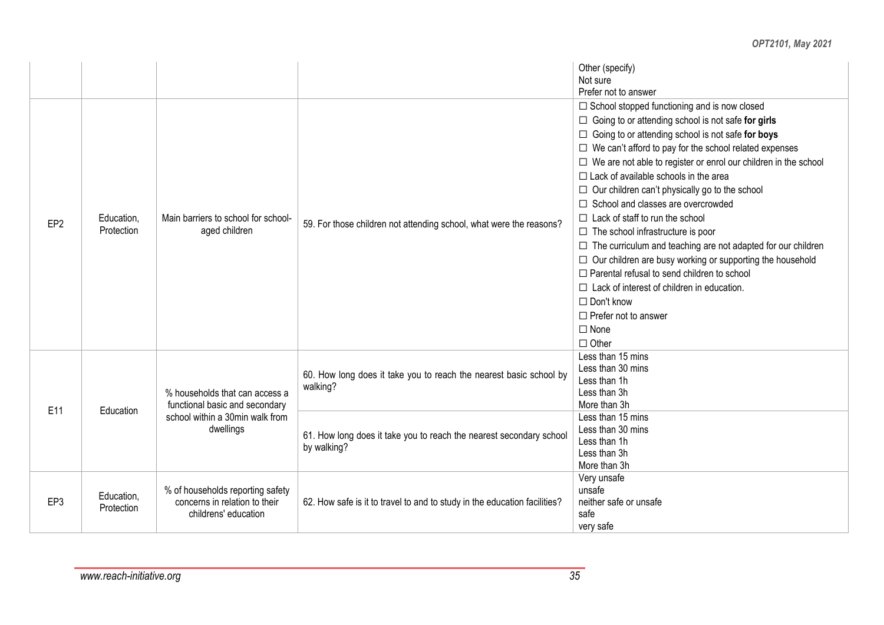|                 |                                                            |                                                                        |                                                                                    | Other (specify)<br>Not sure<br>Prefer not to answer                                                                                                       |  |
|-----------------|------------------------------------------------------------|------------------------------------------------------------------------|------------------------------------------------------------------------------------|-----------------------------------------------------------------------------------------------------------------------------------------------------------|--|
|                 |                                                            |                                                                        |                                                                                    | $\Box$ School stopped functioning and is now closed                                                                                                       |  |
|                 |                                                            |                                                                        |                                                                                    | $\Box$ Going to or attending school is not safe for girls                                                                                                 |  |
|                 |                                                            |                                                                        |                                                                                    | □ Going to or attending school is not safe for boys                                                                                                       |  |
|                 |                                                            |                                                                        |                                                                                    | $\Box$ We can't afford to pay for the school related expenses                                                                                             |  |
|                 |                                                            |                                                                        |                                                                                    | $\Box$ We are not able to register or enrol our children in the school                                                                                    |  |
|                 |                                                            |                                                                        |                                                                                    | $\Box$ Lack of available schools in the area                                                                                                              |  |
|                 |                                                            |                                                                        |                                                                                    | $\Box$ Our children can't physically go to the school                                                                                                     |  |
|                 |                                                            |                                                                        |                                                                                    | □ School and classes are overcrowded                                                                                                                      |  |
|                 | Education,                                                 | Main barriers to school for school-                                    |                                                                                    | $\Box$ Lack of staff to run the school<br>$\Box$ The school infrastructure is poor<br>$\Box$ The curriculum and teaching are not adapted for our children |  |
| EP <sub>2</sub> | Protection                                                 | aged children                                                          | 59. For those children not attending school, what were the reasons?                |                                                                                                                                                           |  |
|                 |                                                            |                                                                        |                                                                                    |                                                                                                                                                           |  |
|                 |                                                            |                                                                        | $\Box$ Our children are busy working or supporting the household                   |                                                                                                                                                           |  |
|                 |                                                            | $\Box$ Parental refusal to send children to school                     |                                                                                    |                                                                                                                                                           |  |
|                 |                                                            | $\Box$ Lack of interest of children in education.<br>$\Box$ Don't know |                                                                                    |                                                                                                                                                           |  |
|                 |                                                            |                                                                        |                                                                                    |                                                                                                                                                           |  |
|                 | $\Box$ Prefer not to answer<br>$\Box$ None<br>$\Box$ Other |                                                                        |                                                                                    |                                                                                                                                                           |  |
|                 |                                                            |                                                                        |                                                                                    |                                                                                                                                                           |  |
|                 |                                                            |                                                                        |                                                                                    |                                                                                                                                                           |  |
|                 |                                                            |                                                                        | 60. How long does it take you to reach the nearest basic school by                 | Less than 15 mins                                                                                                                                         |  |
|                 |                                                            |                                                                        |                                                                                    | Less than 30 mins                                                                                                                                         |  |
|                 |                                                            | % households that can access a                                         | walking?                                                                           | Less than 1h<br>Less than 3h                                                                                                                              |  |
|                 |                                                            | functional basic and secondary                                         |                                                                                    | More than 3h                                                                                                                                              |  |
| E11             | Education                                                  | school within a 30min walk from                                        |                                                                                    | Less than 15 mins                                                                                                                                         |  |
|                 |                                                            | dwellings                                                              |                                                                                    | Less than 30 mins                                                                                                                                         |  |
|                 |                                                            |                                                                        | 61. How long does it take you to reach the nearest secondary school<br>by walking? | Less than 1h                                                                                                                                              |  |
|                 |                                                            |                                                                        |                                                                                    | Less than 3h                                                                                                                                              |  |
|                 |                                                            |                                                                        |                                                                                    | More than 3h                                                                                                                                              |  |
|                 |                                                            |                                                                        |                                                                                    | Very unsafe                                                                                                                                               |  |
| EP3             | Education,                                                 | % of households reporting safety<br>concerns in relation to their      | 62. How safe is it to travel to and to study in the education facilities?          | unsafe<br>neither safe or unsafe                                                                                                                          |  |
|                 | Protection                                                 | childrens' education                                                   |                                                                                    | safe                                                                                                                                                      |  |
|                 |                                                            |                                                                        |                                                                                    | very safe                                                                                                                                                 |  |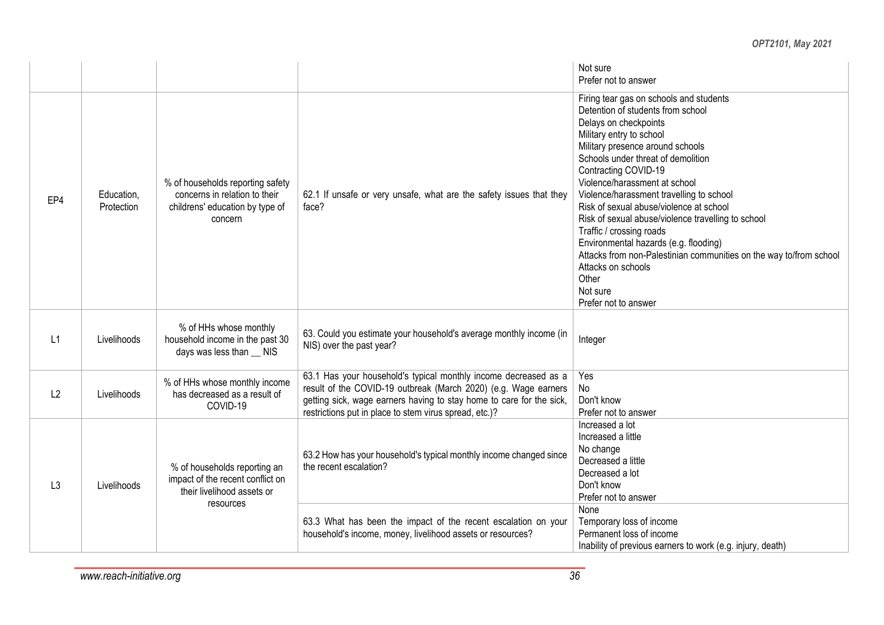|                |                          |                                                                                                                 |                                                                                                                                                                                                                                                                      | Not sure<br>Prefer not to answer                                                                                                                                                                                                                                                                                                                                                                                                                                                                                                                                                                                                |
|----------------|--------------------------|-----------------------------------------------------------------------------------------------------------------|----------------------------------------------------------------------------------------------------------------------------------------------------------------------------------------------------------------------------------------------------------------------|---------------------------------------------------------------------------------------------------------------------------------------------------------------------------------------------------------------------------------------------------------------------------------------------------------------------------------------------------------------------------------------------------------------------------------------------------------------------------------------------------------------------------------------------------------------------------------------------------------------------------------|
| EP4            | Education,<br>Protection | % of households reporting safety<br>concerns in relation to their<br>childrens' education by type of<br>concern | 62.1 If unsafe or very unsafe, what are the safety issues that they<br>face?                                                                                                                                                                                         | Firing tear gas on schools and students<br>Detention of students from school<br>Delays on checkpoints<br>Military entry to school<br>Military presence around schools<br>Schools under threat of demolition<br>Contracting COVID-19<br>Violence/harassment at school<br>Violence/harassment travelling to school<br>Risk of sexual abuse/violence at school<br>Risk of sexual abuse/violence travelling to school<br>Traffic / crossing roads<br>Environmental hazards (e.g. flooding)<br>Attacks from non-Palestinian communities on the way to/from school<br>Attacks on schools<br>Other<br>Not sure<br>Prefer not to answer |
| L1             | Livelihoods              | % of HHs whose monthly<br>household income in the past 30<br>days was less than __ NIS                          | 63. Could you estimate your household's average monthly income (in<br>NIS) over the past year?                                                                                                                                                                       | Integer                                                                                                                                                                                                                                                                                                                                                                                                                                                                                                                                                                                                                         |
| L2             | Livelihoods              | % of HHs whose monthly income<br>has decreased as a result of<br>COVID-19                                       | 63.1 Has your household's typical monthly income decreased as a<br>result of the COVID-19 outbreak (March 2020) (e.g. Wage earners<br>getting sick, wage earners having to stay home to care for the sick,<br>restrictions put in place to stem virus spread, etc.)? | Yes<br><b>No</b><br>Don't know<br>Prefer not to answer                                                                                                                                                                                                                                                                                                                                                                                                                                                                                                                                                                          |
| L <sub>3</sub> | Livelihoods              | % of households reporting an<br>impact of the recent conflict on<br>their livelihood assets or<br>resources     | 63.2 How has your household's typical monthly income changed since<br>the recent escalation?                                                                                                                                                                         | Increased a lot<br>Increased a little<br>No change<br>Decreased a little<br>Decreased a lot<br>Don't know<br>Prefer not to answer                                                                                                                                                                                                                                                                                                                                                                                                                                                                                               |
|                |                          |                                                                                                                 | 63.3 What has been the impact of the recent escalation on your<br>household's income, money, livelihood assets or resources?                                                                                                                                         | None<br>Temporary loss of income<br>Permanent loss of income<br>Inability of previous earners to work (e.g. injury, death)                                                                                                                                                                                                                                                                                                                                                                                                                                                                                                      |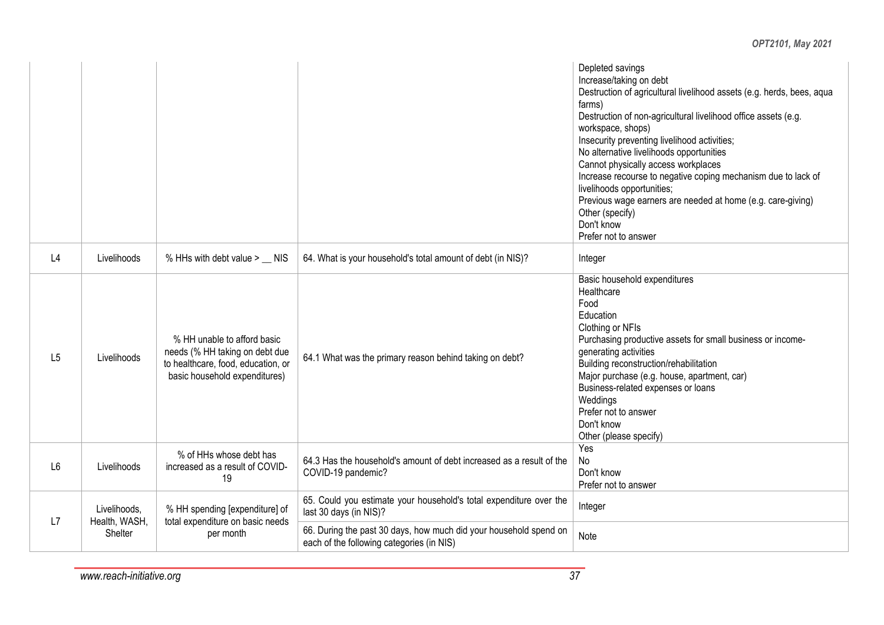|                |                               |                                                                                                                                      |                                                                                                                | Depleted savings<br>Increase/taking on debt<br>Destruction of agricultural livelihood assets (e.g. herds, bees, aqua<br>farms)<br>Destruction of non-agricultural livelihood office assets (e.g.<br>workspace, shops)<br>Insecurity preventing livelihood activities;<br>No alternative livelihoods opportunities<br>Cannot physically access workplaces<br>Increase recourse to negative coping mechanism due to lack of<br>livelihoods opportunities;<br>Previous wage earners are needed at home (e.g. care-giving)<br>Other (specify)<br>Don't know<br>Prefer not to answer |
|----------------|-------------------------------|--------------------------------------------------------------------------------------------------------------------------------------|----------------------------------------------------------------------------------------------------------------|---------------------------------------------------------------------------------------------------------------------------------------------------------------------------------------------------------------------------------------------------------------------------------------------------------------------------------------------------------------------------------------------------------------------------------------------------------------------------------------------------------------------------------------------------------------------------------|
| L4             | Livelihoods                   | % HHs with debt value > __ NIS                                                                                                       | 64. What is your household's total amount of debt (in NIS)?                                                    | Integer                                                                                                                                                                                                                                                                                                                                                                                                                                                                                                                                                                         |
| L5             | Livelihoods                   | % HH unable to afford basic<br>needs (% HH taking on debt due<br>to healthcare, food, education, or<br>basic household expenditures) | 64.1 What was the primary reason behind taking on debt?                                                        | Basic household expenditures<br>Healthcare<br>Food<br>Education<br>Clothing or NFIs<br>Purchasing productive assets for small business or income-<br>generating activities<br>Building reconstruction/rehabilitation<br>Major purchase (e.g. house, apartment, car)<br>Business-related expenses or loans<br>Weddings<br>Prefer not to answer<br>Don't know<br>Other (please specify)                                                                                                                                                                                           |
| L <sub>6</sub> | Livelihoods                   | % of HHs whose debt has<br>increased as a result of COVID-<br>19                                                                     | 64.3 Has the household's amount of debt increased as a result of the<br>COVID-19 pandemic?                     | Yes<br>No<br>Don't know<br>Prefer not to answer                                                                                                                                                                                                                                                                                                                                                                                                                                                                                                                                 |
| L7             | Livelihoods,<br>Health, WASH, | % HH spending [expenditure] of<br>total expenditure on basic needs                                                                   | 65. Could you estimate your household's total expenditure over the<br>last 30 days (in NIS)?                   | Integer                                                                                                                                                                                                                                                                                                                                                                                                                                                                                                                                                                         |
|                | Shelter                       | per month                                                                                                                            | 66. During the past 30 days, how much did your household spend on<br>each of the following categories (in NIS) | Note                                                                                                                                                                                                                                                                                                                                                                                                                                                                                                                                                                            |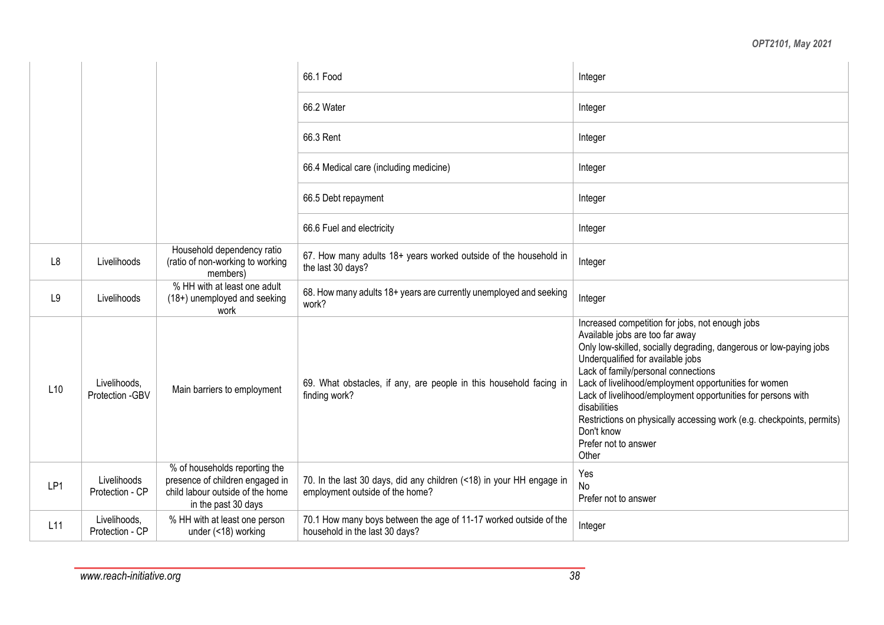|     |                                  |                                                                                                                             | 66.1 Food                                                                                               | Integer                                                                                                                                                                                                                                                                                                                                                                                                                                                                                               |
|-----|----------------------------------|-----------------------------------------------------------------------------------------------------------------------------|---------------------------------------------------------------------------------------------------------|-------------------------------------------------------------------------------------------------------------------------------------------------------------------------------------------------------------------------------------------------------------------------------------------------------------------------------------------------------------------------------------------------------------------------------------------------------------------------------------------------------|
|     |                                  |                                                                                                                             | 66.2 Water                                                                                              | Integer                                                                                                                                                                                                                                                                                                                                                                                                                                                                                               |
|     |                                  |                                                                                                                             | 66.3 Rent                                                                                               | Integer                                                                                                                                                                                                                                                                                                                                                                                                                                                                                               |
|     |                                  |                                                                                                                             | 66.4 Medical care (including medicine)                                                                  | Integer                                                                                                                                                                                                                                                                                                                                                                                                                                                                                               |
|     |                                  |                                                                                                                             | 66.5 Debt repayment                                                                                     | Integer                                                                                                                                                                                                                                                                                                                                                                                                                                                                                               |
|     |                                  |                                                                                                                             | 66.6 Fuel and electricity                                                                               | Integer                                                                                                                                                                                                                                                                                                                                                                                                                                                                                               |
| L8  | Livelihoods                      | Household dependency ratio<br>(ratio of non-working to working<br>members)                                                  | 67. How many adults 18+ years worked outside of the household in<br>the last 30 days?                   | Integer                                                                                                                                                                                                                                                                                                                                                                                                                                                                                               |
| L9  | Livelihoods                      | % HH with at least one adult<br>(18+) unemployed and seeking<br>work                                                        | 68. How many adults 18+ years are currently unemployed and seeking<br>work?                             | Integer                                                                                                                                                                                                                                                                                                                                                                                                                                                                                               |
| L10 | Livelihoods,<br>Protection - GBV | Main barriers to employment                                                                                                 | 69. What obstacles, if any, are people in this household facing in<br>finding work?                     | Increased competition for jobs, not enough jobs<br>Available jobs are too far away<br>Only low-skilled, socially degrading, dangerous or low-paying jobs<br>Underqualified for available jobs<br>Lack of family/personal connections<br>Lack of livelihood/employment opportunities for women<br>Lack of livelihood/employment opportunities for persons with<br>disabilities<br>Restrictions on physically accessing work (e.g. checkpoints, permits)<br>Don't know<br>Prefer not to answer<br>Other |
| LP1 | Livelihoods<br>Protection - CP   | % of households reporting the<br>presence of children engaged in<br>child labour outside of the home<br>in the past 30 days | 70. In the last 30 days, did any children (<18) in your HH engage in<br>employment outside of the home? | Yes<br>No<br>Prefer not to answer                                                                                                                                                                                                                                                                                                                                                                                                                                                                     |
| L11 | Livelihoods,<br>Protection - CP  | % HH with at least one person<br>under (<18) working                                                                        | 70.1 How many boys between the age of 11-17 worked outside of the<br>household in the last 30 days?     | Integer                                                                                                                                                                                                                                                                                                                                                                                                                                                                                               |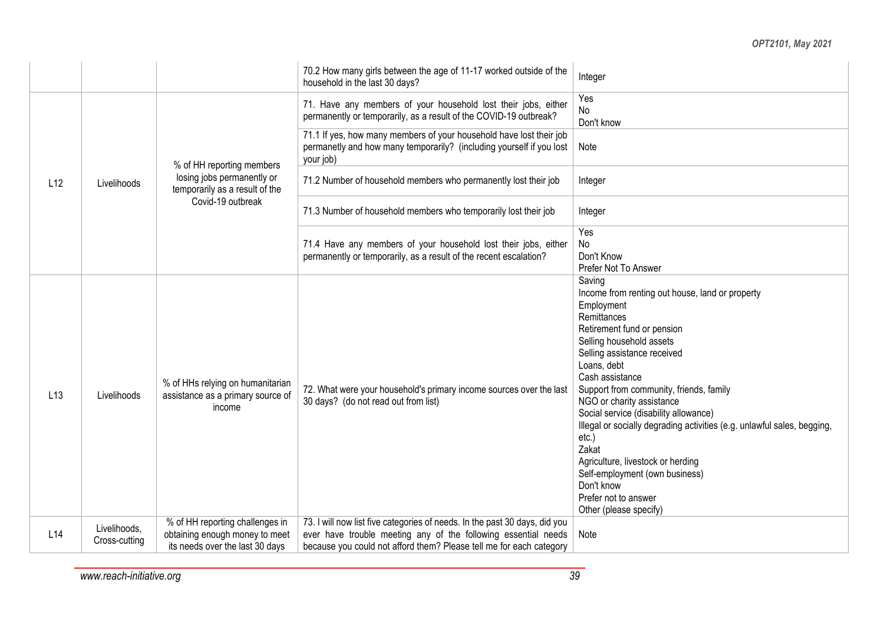|     |                                                                                                                                                           |                                                                                                                                                                | 70.2 How many girls between the age of 11-17 worked outside of the<br>household in the last 30 days?                                                                                                                | Integer                                                                                                                                                                                                                                                                                                                                                                                                                                                                                                                                                                |
|-----|-----------------------------------------------------------------------------------------------------------------------------------------------------------|----------------------------------------------------------------------------------------------------------------------------------------------------------------|---------------------------------------------------------------------------------------------------------------------------------------------------------------------------------------------------------------------|------------------------------------------------------------------------------------------------------------------------------------------------------------------------------------------------------------------------------------------------------------------------------------------------------------------------------------------------------------------------------------------------------------------------------------------------------------------------------------------------------------------------------------------------------------------------|
|     |                                                                                                                                                           | Yes<br>71. Have any members of your household lost their jobs, either<br>No<br>permanently or temporarily, as a result of the COVID-19 outbreak?<br>Don't know |                                                                                                                                                                                                                     |                                                                                                                                                                                                                                                                                                                                                                                                                                                                                                                                                                        |
|     |                                                                                                                                                           | % of HH reporting members                                                                                                                                      | 71.1 If yes, how many members of your household have lost their job<br>permanetly and how many temporarily? (including yourself if you lost<br>your job)                                                            | Note                                                                                                                                                                                                                                                                                                                                                                                                                                                                                                                                                                   |
| L12 | losing jobs permanently or<br>71.2 Number of household members who permanently lost their job<br>Integer<br>Livelihoods<br>temporarily as a result of the |                                                                                                                                                                |                                                                                                                                                                                                                     |                                                                                                                                                                                                                                                                                                                                                                                                                                                                                                                                                                        |
|     |                                                                                                                                                           | Covid-19 outbreak                                                                                                                                              | 71.3 Number of household members who temporarily lost their job                                                                                                                                                     | Integer                                                                                                                                                                                                                                                                                                                                                                                                                                                                                                                                                                |
|     | 71.4 Have any members of your household lost their jobs, either<br>permanently or temporarily, as a result of the recent escalation?                      | Yes<br>No<br>Don't Know<br>Prefer Not To Answer                                                                                                                |                                                                                                                                                                                                                     |                                                                                                                                                                                                                                                                                                                                                                                                                                                                                                                                                                        |
| L13 | Livelihoods                                                                                                                                               | % of HHs relying on humanitarian<br>assistance as a primary source of<br>income                                                                                | 72. What were your household's primary income sources over the last<br>30 days? (do not read out from list)                                                                                                         | Saving<br>Income from renting out house, land or property<br>Employment<br>Remittances<br>Retirement fund or pension<br>Selling household assets<br>Selling assistance received<br>Loans, debt<br>Cash assistance<br>Support from community, friends, family<br>NGO or charity assistance<br>Social service (disability allowance)<br>Illegal or socially degrading activities (e.g. unlawful sales, begging,<br>etc.)<br>Zakat<br>Agriculture, livestock or herding<br>Self-employment (own business)<br>Don't know<br>Prefer not to answer<br>Other (please specify) |
| L14 | Livelihoods,<br>Cross-cutting                                                                                                                             | % of HH reporting challenges in<br>obtaining enough money to meet<br>its needs over the last 30 days                                                           | 73. I will now list five categories of needs. In the past 30 days, did you<br>ever have trouble meeting any of the following essential needs<br>because you could not afford them? Please tell me for each category | Note                                                                                                                                                                                                                                                                                                                                                                                                                                                                                                                                                                   |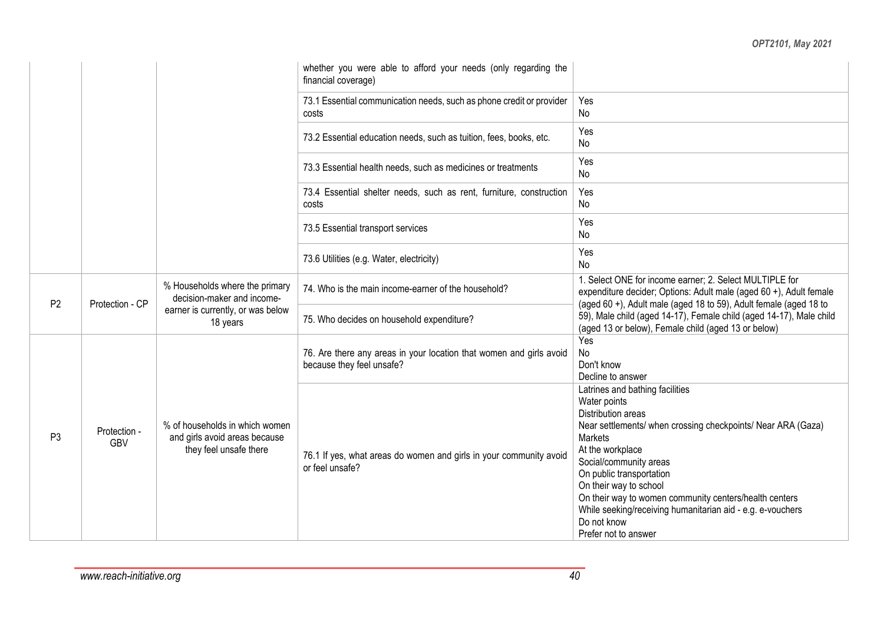|                |                                   |                                                                                                               | whether you were able to afford your needs (only regarding the<br>financial coverage)            |                                                                                                                                                                                                                                                                                                                                                                                                                            |
|----------------|-----------------------------------|---------------------------------------------------------------------------------------------------------------|--------------------------------------------------------------------------------------------------|----------------------------------------------------------------------------------------------------------------------------------------------------------------------------------------------------------------------------------------------------------------------------------------------------------------------------------------------------------------------------------------------------------------------------|
|                |                                   |                                                                                                               | 73.1 Essential communication needs, such as phone credit or provider<br>costs                    | Yes<br>No                                                                                                                                                                                                                                                                                                                                                                                                                  |
|                |                                   |                                                                                                               | 73.2 Essential education needs, such as tuition, fees, books, etc.                               | Yes<br>No                                                                                                                                                                                                                                                                                                                                                                                                                  |
|                |                                   |                                                                                                               | 73.3 Essential health needs, such as medicines or treatments                                     | Yes<br>No                                                                                                                                                                                                                                                                                                                                                                                                                  |
|                |                                   |                                                                                                               | 73.4 Essential shelter needs, such as rent, furniture, construction<br>costs                     | Yes<br>No                                                                                                                                                                                                                                                                                                                                                                                                                  |
|                |                                   |                                                                                                               | 73.5 Essential transport services                                                                | Yes<br>No                                                                                                                                                                                                                                                                                                                                                                                                                  |
|                |                                   |                                                                                                               | 73.6 Utilities (e.g. Water, electricity)                                                         | Yes<br>No                                                                                                                                                                                                                                                                                                                                                                                                                  |
|                | P <sub>2</sub><br>Protection - CP | % Households where the primary<br>decision-maker and income-<br>earner is currently, or was below<br>18 years | 74. Who is the main income-earner of the household?                                              | 1. Select ONE for income earner; 2. Select MULTIPLE for<br>expenditure decider; Options: Adult male (aged 60 +), Adult female<br>(aged 60 +), Adult male (aged 18 to 59), Adult female (aged 18 to                                                                                                                                                                                                                         |
|                |                                   |                                                                                                               | 75. Who decides on household expenditure?                                                        | 59), Male child (aged 14-17), Female child (aged 14-17), Male child<br>(aged 13 or below), Female child (aged 13 or below)                                                                                                                                                                                                                                                                                                 |
|                |                                   |                                                                                                               | 76. Are there any areas in your location that women and girls avoid<br>because they feel unsafe? | Yes<br>No<br>Don't know<br>Decline to answer                                                                                                                                                                                                                                                                                                                                                                               |
| P <sub>3</sub> | Protection -<br><b>GBV</b>        | % of households in which women<br>and girls avoid areas because<br>they feel unsafe there                     | 76.1 If yes, what areas do women and girls in your community avoid<br>or feel unsafe?            | Latrines and bathing facilities<br>Water points<br>Distribution areas<br>Near settlements/ when crossing checkpoints/ Near ARA (Gaza)<br><b>Markets</b><br>At the workplace<br>Social/community areas<br>On public transportation<br>On their way to school<br>On their way to women community centers/health centers<br>While seeking/receiving humanitarian aid - e.g. e-vouchers<br>Do not know<br>Prefer not to answer |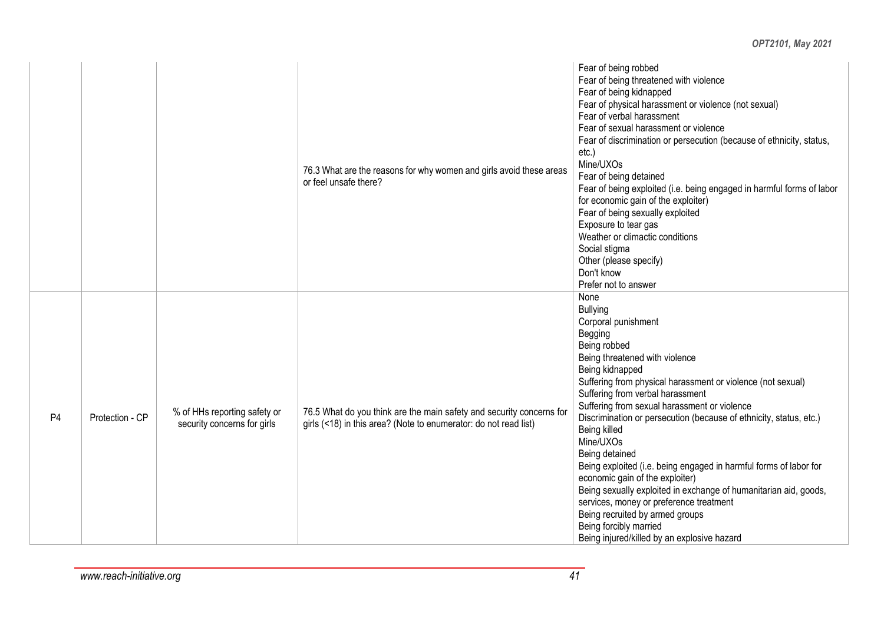|                |                 |                                                             | 76.3 What are the reasons for why women and girls avoid these areas<br>or feel unsafe there?                                             | Fear of being robbed<br>Fear of being threatened with violence<br>Fear of being kidnapped<br>Fear of physical harassment or violence (not sexual)<br>Fear of verbal harassment<br>Fear of sexual harassment or violence<br>Fear of discrimination or persecution (because of ethnicity, status,<br>$etc.$ )<br>Mine/UXOs<br>Fear of being detained<br>Fear of being exploited (i.e. being engaged in harmful forms of labor<br>for economic gain of the exploiter)<br>Fear of being sexually exploited<br>Exposure to tear gas<br>Weather or climactic conditions<br>Social stigma<br>Other (please specify)<br>Don't know<br>Prefer not to answer                                                                                        |
|----------------|-----------------|-------------------------------------------------------------|------------------------------------------------------------------------------------------------------------------------------------------|-------------------------------------------------------------------------------------------------------------------------------------------------------------------------------------------------------------------------------------------------------------------------------------------------------------------------------------------------------------------------------------------------------------------------------------------------------------------------------------------------------------------------------------------------------------------------------------------------------------------------------------------------------------------------------------------------------------------------------------------|
| P <sub>4</sub> | Protection - CP | % of HHs reporting safety or<br>security concerns for girls | 76.5 What do you think are the main safety and security concerns for<br>girls (<18) in this area? (Note to enumerator: do not read list) | None<br><b>Bullying</b><br>Corporal punishment<br>Begging<br>Being robbed<br>Being threatened with violence<br>Being kidnapped<br>Suffering from physical harassment or violence (not sexual)<br>Suffering from verbal harassment<br>Suffering from sexual harassment or violence<br>Discrimination or persecution (because of ethnicity, status, etc.)<br>Being killed<br>Mine/UXOs<br>Being detained<br>Being exploited (i.e. being engaged in harmful forms of labor for<br>economic gain of the exploiter)<br>Being sexually exploited in exchange of humanitarian aid, goods,<br>services, money or preference treatment<br>Being recruited by armed groups<br>Being forcibly married<br>Being injured/killed by an explosive hazard |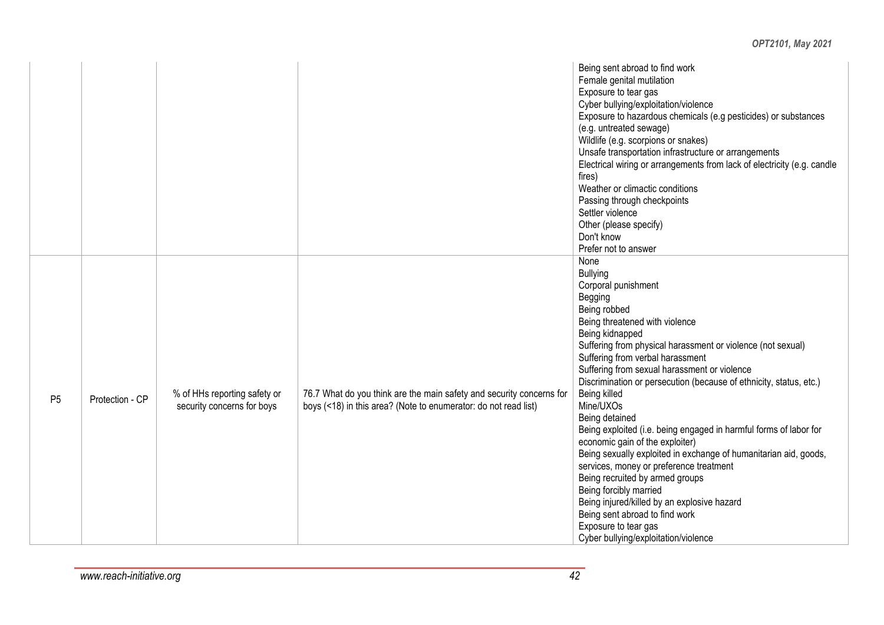|                |                 |                                                            |                                                                                                                                         | Being sent abroad to find work<br>Female genital mutilation<br>Exposure to tear gas<br>Cyber bullying/exploitation/violence<br>Exposure to hazardous chemicals (e.g pesticides) or substances<br>(e.g. untreated sewage)<br>Wildlife (e.g. scorpions or snakes)<br>Unsafe transportation infrastructure or arrangements<br>Electrical wiring or arrangements from lack of electricity (e.g. candle<br>fires)<br>Weather or climactic conditions<br>Passing through checkpoints<br>Settler violence<br>Other (please specify)<br>Don't know<br>Prefer not to answer                                                                                                                                                                                                                                                                          |
|----------------|-----------------|------------------------------------------------------------|-----------------------------------------------------------------------------------------------------------------------------------------|---------------------------------------------------------------------------------------------------------------------------------------------------------------------------------------------------------------------------------------------------------------------------------------------------------------------------------------------------------------------------------------------------------------------------------------------------------------------------------------------------------------------------------------------------------------------------------------------------------------------------------------------------------------------------------------------------------------------------------------------------------------------------------------------------------------------------------------------|
| P <sub>5</sub> | Protection - CP | % of HHs reporting safety or<br>security concerns for boys | 76.7 What do you think are the main safety and security concerns for<br>boys (<18) in this area? (Note to enumerator: do not read list) | None<br><b>Bullying</b><br>Corporal punishment<br>Begging<br>Being robbed<br>Being threatened with violence<br>Being kidnapped<br>Suffering from physical harassment or violence (not sexual)<br>Suffering from verbal harassment<br>Suffering from sexual harassment or violence<br>Discrimination or persecution (because of ethnicity, status, etc.)<br>Being killed<br>Mine/UXOs<br>Being detained<br>Being exploited (i.e. being engaged in harmful forms of labor for<br>economic gain of the exploiter)<br>Being sexually exploited in exchange of humanitarian aid, goods,<br>services, money or preference treatment<br>Being recruited by armed groups<br>Being forcibly married<br>Being injured/killed by an explosive hazard<br>Being sent abroad to find work<br>Exposure to tear gas<br>Cyber bullying/exploitation/violence |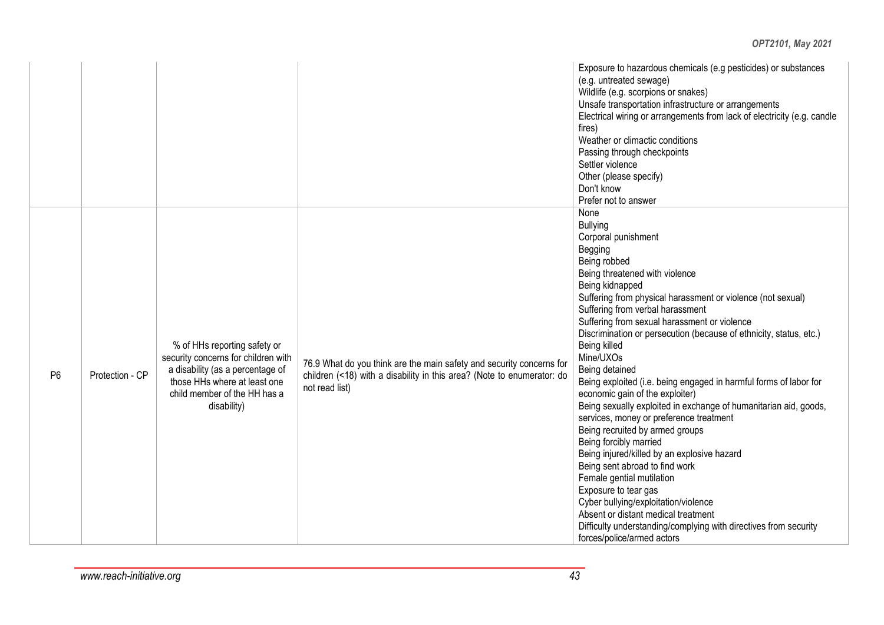|                |                 |                                                                                                                                                                                        |                                                                                                                                                                  | Exposure to hazardous chemicals (e.g pesticides) or substances<br>(e.g. untreated sewage)<br>Wildlife (e.g. scorpions or snakes)<br>Unsafe transportation infrastructure or arrangements<br>Electrical wiring or arrangements from lack of electricity (e.g. candle<br>fires)<br>Weather or climactic conditions<br>Passing through checkpoints<br>Settler violence<br>Other (please specify)<br>Don't know<br>Prefer not to answer                                                                                                                                                                                                                                                                                                                                                                                                                                                                                                                                                                               |
|----------------|-----------------|----------------------------------------------------------------------------------------------------------------------------------------------------------------------------------------|------------------------------------------------------------------------------------------------------------------------------------------------------------------|-------------------------------------------------------------------------------------------------------------------------------------------------------------------------------------------------------------------------------------------------------------------------------------------------------------------------------------------------------------------------------------------------------------------------------------------------------------------------------------------------------------------------------------------------------------------------------------------------------------------------------------------------------------------------------------------------------------------------------------------------------------------------------------------------------------------------------------------------------------------------------------------------------------------------------------------------------------------------------------------------------------------|
| P <sub>6</sub> | Protection - CP | % of HHs reporting safety or<br>security concerns for children with<br>a disability (as a percentage of<br>those HHs where at least one<br>child member of the HH has a<br>disability) | 76.9 What do you think are the main safety and security concerns for<br>children (<18) with a disability in this area? (Note to enumerator: do<br>not read list) | None<br><b>Bullying</b><br>Corporal punishment<br>Begging<br>Being robbed<br>Being threatened with violence<br>Being kidnapped<br>Suffering from physical harassment or violence (not sexual)<br>Suffering from verbal harassment<br>Suffering from sexual harassment or violence<br>Discrimination or persecution (because of ethnicity, status, etc.)<br>Being killed<br>Mine/UXOs<br>Being detained<br>Being exploited (i.e. being engaged in harmful forms of labor for<br>economic gain of the exploiter)<br>Being sexually exploited in exchange of humanitarian aid, goods,<br>services, money or preference treatment<br>Being recruited by armed groups<br>Being forcibly married<br>Being injured/killed by an explosive hazard<br>Being sent abroad to find work<br>Female gential mutilation<br>Exposure to tear gas<br>Cyber bullying/exploitation/violence<br>Absent or distant medical treatment<br>Difficulty understanding/complying with directives from security<br>forces/police/armed actors |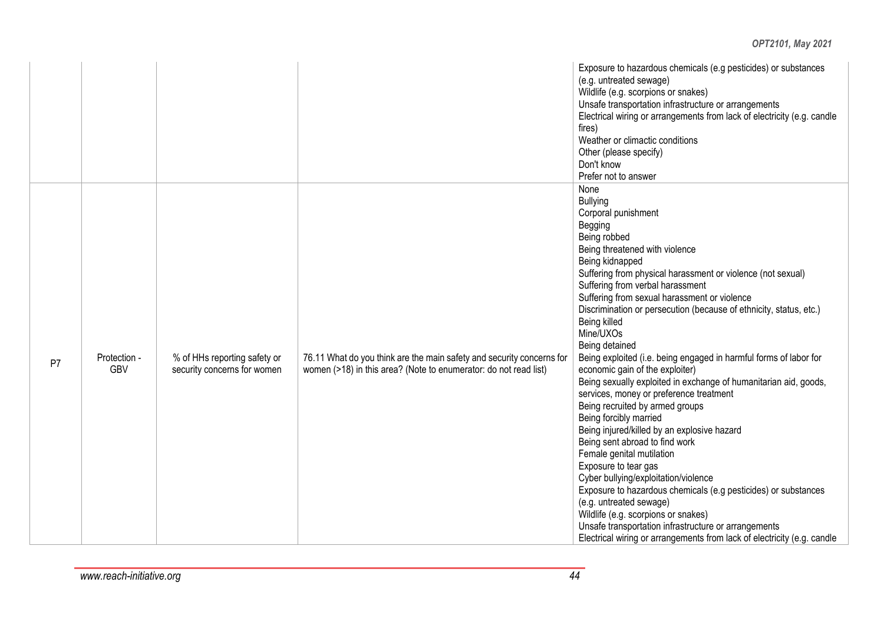|    |                            |                                                             |                                                                                                                                           | Exposure to hazardous chemicals (e.g pesticides) or substances<br>(e.g. untreated sewage)<br>Wildlife (e.g. scorpions or snakes)<br>Unsafe transportation infrastructure or arrangements<br>Electrical wiring or arrangements from lack of electricity (e.g. candle<br>fires)<br>Weather or climactic conditions<br>Other (please specify)<br>Don't know<br>Prefer not to answer                                                                                                                                                                                                                                                                                                                                                                                                                                                                                                                                                                                                                                                                                                                                                                |
|----|----------------------------|-------------------------------------------------------------|-------------------------------------------------------------------------------------------------------------------------------------------|-------------------------------------------------------------------------------------------------------------------------------------------------------------------------------------------------------------------------------------------------------------------------------------------------------------------------------------------------------------------------------------------------------------------------------------------------------------------------------------------------------------------------------------------------------------------------------------------------------------------------------------------------------------------------------------------------------------------------------------------------------------------------------------------------------------------------------------------------------------------------------------------------------------------------------------------------------------------------------------------------------------------------------------------------------------------------------------------------------------------------------------------------|
| P7 | Protection -<br><b>GBV</b> | % of HHs reporting safety or<br>security concerns for women | 76.11 What do you think are the main safety and security concerns for<br>women (>18) in this area? (Note to enumerator: do not read list) | None<br><b>Bullying</b><br>Corporal punishment<br>Begging<br>Being robbed<br>Being threatened with violence<br>Being kidnapped<br>Suffering from physical harassment or violence (not sexual)<br>Suffering from verbal harassment<br>Suffering from sexual harassment or violence<br>Discrimination or persecution (because of ethnicity, status, etc.)<br>Being killed<br>Mine/UXOs<br>Being detained<br>Being exploited (i.e. being engaged in harmful forms of labor for<br>economic gain of the exploiter)<br>Being sexually exploited in exchange of humanitarian aid, goods,<br>services, money or preference treatment<br>Being recruited by armed groups<br>Being forcibly married<br>Being injured/killed by an explosive hazard<br>Being sent abroad to find work<br>Female genital mutilation<br>Exposure to tear gas<br>Cyber bullying/exploitation/violence<br>Exposure to hazardous chemicals (e.g pesticides) or substances<br>(e.g. untreated sewage)<br>Wildlife (e.g. scorpions or snakes)<br>Unsafe transportation infrastructure or arrangements<br>Electrical wiring or arrangements from lack of electricity (e.g. candle |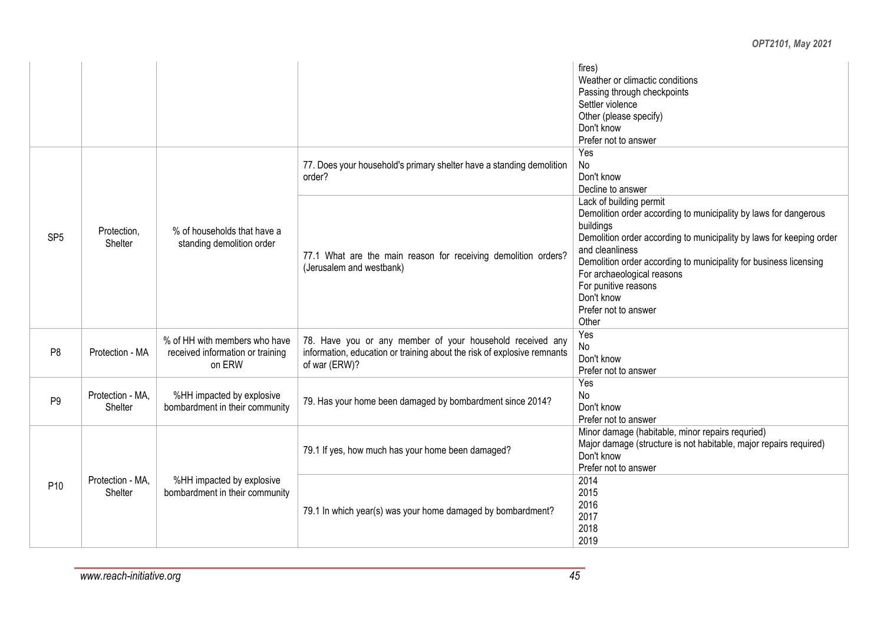|                 |                             |                                                                             |                                                                                                                                                       | fires)<br>Weather or climactic conditions<br>Passing through checkpoints<br>Settler violence<br>Other (please specify)<br>Don't know                                                                                                                                                                                                                                          |
|-----------------|-----------------------------|-----------------------------------------------------------------------------|-------------------------------------------------------------------------------------------------------------------------------------------------------|-------------------------------------------------------------------------------------------------------------------------------------------------------------------------------------------------------------------------------------------------------------------------------------------------------------------------------------------------------------------------------|
|                 |                             |                                                                             |                                                                                                                                                       | Prefer not to answer                                                                                                                                                                                                                                                                                                                                                          |
|                 |                             |                                                                             | 77. Does your household's primary shelter have a standing demolition<br>order?                                                                        | Yes<br><b>No</b><br>Don't know<br>Decline to answer                                                                                                                                                                                                                                                                                                                           |
| SP <sub>5</sub> | Protection,<br>Shelter      | % of households that have a<br>standing demolition order                    | 77.1 What are the main reason for receiving demolition orders?<br>(Jerusalem and westbank)                                                            | Lack of building permit<br>Demolition order according to municipality by laws for dangerous<br>buildings<br>Demolition order according to municipality by laws for keeping order<br>and cleanliness<br>Demolition order according to municipality for business licensing<br>For archaeological reasons<br>For punitive reasons<br>Don't know<br>Prefer not to answer<br>Other |
| P <sub>8</sub>  | Protection - MA             | % of HH with members who have<br>received information or training<br>on ERW | 78. Have you or any member of your household received any<br>information, education or training about the risk of explosive remnants<br>of war (ERW)? | Yes<br>No<br>Don't know<br>Prefer not to answer                                                                                                                                                                                                                                                                                                                               |
| P <sub>9</sub>  | Protection - MA,<br>Shelter | %HH impacted by explosive<br>bombardment in their community                 | 79. Has your home been damaged by bombardment since 2014?                                                                                             | Yes<br>No<br>Don't know<br>Prefer not to answer                                                                                                                                                                                                                                                                                                                               |
|                 |                             |                                                                             | 79.1 If yes, how much has your home been damaged?                                                                                                     | Minor damage (habitable, minor repairs requried)<br>Major damage (structure is not habitable, major repairs required)<br>Don't know<br>Prefer not to answer                                                                                                                                                                                                                   |
| P <sub>10</sub> | Protection - MA.<br>Shelter | %HH impacted by explosive<br>bombardment in their community                 | 79.1 In which year(s) was your home damaged by bombardment?                                                                                           | 2014<br>2015<br>2016<br>2017<br>2018<br>2019                                                                                                                                                                                                                                                                                                                                  |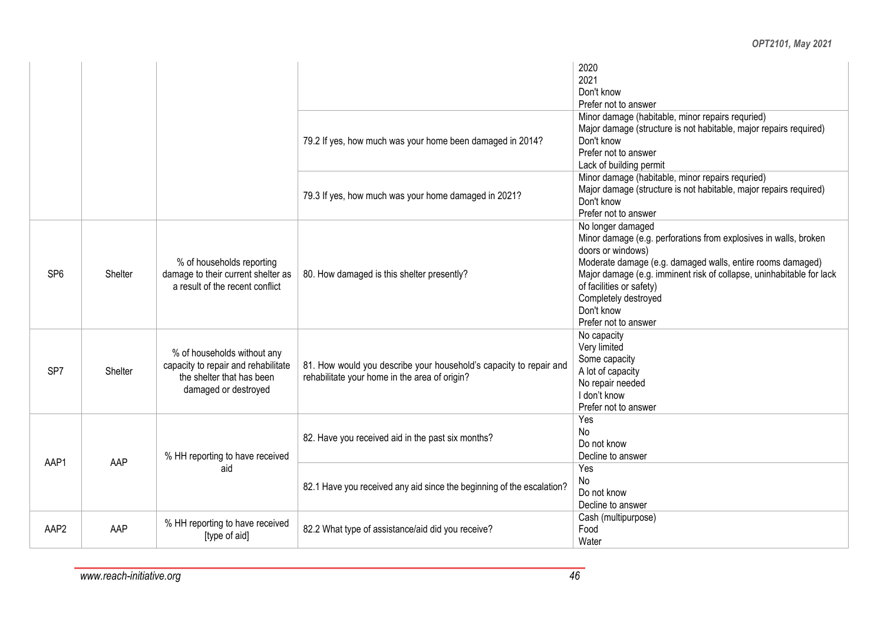|                  |         |                                                                                                                         |                                                                                                                     | 2020<br>2021<br>Don't know<br>Prefer not to answer                                                                                                                                                                                                                                                                                         |
|------------------|---------|-------------------------------------------------------------------------------------------------------------------------|---------------------------------------------------------------------------------------------------------------------|--------------------------------------------------------------------------------------------------------------------------------------------------------------------------------------------------------------------------------------------------------------------------------------------------------------------------------------------|
|                  |         |                                                                                                                         | 79.2 If yes, how much was your home been damaged in 2014?                                                           | Minor damage (habitable, minor repairs requried)<br>Major damage (structure is not habitable, major repairs required)<br>Don't know<br>Prefer not to answer<br>Lack of building permit                                                                                                                                                     |
|                  |         |                                                                                                                         | 79.3 If yes, how much was your home damaged in 2021?                                                                | Minor damage (habitable, minor repairs requried)<br>Major damage (structure is not habitable, major repairs required)<br>Don't know<br>Prefer not to answer                                                                                                                                                                                |
| SP <sub>6</sub>  | Shelter | % of households reporting<br>damage to their current shelter as<br>a result of the recent conflict                      | 80. How damaged is this shelter presently?                                                                          | No longer damaged<br>Minor damage (e.g. perforations from explosives in walls, broken<br>doors or windows)<br>Moderate damage (e.g. damaged walls, entire rooms damaged)<br>Major damage (e.g. imminent risk of collapse, uninhabitable for lack<br>of facilities or safety)<br>Completely destroyed<br>Don't know<br>Prefer not to answer |
| SP <sub>7</sub>  | Shelter | % of households without any<br>capacity to repair and rehabilitate<br>the shelter that has been<br>damaged or destroyed | 81. How would you describe your household's capacity to repair and<br>rehabilitate your home in the area of origin? | No capacity<br>Very limited<br>Some capacity<br>A lot of capacity<br>No repair needed<br>I don't know<br>Prefer not to answer                                                                                                                                                                                                              |
| AAP1             | AAP     | % HH reporting to have received                                                                                         | 82. Have you received aid in the past six months?                                                                   | Yes<br><b>No</b><br>Do not know<br>Decline to answer                                                                                                                                                                                                                                                                                       |
|                  |         | aid                                                                                                                     | 82.1 Have you received any aid since the beginning of the escalation?                                               | Yes<br>No<br>Do not know<br>Decline to answer                                                                                                                                                                                                                                                                                              |
| AAP <sub>2</sub> | AAP     | % HH reporting to have received<br>[type of aid]                                                                        | 82.2 What type of assistance/aid did you receive?                                                                   | Cash (multipurpose)<br>Food<br>Water                                                                                                                                                                                                                                                                                                       |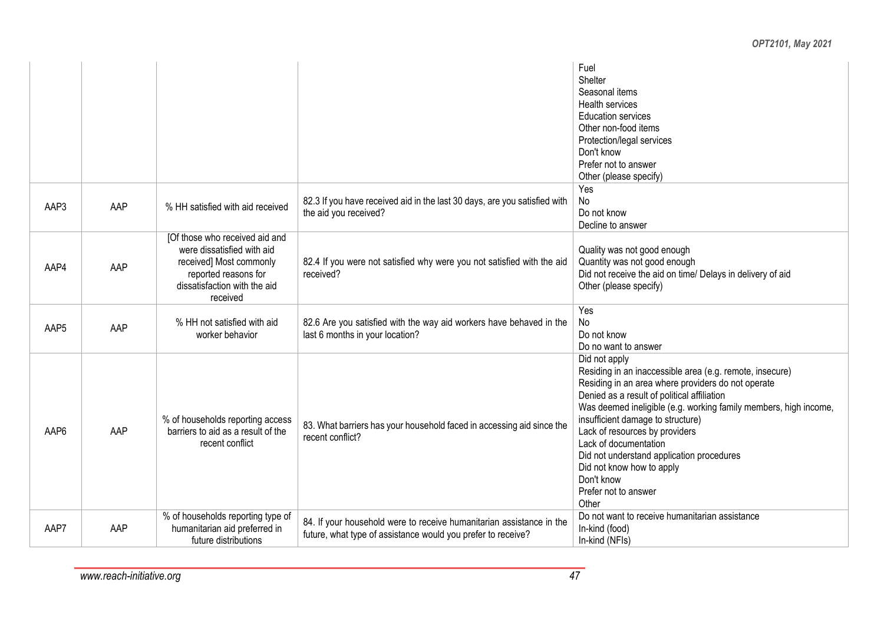|                  |     |                                                                                                                                                             |                                                                                                                                      | Fuel<br>Shelter<br>Seasonal items<br><b>Health services</b><br><b>Education services</b><br>Other non-food items<br>Protection/legal services<br>Don't know<br>Prefer not to answer<br>Other (please specify)                                                                                                                                                                                                                                                               |
|------------------|-----|-------------------------------------------------------------------------------------------------------------------------------------------------------------|--------------------------------------------------------------------------------------------------------------------------------------|-----------------------------------------------------------------------------------------------------------------------------------------------------------------------------------------------------------------------------------------------------------------------------------------------------------------------------------------------------------------------------------------------------------------------------------------------------------------------------|
| AAP3             | AAP | % HH satisfied with aid received                                                                                                                            | 82.3 If you have received aid in the last 30 days, are you satisfied with<br>the aid you received?                                   | Yes<br>No<br>Do not know<br>Decline to answer                                                                                                                                                                                                                                                                                                                                                                                                                               |
| AAP4             | AAP | [Of those who received aid and<br>were dissatisfied with aid<br>received] Most commonly<br>reported reasons for<br>dissatisfaction with the aid<br>received | 82.4 If you were not satisfied why were you not satisfied with the aid<br>received?                                                  | Quality was not good enough<br>Quantity was not good enough<br>Did not receive the aid on time/ Delays in delivery of aid<br>Other (please specify)                                                                                                                                                                                                                                                                                                                         |
| AAP <sub>5</sub> | AAP | % HH not satisfied with aid<br>worker behavior                                                                                                              | 82.6 Are you satisfied with the way aid workers have behaved in the<br>last 6 months in your location?                               | Yes<br>No<br>Do not know<br>Do no want to answer                                                                                                                                                                                                                                                                                                                                                                                                                            |
| AAP6             | AAP | % of households reporting access<br>barriers to aid as a result of the<br>recent conflict                                                                   | 83. What barriers has your household faced in accessing aid since the<br>recent conflict?                                            | Did not apply<br>Residing in an inaccessible area (e.g. remote, insecure)<br>Residing in an area where providers do not operate<br>Denied as a result of political affiliation<br>Was deemed ineligible (e.g. working family members, high income,<br>insufficient damage to structure)<br>Lack of resources by providers<br>Lack of documentation<br>Did not understand application procedures<br>Did not know how to apply<br>Don't know<br>Prefer not to answer<br>Other |
| AAP7             | AAP | % of households reporting type of<br>humanitarian aid preferred in<br>future distributions                                                                  | 84. If your household were to receive humanitarian assistance in the<br>future, what type of assistance would you prefer to receive? | Do not want to receive humanitarian assistance<br>In-kind (food)<br>In-kind (NFIs)                                                                                                                                                                                                                                                                                                                                                                                          |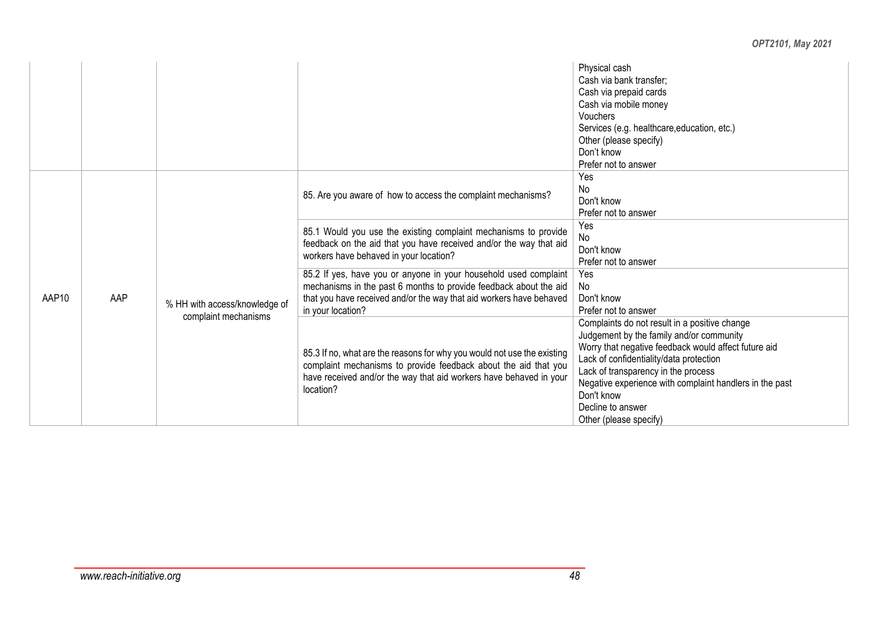|       |     |                                                       |                                                                                                                                                                                                                                   | Physical cash<br>Cash via bank transfer;<br>Cash via prepaid cards<br>Cash via mobile money<br>Vouchers<br>Services (e.g. healthcare, education, etc.)<br>Other (please specify)<br>Don't know<br>Prefer not to answer                                                                                                                                      |
|-------|-----|-------------------------------------------------------|-----------------------------------------------------------------------------------------------------------------------------------------------------------------------------------------------------------------------------------|-------------------------------------------------------------------------------------------------------------------------------------------------------------------------------------------------------------------------------------------------------------------------------------------------------------------------------------------------------------|
|       |     |                                                       | 85. Are you aware of how to access the complaint mechanisms?                                                                                                                                                                      | Yes<br>No<br>Don't know<br>Prefer not to answer                                                                                                                                                                                                                                                                                                             |
| AAP10 | AAP | % HH with access/knowledge of<br>complaint mechanisms | 85.1 Would you use the existing complaint mechanisms to provide<br>feedback on the aid that you have received and/or the way that aid<br>workers have behaved in your location?                                                   | Yes<br>No<br>Don't know<br>Prefer not to answer                                                                                                                                                                                                                                                                                                             |
|       |     |                                                       | 85.2 If yes, have you or anyone in your household used complaint<br>mechanisms in the past 6 months to provide feedback about the aid<br>that you have received and/or the way that aid workers have behaved<br>in your location? | Yes<br>No<br>Don't know<br>Prefer not to answer                                                                                                                                                                                                                                                                                                             |
|       |     |                                                       | 85.3 If no, what are the reasons for why you would not use the existing<br>complaint mechanisms to provide feedback about the aid that you<br>have received and/or the way that aid workers have behaved in your<br>location?     | Complaints do not result in a positive change<br>Judgement by the family and/or community<br>Worry that negative feedback would affect future aid<br>Lack of confidentiality/data protection<br>Lack of transparency in the process<br>Negative experience with complaint handlers in the past<br>Don't know<br>Decline to answer<br>Other (please specify) |

### *www.reach-initiative.org 48*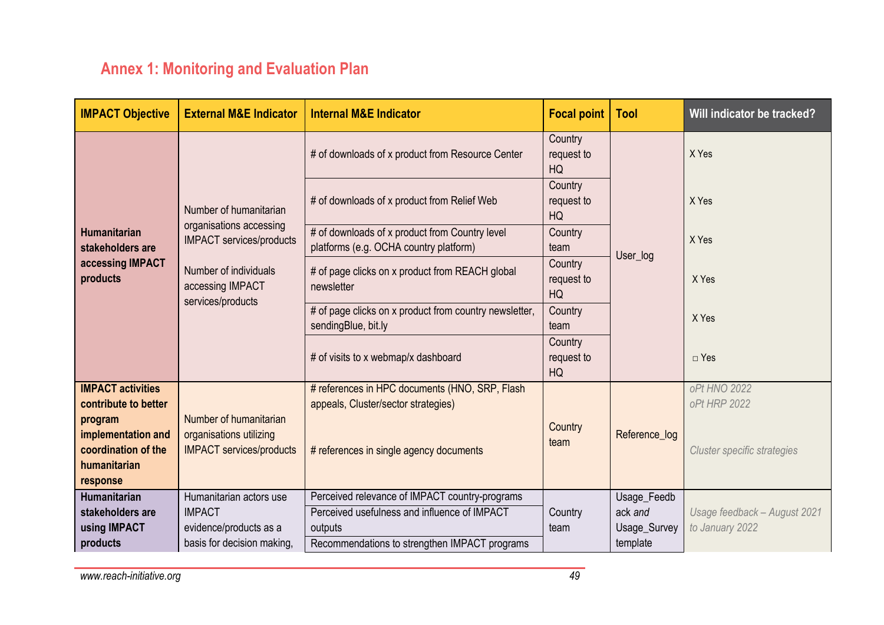## **Annex 1: Monitoring and Evaluation Plan**

| <b>IMPACT Objective</b>                                                          | <b>External M&amp;E Indicator</b>                                                    | <b>Internal M&amp;E Indicator</b>                                                        | <b>Focal point</b>          | <b>Tool</b>   | Will indicator be tracked?   |
|----------------------------------------------------------------------------------|--------------------------------------------------------------------------------------|------------------------------------------------------------------------------------------|-----------------------------|---------------|------------------------------|
|                                                                                  |                                                                                      | # of downloads of x product from Resource Center                                         | Country<br>request to<br>HQ |               | X Yes                        |
|                                                                                  | Number of humanitarian                                                               | # of downloads of x product from Relief Web                                              | Country<br>request to<br>HQ |               | X Yes                        |
| <b>Humanitarian</b><br>stakeholders are                                          | organisations accessing<br><b>IMPACT</b> services/products                           | # of downloads of x product from Country level<br>platforms (e.g. OCHA country platform) | Country<br>team             |               | X Yes                        |
| accessing IMPACT<br>products                                                     | Number of individuals<br>accessing IMPACT<br>services/products                       | # of page clicks on x product from REACH global<br>newsletter                            | Country<br>request to<br>HQ | User_log      | X Yes                        |
|                                                                                  |                                                                                      | # of page clicks on x product from country newsletter,<br>sendingBlue, bit.ly            | Country<br>team             |               | X Yes                        |
|                                                                                  |                                                                                      | # of visits to x webmap/x dashboard                                                      | Country<br>request to<br>HQ |               | $\Box$ Yes                   |
| <b>IMPACT activities</b><br>contribute to better                                 |                                                                                      | # references in HPC documents (HNO, SRP, Flash<br>appeals, Cluster/sector strategies)    |                             |               | oPt HNO 2022<br>oPt HRP 2022 |
| program<br>implementation and<br>coordination of the<br>humanitarian<br>response | Number of humanitarian<br>organisations utilizing<br><b>IMPACT services/products</b> | # references in single agency documents                                                  | Country<br>team             | Reference_log | Cluster specific strategies  |
| <b>Humanitarian</b>                                                              | Humanitarian actors use                                                              | Perceived relevance of IMPACT country-programs                                           |                             | Usage_Feedb   |                              |
| stakeholders are                                                                 | <b>IMPACT</b>                                                                        | Perceived usefulness and influence of IMPACT                                             | Country                     | ack and       | Usage feedback - August 2021 |
| using IMPACT                                                                     | evidence/products as a                                                               | outputs                                                                                  | team                        | Usage_Survey  | to January 2022              |
| products                                                                         | basis for decision making,                                                           | Recommendations to strengthen IMPACT programs                                            |                             | template      |                              |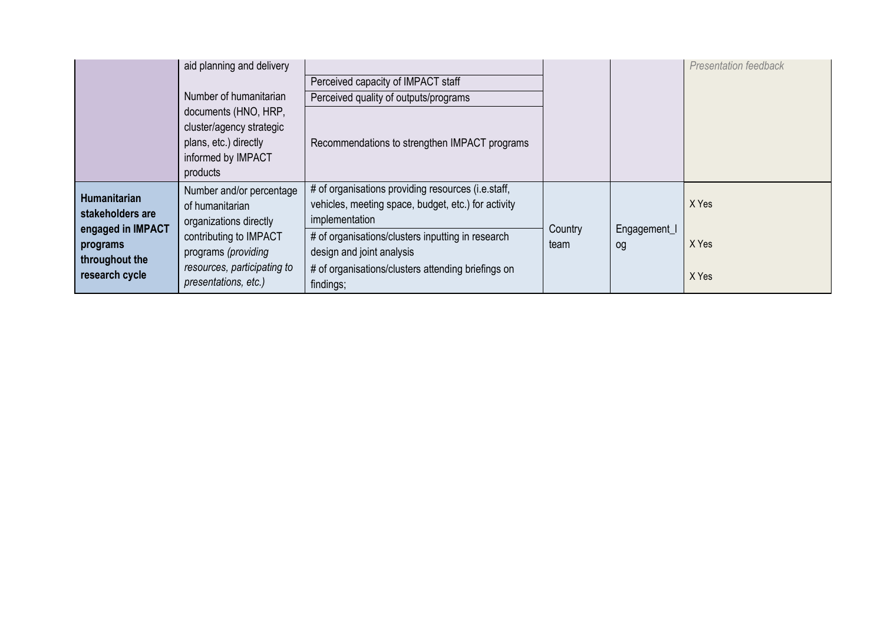|                                                                   | aid planning and delivery<br>Perceived capacity of IMPACT staff<br>Number of humanitarian<br>Perceived quality of outputs/programs |                                                                                                                                      |                 |                    | <b>Presentation feedback</b> |
|-------------------------------------------------------------------|------------------------------------------------------------------------------------------------------------------------------------|--------------------------------------------------------------------------------------------------------------------------------------|-----------------|--------------------|------------------------------|
|                                                                   | documents (HNO, HRP,<br>cluster/agency strategic<br>plans, etc.) directly<br>informed by IMPACT<br>products                        | Recommendations to strengthen IMPACT programs                                                                                        |                 |                    |                              |
| <b>Humanitarian</b><br>stakeholders are                           | Number and/or percentage<br>of humanitarian<br>organizations directly                                                              | # of organisations providing resources (i.e.staff,<br>vehicles, meeting space, budget, etc.) for activity<br>implementation          |                 |                    | X Yes                        |
| engaged in IMPACT<br>programs<br>throughout the<br>research cycle | contributing to IMPACT<br>programs (providing<br>resources, participating to<br>presentations, etc.)                               | # of organisations/clusters inputting in research<br>design and joint analysis<br># of organisations/clusters attending briefings on | Country<br>team | Engagement_I<br>og | X Yes                        |
|                                                                   |                                                                                                                                    | findings;                                                                                                                            |                 |                    | X Yes                        |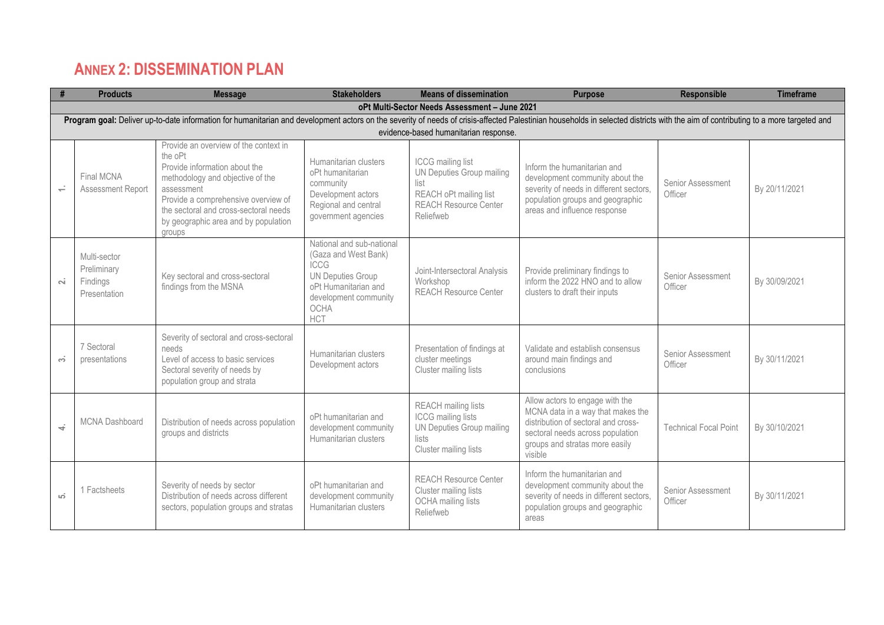### **ANNEX 2: DISSEMINATION PLAN**

|           | <b>Products</b>                                                                                                                                                                                                               | <b>Message</b>                                                                                                                                                                                                                                                        | <b>Stakeholders</b>                                                                                                                                                 | <b>Means of dissemination</b>                                                                                                 | <b>Purpose</b>                                                                                                                                                                               | <b>Responsible</b>           | <b>Timeframe</b> |  |  |  |
|-----------|-------------------------------------------------------------------------------------------------------------------------------------------------------------------------------------------------------------------------------|-----------------------------------------------------------------------------------------------------------------------------------------------------------------------------------------------------------------------------------------------------------------------|---------------------------------------------------------------------------------------------------------------------------------------------------------------------|-------------------------------------------------------------------------------------------------------------------------------|----------------------------------------------------------------------------------------------------------------------------------------------------------------------------------------------|------------------------------|------------------|--|--|--|
|           |                                                                                                                                                                                                                               |                                                                                                                                                                                                                                                                       |                                                                                                                                                                     | oPt Multi-Sector Needs Assessment - June 2021                                                                                 |                                                                                                                                                                                              |                              |                  |  |  |  |
|           | Program goal: Deliver up-to-date information for humanitarian and development actors on the severity of needs of crisis-affected Palestinian households in selected districts with the aim of contributing to a more targeted |                                                                                                                                                                                                                                                                       |                                                                                                                                                                     |                                                                                                                               |                                                                                                                                                                                              |                              |                  |  |  |  |
|           |                                                                                                                                                                                                                               |                                                                                                                                                                                                                                                                       |                                                                                                                                                                     | evidence-based humanitarian response.                                                                                         |                                                                                                                                                                                              |                              |                  |  |  |  |
| $\div$    | Final MCNA<br>Assessment Report                                                                                                                                                                                               | Provide an overview of the context in<br>the oPt<br>Provide information about the<br>methodology and objective of the<br>assessment<br>Provide a comprehensive overview of<br>the sectoral and cross-sectoral needs<br>by geographic area and by population<br>groups | Humanitarian clusters<br>oPt humanitarian<br>community<br>Development actors<br>Regional and central<br>government agencies                                         | ICCG mailing list<br>UN Deputies Group mailing<br>list<br>REACH oPt mailing list<br><b>REACH Resource Center</b><br>Reliefweb | Inform the humanitarian and<br>development community about the<br>severity of needs in different sectors,<br>population groups and geographic<br>areas and influence response                | Senior Assessment<br>Officer | By 20/11/2021    |  |  |  |
| $\sim$    | Multi-sector<br>Preliminary<br>Findings<br>Presentation                                                                                                                                                                       | Key sectoral and cross-sectoral<br>findings from the MSNA                                                                                                                                                                                                             | National and sub-national<br>(Gaza and West Bank)<br><b>ICCG</b><br><b>UN Deputies Group</b><br>oPt Humanitarian and<br>development community<br>OCHA<br><b>HCT</b> | Joint-Intersectoral Analysis<br>Workshop<br><b>REACH Resource Center</b>                                                      | Provide preliminary findings to<br>inform the 2022 HNO and to allow<br>clusters to draft their inputs                                                                                        | Senior Assessment<br>Officer | By 30/09/2021    |  |  |  |
| <u>െ</u>  | 7 Sectoral<br>presentations                                                                                                                                                                                                   | Severity of sectoral and cross-sectoral<br>needs<br>Level of access to basic services<br>Sectoral severity of needs by<br>population group and strata                                                                                                                 | Humanitarian clusters<br>Development actors                                                                                                                         | Presentation of findings at<br>cluster meetings<br>Cluster mailing lists                                                      | Validate and establish consensus<br>around main findings and<br>conclusions                                                                                                                  | Senior Assessment<br>Officer | By 30/11/2021    |  |  |  |
| $\vec{r}$ | <b>MCNA Dashboard</b>                                                                                                                                                                                                         | Distribution of needs across population<br>groups and districts                                                                                                                                                                                                       | oPt humanitarian and<br>development community<br>Humanitarian clusters                                                                                              | <b>REACH</b> mailing lists<br><b>ICCG</b> mailing lists<br><b>UN Deputies Group mailing</b><br>lists<br>Cluster mailing lists | Allow actors to engage with the<br>MCNA data in a way that makes the<br>distribution of sectoral and cross-<br>sectoral needs across population<br>groups and stratas more easily<br>visible | <b>Technical Focal Point</b> | By 30/10/2021    |  |  |  |
| ιó.       | 1 Factsheets                                                                                                                                                                                                                  | Severity of needs by sector<br>Distribution of needs across different<br>sectors, population groups and stratas                                                                                                                                                       | oPt humanitarian and<br>development community<br>Humanitarian clusters                                                                                              | <b>REACH Resource Center</b><br>Cluster mailing lists<br><b>OCHA</b> mailing lists<br>Reliefweb                               | Inform the humanitarian and<br>development community about the<br>severity of needs in different sectors,<br>population groups and geographic<br>areas                                       | Senior Assessment<br>Officer | By 30/11/2021    |  |  |  |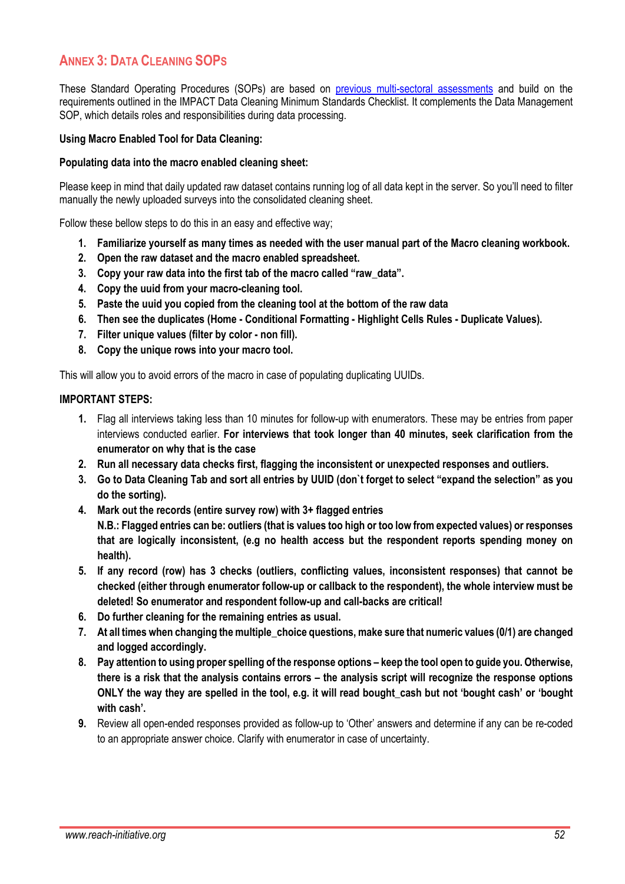### **ANNEX 3: DATA CLEANING SOPS**

These Standard Operating Procedures (SOPs) are based on [previous multi-sectoral assessments](https://reliefweb.int/sites/reliefweb.int/files/resources/REACH_SOM_JMCNA_ToR_July2020public_to-share.pdf) and build on the requirements outlined in the IMPACT Data Cleaning Minimum Standards Checklist. It complements the Data Management SOP, which details roles and responsibilities during data processing.

#### **Using Macro Enabled Tool for Data Cleaning:**

#### **Populating data into the macro enabled cleaning sheet:**

Please keep in mind that daily updated raw dataset contains running log of all data kept in the server. So you'll need to filter manually the newly uploaded surveys into the consolidated cleaning sheet.

Follow these bellow steps to do this in an easy and effective way;

- **1. Familiarize yourself as many times as needed with the user manual part of the Macro cleaning workbook.**
- **2. Open the raw dataset and the macro enabled spreadsheet.**
- **3. Copy your raw data into the first tab of the macro called "raw\_data".**
- **4. Copy the uuid from your macro-cleaning tool.**
- **5. Paste the uuid you copied from the cleaning tool at the bottom of the raw data**
- **6. Then see the duplicates (Home - Conditional Formatting - Highlight Cells Rules - Duplicate Values).**
- **7. Filter unique values (filter by color - non fill).**
- **8. Copy the unique rows into your macro tool.**

This will allow you to avoid errors of the macro in case of populating duplicating UUIDs.

#### **IMPORTANT STEPS:**

- **1.** Flag all interviews taking less than 10 minutes for follow-up with enumerators. These may be entries from paper interviews conducted earlier. **For interviews that took longer than 40 minutes, seek clarification from the enumerator on why that is the case**
- **2. Run all necessary data checks first, flagging the inconsistent or unexpected responses and outliers.**
- **3. Go to Data Cleaning Tab and sort all entries by UUID (don`t forget to select "expand the selection" as you do the sorting).**
- **4. Mark out the records (entire survey row) with 3+ flagged entries N.B.: Flagged entries can be: outliers (that is values too high or too low from expected values) or responses that are logically inconsistent, (e.g no health access but the respondent reports spending money on health).**
- **5. If any record (row) has 3 checks (outliers, conflicting values, inconsistent responses) that cannot be checked (either through enumerator follow-up or callback to the respondent), the whole interview must be deleted! So enumerator and respondent follow-up and call-backs are critical!**
- **6. Do further cleaning for the remaining entries as usual.**
- **7. At all times when changing the multiple\_choice questions, make sure that numeric values (0/1) are changed and logged accordingly.**
- **8. Pay attention to using proper spelling of the response options – keep the tool open to guide you. Otherwise, there is a risk that the analysis contains errors – the analysis script will recognize the response options ONLY the way they are spelled in the tool, e.g. it will read bought\_cash but not 'bought cash' or 'bought with cash'.**
- **9.** Review all open-ended responses provided as follow-up to 'Other' answers and determine if any can be re-coded to an appropriate answer choice. Clarify with enumerator in case of uncertainty.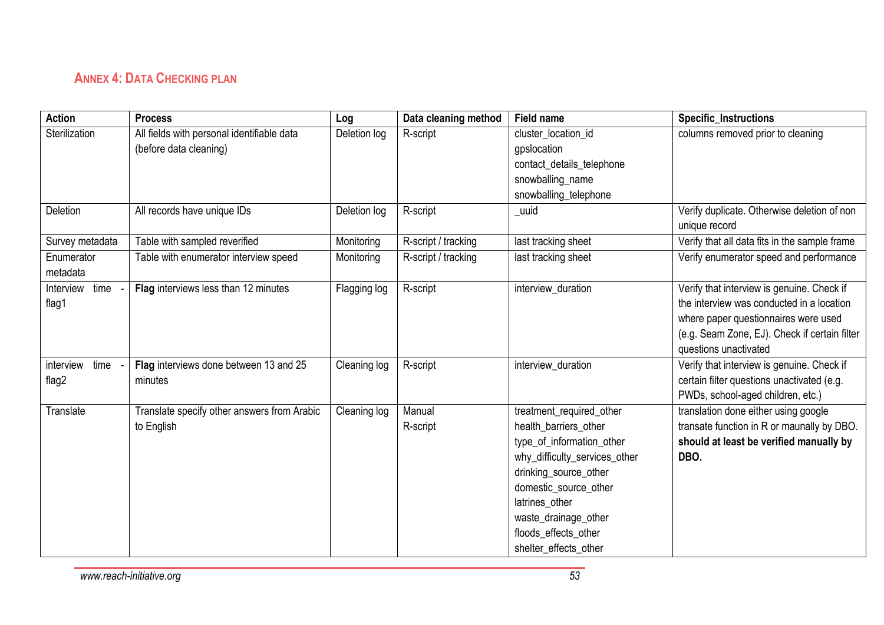### **ANNEX 4: DATA CHECKING PLAN**

| <b>Action</b>          | <b>Process</b>                              | Log          | Data cleaning method | Field name                    | <b>Specific_Instructions</b>                  |
|------------------------|---------------------------------------------|--------------|----------------------|-------------------------------|-----------------------------------------------|
| Sterilization          | All fields with personal identifiable data  | Deletion log | R-script             | cluster_location_id           | columns removed prior to cleaning             |
|                        | (before data cleaning)                      |              |                      | gpslocation                   |                                               |
|                        |                                             |              |                      | contact_details_telephone     |                                               |
|                        |                                             |              |                      | snowballing_name              |                                               |
|                        |                                             |              |                      | snowballing_telephone         |                                               |
| Deletion               | All records have unique IDs                 | Deletion log | R-script             | _uuid                         | Verify duplicate. Otherwise deletion of non   |
|                        |                                             |              |                      |                               | unique record                                 |
| Survey metadata        | Table with sampled reverified               | Monitoring   | R-script / tracking  | last tracking sheet           | Verify that all data fits in the sample frame |
| Enumerator<br>metadata | Table with enumerator interview speed       | Monitoring   | R-script / tracking  | last tracking sheet           | Verify enumerator speed and performance       |
| Interview time         | Flag interviews less than 12 minutes        | Flagging log | R-script             | interview_duration            | Verify that interview is genuine. Check if    |
| flag1                  |                                             |              |                      |                               | the interview was conducted in a location     |
|                        |                                             |              |                      |                               | where paper questionnaires were used          |
|                        |                                             |              |                      |                               | (e.g. Seam Zone, EJ). Check if certain filter |
|                        |                                             |              |                      |                               | questions unactivated                         |
| time<br>interview      | Flag interviews done between 13 and 25      | Cleaning log | R-script             | interview_duration            | Verify that interview is genuine. Check if    |
| flag2                  | minutes                                     |              |                      |                               | certain filter questions unactivated (e.g.    |
|                        |                                             |              |                      |                               | PWDs, school-aged children, etc.)             |
| Translate              | Translate specify other answers from Arabic | Cleaning log | Manual               | treatment required other      | translation done either using google          |
|                        | to English                                  |              | R-script             | health barriers other         | transate function in R or maunally by DBO.    |
|                        |                                             |              |                      | type_of_information_other     | should at least be verified manually by       |
|                        |                                             |              |                      | why_difficulty_services_other | DBO.                                          |
|                        |                                             |              |                      | drinking_source_other         |                                               |
|                        |                                             |              |                      | domestic source other         |                                               |
|                        |                                             |              |                      | latrines other                |                                               |
|                        |                                             |              |                      | waste_drainage_other          |                                               |
|                        |                                             |              |                      | floods_effects_other          |                                               |
|                        |                                             |              |                      | shelter_effects_other         |                                               |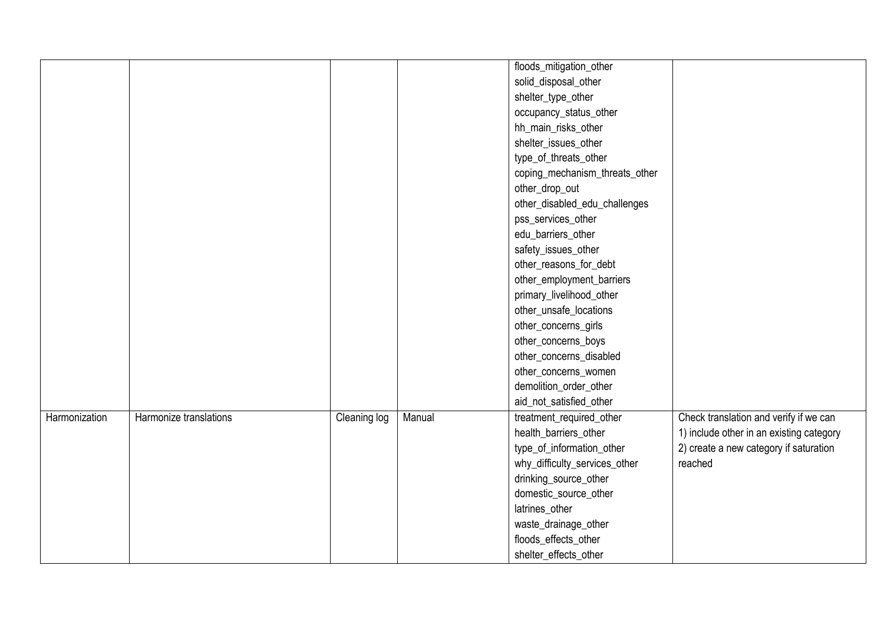|               |                        |              |        | floods_mitigation_other        |                                          |
|---------------|------------------------|--------------|--------|--------------------------------|------------------------------------------|
|               |                        |              |        | solid_disposal_other           |                                          |
|               |                        |              |        | shelter_type_other             |                                          |
|               |                        |              |        | occupancy_status_other         |                                          |
|               |                        |              |        | hh_main_risks_other            |                                          |
|               |                        |              |        | shelter_issues_other           |                                          |
|               |                        |              |        | type_of_threats_other          |                                          |
|               |                        |              |        | coping_mechanism_threats_other |                                          |
|               |                        |              |        | other_drop_out                 |                                          |
|               |                        |              |        | other_disabled_edu_challenges  |                                          |
|               |                        |              |        | pss_services_other             |                                          |
|               |                        |              |        | edu_barriers_other             |                                          |
|               |                        |              |        | safety_issues_other            |                                          |
|               |                        |              |        | other_reasons_for_debt         |                                          |
|               |                        |              |        | other_employment_barriers      |                                          |
|               |                        |              |        | primary_livelihood_other       |                                          |
|               |                        |              |        | other_unsafe_locations         |                                          |
|               |                        |              |        | other_concerns_girls           |                                          |
|               |                        |              |        | other_concerns_boys            |                                          |
|               |                        |              |        | other_concerns_disabled        |                                          |
|               |                        |              |        | other_concerns_women           |                                          |
|               |                        |              |        | demolition_order_other         |                                          |
|               |                        |              |        | aid_not_satisfied_other        |                                          |
| Harmonization | Harmonize translations | Cleaning log | Manual | treatment_required_other       | Check translation and verify if we can   |
|               |                        |              |        | health_barriers_other          | 1) include other in an existing category |
|               |                        |              |        | type_of_information_other      | 2) create a new category if saturation   |
|               |                        |              |        | why_difficulty_services_other  | reached                                  |
|               |                        |              |        | drinking_source_other          |                                          |
|               |                        |              |        | domestic_source_other          |                                          |
|               |                        |              |        | latrines_other                 |                                          |
|               |                        |              |        | waste_drainage_other           |                                          |
|               |                        |              |        | floods_effects_other           |                                          |
|               |                        |              |        | shelter_effects_other          |                                          |
|               |                        |              |        |                                |                                          |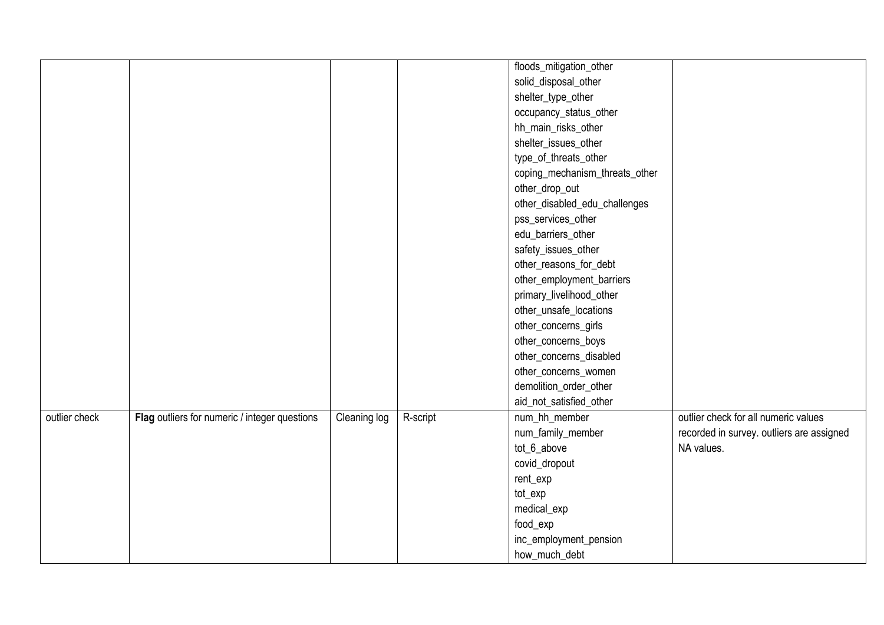| floods_mitigation_other<br>solid_disposal_other<br>shelter_type_other<br>occupancy_status_other<br>hh_main_risks_other<br>shelter_issues_other<br>type_of_threats_other<br>coping_mechanism_threats_other<br>other_drop_out<br>other_disabled_edu_challenges<br>pss_services_other<br>edu_barriers_other<br>safety_issues_other<br>other_reasons_for_debt<br>other_employment_barriers<br>primary_livelihood_other<br>other_unsafe_locations<br>other_concerns_girls<br>other_concerns_boys<br>other_concerns_disabled<br>other_concerns_women<br>demolition_order_other<br>aid_not_satisfied_other<br><b>Cleaning log</b><br>outlier check<br>Flag outliers for numeric / integer questions<br>R-script<br>num_hh_member<br>outlier check for all numeric values<br>num_family_member<br>tot_6_above<br>NA values.<br>covid_dropout<br>rent_exp |  |  |               |                                           |
|--------------------------------------------------------------------------------------------------------------------------------------------------------------------------------------------------------------------------------------------------------------------------------------------------------------------------------------------------------------------------------------------------------------------------------------------------------------------------------------------------------------------------------------------------------------------------------------------------------------------------------------------------------------------------------------------------------------------------------------------------------------------------------------------------------------------------------------------------|--|--|---------------|-------------------------------------------|
|                                                                                                                                                                                                                                                                                                                                                                                                                                                                                                                                                                                                                                                                                                                                                                                                                                                  |  |  |               |                                           |
|                                                                                                                                                                                                                                                                                                                                                                                                                                                                                                                                                                                                                                                                                                                                                                                                                                                  |  |  |               |                                           |
|                                                                                                                                                                                                                                                                                                                                                                                                                                                                                                                                                                                                                                                                                                                                                                                                                                                  |  |  |               |                                           |
|                                                                                                                                                                                                                                                                                                                                                                                                                                                                                                                                                                                                                                                                                                                                                                                                                                                  |  |  |               |                                           |
|                                                                                                                                                                                                                                                                                                                                                                                                                                                                                                                                                                                                                                                                                                                                                                                                                                                  |  |  |               |                                           |
|                                                                                                                                                                                                                                                                                                                                                                                                                                                                                                                                                                                                                                                                                                                                                                                                                                                  |  |  |               |                                           |
|                                                                                                                                                                                                                                                                                                                                                                                                                                                                                                                                                                                                                                                                                                                                                                                                                                                  |  |  |               |                                           |
|                                                                                                                                                                                                                                                                                                                                                                                                                                                                                                                                                                                                                                                                                                                                                                                                                                                  |  |  |               |                                           |
|                                                                                                                                                                                                                                                                                                                                                                                                                                                                                                                                                                                                                                                                                                                                                                                                                                                  |  |  |               |                                           |
|                                                                                                                                                                                                                                                                                                                                                                                                                                                                                                                                                                                                                                                                                                                                                                                                                                                  |  |  |               |                                           |
|                                                                                                                                                                                                                                                                                                                                                                                                                                                                                                                                                                                                                                                                                                                                                                                                                                                  |  |  |               |                                           |
|                                                                                                                                                                                                                                                                                                                                                                                                                                                                                                                                                                                                                                                                                                                                                                                                                                                  |  |  |               |                                           |
|                                                                                                                                                                                                                                                                                                                                                                                                                                                                                                                                                                                                                                                                                                                                                                                                                                                  |  |  |               |                                           |
|                                                                                                                                                                                                                                                                                                                                                                                                                                                                                                                                                                                                                                                                                                                                                                                                                                                  |  |  |               |                                           |
|                                                                                                                                                                                                                                                                                                                                                                                                                                                                                                                                                                                                                                                                                                                                                                                                                                                  |  |  |               |                                           |
|                                                                                                                                                                                                                                                                                                                                                                                                                                                                                                                                                                                                                                                                                                                                                                                                                                                  |  |  |               |                                           |
|                                                                                                                                                                                                                                                                                                                                                                                                                                                                                                                                                                                                                                                                                                                                                                                                                                                  |  |  |               |                                           |
|                                                                                                                                                                                                                                                                                                                                                                                                                                                                                                                                                                                                                                                                                                                                                                                                                                                  |  |  |               |                                           |
|                                                                                                                                                                                                                                                                                                                                                                                                                                                                                                                                                                                                                                                                                                                                                                                                                                                  |  |  |               |                                           |
|                                                                                                                                                                                                                                                                                                                                                                                                                                                                                                                                                                                                                                                                                                                                                                                                                                                  |  |  |               |                                           |
|                                                                                                                                                                                                                                                                                                                                                                                                                                                                                                                                                                                                                                                                                                                                                                                                                                                  |  |  |               |                                           |
|                                                                                                                                                                                                                                                                                                                                                                                                                                                                                                                                                                                                                                                                                                                                                                                                                                                  |  |  |               |                                           |
|                                                                                                                                                                                                                                                                                                                                                                                                                                                                                                                                                                                                                                                                                                                                                                                                                                                  |  |  |               |                                           |
|                                                                                                                                                                                                                                                                                                                                                                                                                                                                                                                                                                                                                                                                                                                                                                                                                                                  |  |  |               |                                           |
|                                                                                                                                                                                                                                                                                                                                                                                                                                                                                                                                                                                                                                                                                                                                                                                                                                                  |  |  |               | recorded in survey. outliers are assigned |
|                                                                                                                                                                                                                                                                                                                                                                                                                                                                                                                                                                                                                                                                                                                                                                                                                                                  |  |  |               |                                           |
|                                                                                                                                                                                                                                                                                                                                                                                                                                                                                                                                                                                                                                                                                                                                                                                                                                                  |  |  |               |                                           |
|                                                                                                                                                                                                                                                                                                                                                                                                                                                                                                                                                                                                                                                                                                                                                                                                                                                  |  |  |               |                                           |
| tot_exp                                                                                                                                                                                                                                                                                                                                                                                                                                                                                                                                                                                                                                                                                                                                                                                                                                          |  |  |               |                                           |
| medical_exp                                                                                                                                                                                                                                                                                                                                                                                                                                                                                                                                                                                                                                                                                                                                                                                                                                      |  |  |               |                                           |
| food_exp                                                                                                                                                                                                                                                                                                                                                                                                                                                                                                                                                                                                                                                                                                                                                                                                                                         |  |  |               |                                           |
| inc_employment_pension                                                                                                                                                                                                                                                                                                                                                                                                                                                                                                                                                                                                                                                                                                                                                                                                                           |  |  |               |                                           |
|                                                                                                                                                                                                                                                                                                                                                                                                                                                                                                                                                                                                                                                                                                                                                                                                                                                  |  |  | how_much_debt |                                           |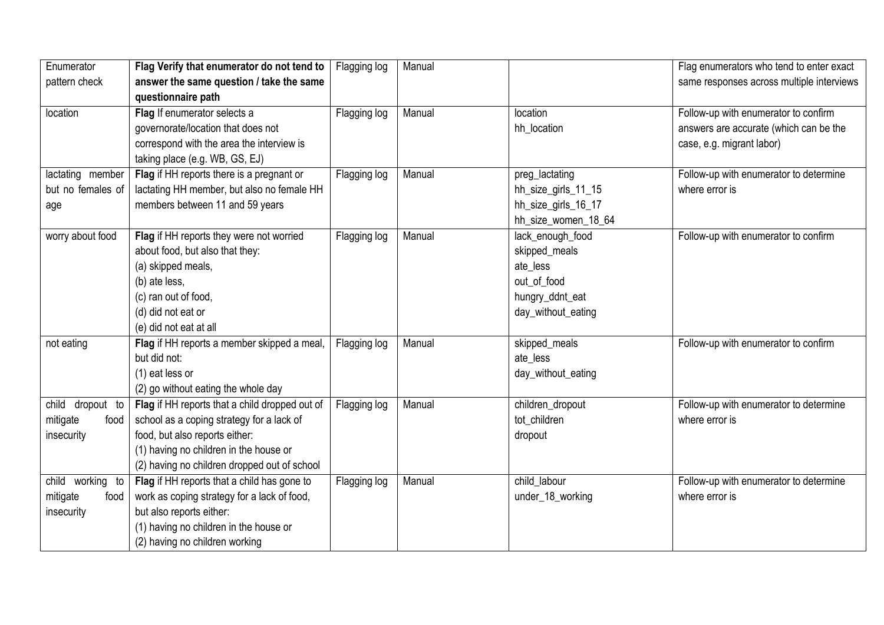| Enumerator        | Flag Verify that enumerator do not tend to     | Flagging log | Manual |                     | Flag enumerators who tend to enter exact  |
|-------------------|------------------------------------------------|--------------|--------|---------------------|-------------------------------------------|
| pattern check     | answer the same question / take the same       |              |        |                     | same responses across multiple interviews |
|                   | questionnaire path                             |              |        |                     |                                           |
| location          | Flag If enumerator selects a                   | Flagging log | Manual | location            | Follow-up with enumerator to confirm      |
|                   | governorate/location that does not             |              |        | hh location         | answers are accurate (which can be the    |
|                   | correspond with the area the interview is      |              |        |                     | case, e.g. migrant labor)                 |
|                   | taking place (e.g. WB, GS, EJ)                 |              |        |                     |                                           |
| lactating member  | Flag if HH reports there is a pregnant or      | Flagging log | Manual | preg_lactating      | Follow-up with enumerator to determine    |
| but no females of | lactating HH member, but also no female HH     |              |        | hh_size_girls_11_15 | where error is                            |
| age               | members between 11 and 59 years                |              |        | hh_size_girls_16_17 |                                           |
|                   |                                                |              |        | hh_size_women_18_64 |                                           |
| worry about food  | Flag if HH reports they were not worried       | Flagging log | Manual | lack_enough_food    | Follow-up with enumerator to confirm      |
|                   | about food, but also that they:                |              |        | skipped_meals       |                                           |
|                   | (a) skipped meals,                             |              |        | ate less            |                                           |
|                   | (b) ate less,                                  |              |        | out_of_food         |                                           |
|                   | (c) ran out of food,                           |              |        | hungry_ddnt_eat     |                                           |
|                   | (d) did not eat or                             |              |        | day_without_eating  |                                           |
|                   | (e) did not eat at all                         |              |        |                     |                                           |
| not eating        | Flag if HH reports a member skipped a meal,    | Flagging log | Manual | skipped_meals       | Follow-up with enumerator to confirm      |
|                   | but did not:                                   |              |        | ate_less            |                                           |
|                   | (1) eat less or                                |              |        | day_without_eating  |                                           |
|                   | (2) go without eating the whole day            |              |        |                     |                                           |
| child dropout to  | Flag if HH reports that a child dropped out of | Flagging log | Manual | children_dropout    | Follow-up with enumerator to determine    |
| mitigate<br>food  | school as a coping strategy for a lack of      |              |        | tot_children        | where error is                            |
| insecurity        | food, but also reports either:                 |              |        | dropout             |                                           |
|                   | (1) having no children in the house or         |              |        |                     |                                           |
|                   | (2) having no children dropped out of school   |              |        |                     |                                           |
| child working to  | Flag if HH reports that a child has gone to    | Flagging log | Manual | child_labour        | Follow-up with enumerator to determine    |
| mitigate<br>food  | work as coping strategy for a lack of food,    |              |        | under_18_working    | where error is                            |
| insecurity        | but also reports either:                       |              |        |                     |                                           |
|                   | (1) having no children in the house or         |              |        |                     |                                           |
|                   | (2) having no children working                 |              |        |                     |                                           |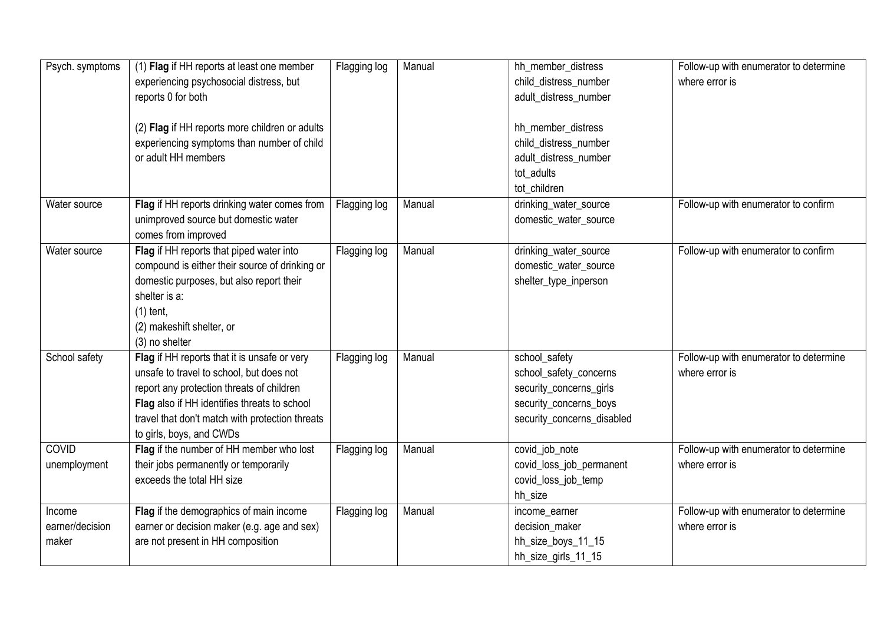| Psych. symptoms | (1) Flag if HH reports at least one member      | Flagging log | Manual | hh member distress         | Follow-up with enumerator to determine |
|-----------------|-------------------------------------------------|--------------|--------|----------------------------|----------------------------------------|
|                 | experiencing psychosocial distress, but         |              |        | child_distress_number      | where error is                         |
|                 | reports 0 for both                              |              |        | adult_distress_number      |                                        |
|                 |                                                 |              |        |                            |                                        |
|                 | (2) Flag if HH reports more children or adults  |              |        | hh_member_distress         |                                        |
|                 | experiencing symptoms than number of child      |              |        | child_distress_number      |                                        |
|                 | or adult HH members                             |              |        | adult_distress_number      |                                        |
|                 |                                                 |              |        | tot_adults                 |                                        |
|                 |                                                 |              |        | tot children               |                                        |
| Water source    | Flag if HH reports drinking water comes from    | Flagging log | Manual | drinking_water_source      | Follow-up with enumerator to confirm   |
|                 | unimproved source but domestic water            |              |        | domestic_water_source      |                                        |
|                 | comes from improved                             |              |        |                            |                                        |
| Water source    | Flag if HH reports that piped water into        | Flagging log | Manual | drinking_water_source      | Follow-up with enumerator to confirm   |
|                 | compound is either their source of drinking or  |              |        | domestic_water_source      |                                        |
|                 | domestic purposes, but also report their        |              |        | shelter_type_inperson      |                                        |
|                 | shelter is a:                                   |              |        |                            |                                        |
|                 | $(1)$ tent,                                     |              |        |                            |                                        |
|                 | (2) makeshift shelter, or                       |              |        |                            |                                        |
|                 | (3) no shelter                                  |              |        |                            |                                        |
| School safety   | Flag if HH reports that it is unsafe or very    | Flagging log | Manual | school_safety              | Follow-up with enumerator to determine |
|                 | unsafe to travel to school, but does not        |              |        | school_safety_concerns     | where error is                         |
|                 | report any protection threats of children       |              |        | security_concerns_girls    |                                        |
|                 | Flag also if HH identifies threats to school    |              |        | security_concerns_boys     |                                        |
|                 | travel that don't match with protection threats |              |        | security_concerns_disabled |                                        |
|                 | to girls, boys, and CWDs                        |              |        |                            |                                        |
| <b>COVID</b>    | Flag if the number of HH member who lost        | Flagging log | Manual | covid_job_note             | Follow-up with enumerator to determine |
| unemployment    | their jobs permanently or temporarily           |              |        | covid_loss_job_permanent   | where error is                         |
|                 | exceeds the total HH size                       |              |        | covid_loss_job_temp        |                                        |
|                 |                                                 |              |        | hh size                    |                                        |
| Income          | Flag if the demographics of main income         | Flagging log | Manual | income_earner              | Follow-up with enumerator to determine |
| earner/decision | earner or decision maker (e.g. age and sex)     |              |        | decision_maker             | where error is                         |
| maker           | are not present in HH composition               |              |        | hh_size_boys_11_15         |                                        |
|                 |                                                 |              |        | hh_size_girls_11_15        |                                        |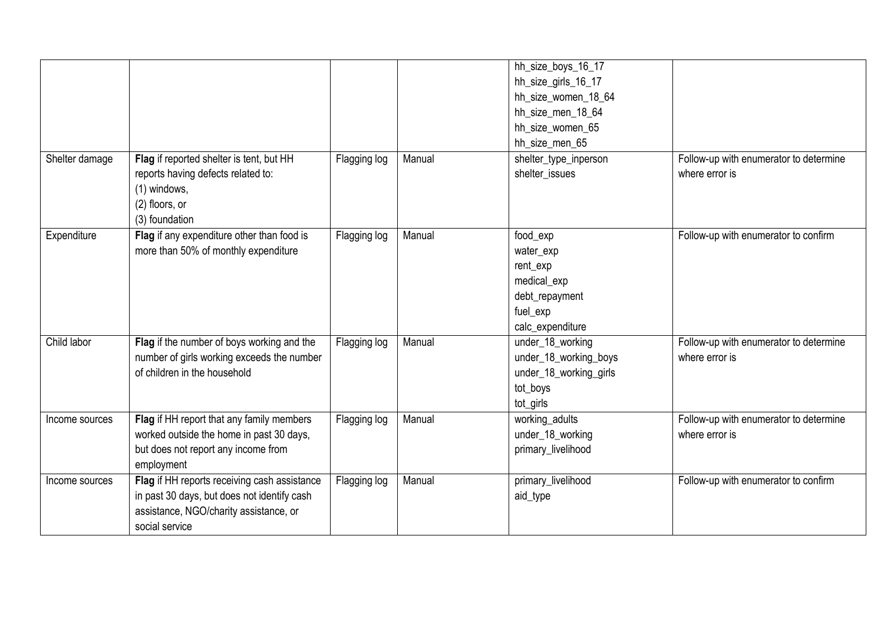| Shelter damage | Flag if reported shelter is tent, but HH<br>reports having defects related to:                                                                          | Flagging log | Manual | hh_size_boys_16_17<br>hh_size_girls_16_17<br>hh_size_women_18_64<br>hh_size_men_18_64<br>hh_size_women_65<br>hh_size_men_65<br>shelter_type_inperson<br>shelter_issues | Follow-up with enumerator to determine<br>where error is |
|----------------|---------------------------------------------------------------------------------------------------------------------------------------------------------|--------------|--------|------------------------------------------------------------------------------------------------------------------------------------------------------------------------|----------------------------------------------------------|
|                | (1) windows,<br>(2) floors, or<br>(3) foundation                                                                                                        |              |        |                                                                                                                                                                        |                                                          |
| Expenditure    | Flag if any expenditure other than food is<br>more than 50% of monthly expenditure                                                                      | Flagging log | Manual | food_exp<br>water_exp<br>rent_exp<br>medical_exp<br>debt_repayment<br>fuel_exp<br>calc_expenditure                                                                     | Follow-up with enumerator to confirm                     |
| Child labor    | Flag if the number of boys working and the<br>number of girls working exceeds the number<br>of children in the household                                | Flagging log | Manual | under_18_working<br>under_18_working_boys<br>under_18_working_girls<br>tot_boys<br>tot_girls                                                                           | Follow-up with enumerator to determine<br>where error is |
| Income sources | Flag if HH report that any family members<br>worked outside the home in past 30 days,<br>but does not report any income from<br>employment              | Flagging log | Manual | working_adults<br>under_18_working<br>primary_livelihood                                                                                                               | Follow-up with enumerator to determine<br>where error is |
| Income sources | Flag if HH reports receiving cash assistance<br>in past 30 days, but does not identify cash<br>assistance, NGO/charity assistance, or<br>social service | Flagging log | Manual | primary_livelihood<br>aid_type                                                                                                                                         | Follow-up with enumerator to confirm                     |